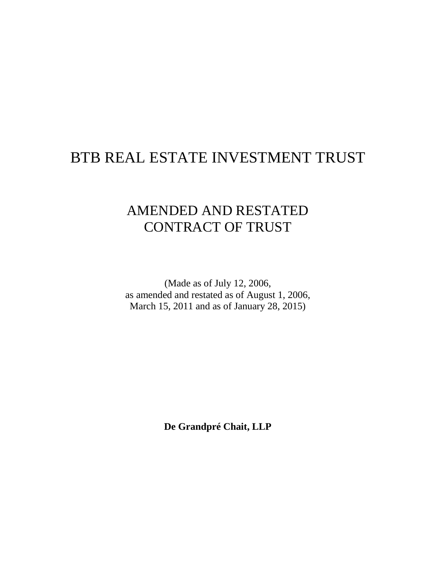# BTB REAL ESTATE INVESTMENT TRUST

# AMENDED AND RESTATED CONTRACT OF TRUST

(Made as of July 12, 2006, as amended and restated as of August 1, 2006, March 15, 2011 and as of January 28, 2015)

**De Grandpré Chait, LLP**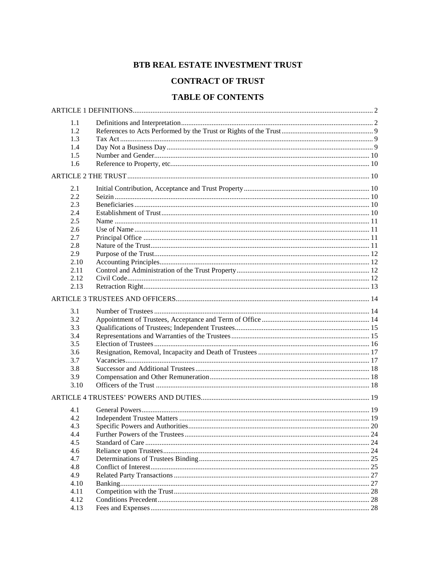# BTB REAL ESTATE INVESTMENT TRUST

# **CONTRACT OF TRUST**

# **TABLE OF CONTENTS**

| 1.1  |    |
|------|----|
| 1.2  |    |
| 1.3  |    |
| 1.4  |    |
| 1.5  |    |
| 1.6  |    |
|      |    |
|      |    |
| 2.1  |    |
| 2.2  |    |
| 2.3  |    |
| 2.4  |    |
| 2.5  |    |
| 2.6  |    |
| 2.7  |    |
| 2.8  |    |
| 2.9  |    |
| 2.10 |    |
| 2.11 |    |
| 2.12 |    |
| 2.13 |    |
|      |    |
|      |    |
| 3.1  |    |
| 3.2  |    |
| 3.3  |    |
| 3.4  |    |
| 3.5  |    |
| 3.6  |    |
| 3.7  |    |
| 3.8  |    |
| 3.9  |    |
| 3.10 |    |
|      |    |
|      |    |
| 4.1  |    |
| 4.2  |    |
| 4.3  |    |
| 4.4  |    |
| 4.5  |    |
| 4.6  |    |
| 4.7  |    |
| 4.8  |    |
| 4.9  |    |
| 4.10 | 27 |
| 4.11 |    |
| 4.12 |    |
| 4.13 |    |
|      |    |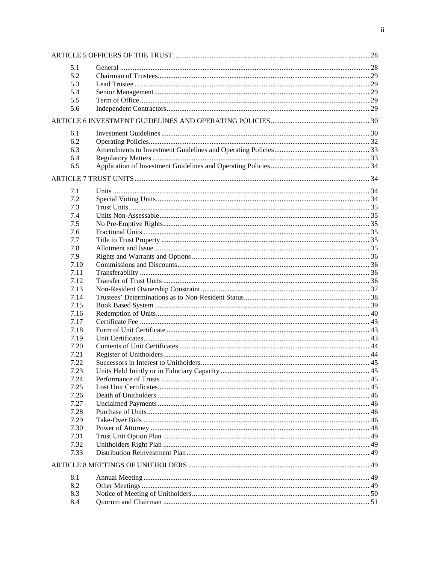| 5.1  |  |  |
|------|--|--|
| 5.2  |  |  |
| 5.3  |  |  |
| 5.4  |  |  |
| 5.5  |  |  |
| 5.6  |  |  |
|      |  |  |
| 6.1  |  |  |
| 6.2  |  |  |
| 6.3  |  |  |
| 6.4  |  |  |
| 6.5  |  |  |
|      |  |  |
|      |  |  |
| 7.1  |  |  |
| 7.2  |  |  |
| 7.3  |  |  |
| 7.4  |  |  |
| 7.5  |  |  |
| 7.6  |  |  |
| 7.7  |  |  |
| 7.8  |  |  |
| 7.9  |  |  |
| 7.10 |  |  |
| 7.11 |  |  |
| 7.12 |  |  |
| 7.13 |  |  |
| 7.14 |  |  |
| 7.15 |  |  |
| 7.16 |  |  |
| 7.17 |  |  |
| 7.18 |  |  |
| 7.19 |  |  |
| 7.20 |  |  |
| 7.21 |  |  |
| 7.22 |  |  |
| 7.23 |  |  |
| 7.24 |  |  |
| 7.25 |  |  |
| 7.26 |  |  |
| 7.27 |  |  |
| 7.28 |  |  |
| 7.29 |  |  |
| 7.30 |  |  |
| 7.31 |  |  |
| 7.32 |  |  |
| 7.33 |  |  |
|      |  |  |
|      |  |  |
| 8.1  |  |  |
| 8.2  |  |  |
| 8.3  |  |  |
| 8.4  |  |  |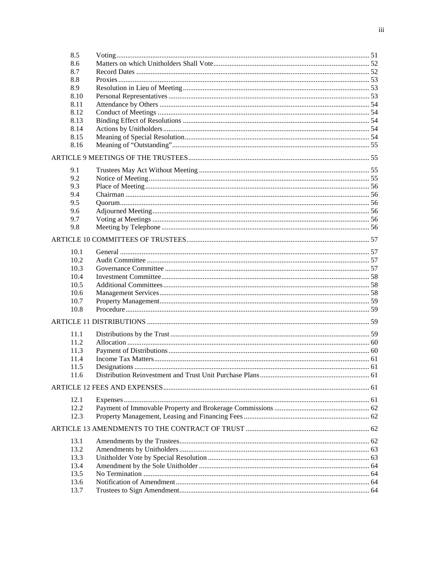| 8.5  |  |
|------|--|
| 8.6  |  |
| 8.7  |  |
| 8.8  |  |
| 8.9  |  |
| 8.10 |  |
| 8.11 |  |
| 8.12 |  |
| 8.13 |  |
| 8.14 |  |
| 8.15 |  |
| 8.16 |  |
|      |  |
| 9.1  |  |
| 9.2  |  |
| 9.3  |  |
| 9.4  |  |
| 9.5  |  |
| 9.6  |  |
| 9.7  |  |
| 9.8  |  |
|      |  |
| 10.1 |  |
| 10.2 |  |
| 10.3 |  |
| 10.4 |  |
| 10.5 |  |
| 10.6 |  |
| 10.7 |  |
| 10.8 |  |
|      |  |
|      |  |
| 11.1 |  |
| 11.2 |  |
| 11.3 |  |
| 11.4 |  |
| 11.5 |  |
| 11.6 |  |
|      |  |
| 12.1 |  |
| 12.2 |  |
| 12.3 |  |
|      |  |
| 13.1 |  |
| 13.2 |  |
| 13.3 |  |
| 13.4 |  |
| 13.5 |  |
| 13.6 |  |
| 13.7 |  |
|      |  |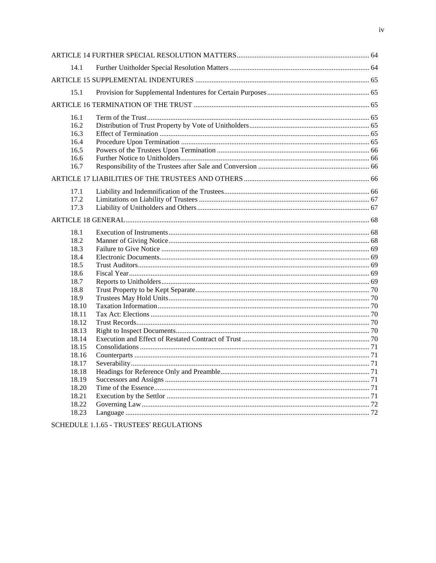| 14.1  |  |  |
|-------|--|--|
|       |  |  |
| 15.1  |  |  |
|       |  |  |
| 16.1  |  |  |
| 16.2  |  |  |
| 16.3  |  |  |
| 16.4  |  |  |
| 16.5  |  |  |
| 16.6  |  |  |
| 16.7  |  |  |
|       |  |  |
| 17.1  |  |  |
| 17.2  |  |  |
| 17.3  |  |  |
|       |  |  |
| 18.1  |  |  |
| 18.2  |  |  |
| 18.3  |  |  |
| 18.4  |  |  |
| 18.5  |  |  |
| 18.6  |  |  |
| 18.7  |  |  |
| 18.8  |  |  |
| 18.9  |  |  |
| 18.10 |  |  |
| 18.11 |  |  |
| 18.12 |  |  |
| 18.13 |  |  |
| 18.14 |  |  |
| 18.15 |  |  |
| 18.16 |  |  |
| 18.17 |  |  |
| 18.18 |  |  |
| 18.19 |  |  |
| 18.20 |  |  |
| 18.21 |  |  |
| 18.22 |  |  |
| 18.23 |  |  |
|       |  |  |

SCHEDULE 1.1.65 - TRUSTEES' REGULATIONS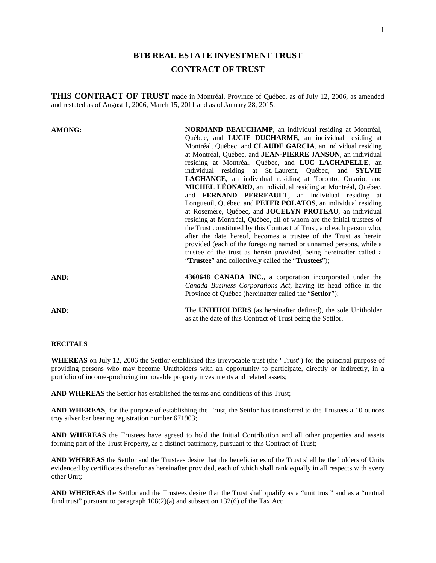# **BTB REAL ESTATE INVESTMENT TRUST CONTRACT OF TRUST**

**THIS CONTRACT OF TRUST** made in Montréal, Province of Québec, as of July 12, 2006, as amended and restated as of August 1, 2006, March 15, 2011 and as of January 28, 2015.

| <b>AMONG:</b> | NORMAND BEAUCHAMP, an individual residing at Montréal,                |
|---------------|-----------------------------------------------------------------------|
|               | Québec, and LUCIE DUCHARME, an individual residing at                 |
|               | Montréal, Québec, and <b>CLAUDE GARCIA</b> , an individual residing   |
|               | at Montréal, Québec, and JEAN-PIERRE JANSON, an individual            |
|               | residing at Montréal, Québec, and LUC LACHAPELLE, an                  |
|               | individual residing at St. Laurent, Québec, and SYLVIE                |
|               | <b>LACHANCE</b> , an individual residing at Toronto, Ontario, and     |
|               | <b>MICHEL LÉONARD</b> , an individual residing at Montréal, Québec,   |
|               | and <b>FERNAND PERREAULT</b> , an individual residing at              |
|               | Longueuil, Québec, and PETER POLATOS, an individual residing          |
|               | at Rosemère, Québec, and <b>JOCELYN PROTEAU</b> , an individual       |
|               | residing at Montréal, Québec, all of whom are the initial trustees of |
|               | the Trust constituted by this Contract of Trust, and each person who, |
|               | after the date hereof, becomes a trustee of the Trust as herein       |
|               | provided (each of the foregoing named or unnamed persons, while a     |
|               | trustee of the trust as herein provided, being hereinafter called a   |
|               | "Trustee" and collectively called the "Trustees");                    |
| AND:          | 4360648 CANADA INC., a corporation incorporated under the             |
|               | Canada Business Corporations Act, having its head office in the       |
|               | Province of Québec (hereinafter called the "Settlor");                |
| AND:          | The <b>UNITHOLDERS</b> (as hereinafter defined), the sole Unitholder  |
|               | as at the date of this Contract of Trust being the Settlor.           |

# **RECITALS**

**WHEREAS** on July 12, 2006 the Settlor established this irrevocable trust (the "Trust") for the principal purpose of providing persons who may become Unitholders with an opportunity to participate, directly or indirectly, in a portfolio of income-producing immovable property investments and related assets;

**AND WHEREAS** the Settlor has established the terms and conditions of this Trust;

**AND WHEREAS**, for the purpose of establishing the Trust, the Settlor has transferred to the Trustees a 10 ounces troy silver bar bearing registration number 671903;

**AND WHEREAS** the Trustees have agreed to hold the Initial Contribution and all other properties and assets forming part of the Trust Property, as a distinct patrimony, pursuant to this Contract of Trust;

**AND WHEREAS** the Settlor and the Trustees desire that the beneficiaries of the Trust shall be the holders of Units evidenced by certificates therefor as hereinafter provided, each of which shall rank equally in all respects with every other Unit;

**AND WHEREAS** the Settlor and the Trustees desire that the Trust shall qualify as a "unit trust" and as a "mutual fund trust" pursuant to paragraph 108(2)(a) and subsection 132(6) of the Tax Act;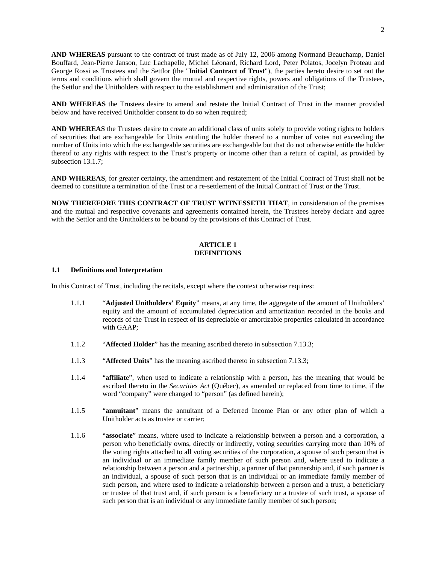**AND WHEREAS** pursuant to the contract of trust made as of July 12, 2006 among Normand Beauchamp, Daniel Bouffard, Jean-Pierre Janson, Luc Lachapelle, Michel Léonard, Richard Lord, Peter Polatos, Jocelyn Proteau and George Rossi as Trustees and the Settlor (the "**Initial Contract of Trust**"), the parties hereto desire to set out the terms and conditions which shall govern the mutual and respective rights, powers and obligations of the Trustees, the Settlor and the Unitholders with respect to the establishment and administration of the Trust;

**AND WHEREAS** the Trustees desire to amend and restate the Initial Contract of Trust in the manner provided below and have received Unitholder consent to do so when required;

**AND WHEREAS** the Trustees desire to create an additional class of units solely to provide voting rights to holders of securities that are exchangeable for Units entitling the holder thereof to a number of votes not exceeding the number of Units into which the exchangeable securities are exchangeable but that do not otherwise entitle the holder thereof to any rights with respect to the Trust's property or income other than a return of capital, as provided by subsection 13.1.7:

**AND WHEREAS**, for greater certainty, the amendment and restatement of the Initial Contract of Trust shall not be deemed to constitute a termination of the Trust or a re-settlement of the Initial Contract of Trust or the Trust.

**NOW THEREFORE THIS CONTRACT OF TRUST WITNESSETH THAT**, in consideration of the premises and the mutual and respective covenants and agreements contained herein, the Trustees hereby declare and agree with the Settlor and the Unitholders to be bound by the provisions of this Contract of Trust.

# <span id="page-6-0"></span>**ARTICLE 1 DEFINITIONS**

#### <span id="page-6-1"></span>**1.1 Definitions and Interpretation**

In this Contract of Trust, including the recitals, except where the context otherwise requires:

- 1.1.1 "**Adjusted Unitholders' Equity**" means, at any time, the aggregate of the amount of Unitholders' equity and the amount of accumulated depreciation and amortization recorded in the books and records of the Trust in respect of its depreciable or amortizable properties calculated in accordance with GAAP;
- 1.1.2 "**Affected Holder**" has the meaning ascribed thereto in subsection [7.13.3;](#page-41-1)
- 1.1.3 "**Affected Units**" has the meaning ascribed thereto in subsection [7.13.3;](#page-41-1)
- 1.1.4 "**affiliate**", when used to indicate a relationship with a person, has the meaning that would be ascribed thereto in the *Securities Act* (Québec), as amended or replaced from time to time, if the word "company" were changed to "person" (as defined herein);
- 1.1.5 "**annuitant**" means the annuitant of a Deferred Income Plan or any other plan of which a Unitholder acts as trustee or carrier;
- 1.1.6 "**associate**" means, where used to indicate a relationship between a person and a corporation, a person who beneficially owns, directly or indirectly, voting securities carrying more than 10% of the voting rights attached to all voting securities of the corporation, a spouse of such person that is an individual or an immediate family member of such person and, where used to indicate a relationship between a person and a partnership, a partner of that partnership and, if such partner is an individual, a spouse of such person that is an individual or an immediate family member of such person, and where used to indicate a relationship between a person and a trust, a beneficiary or trustee of that trust and, if such person is a beneficiary or a trustee of such trust, a spouse of such person that is an individual or any immediate family member of such person;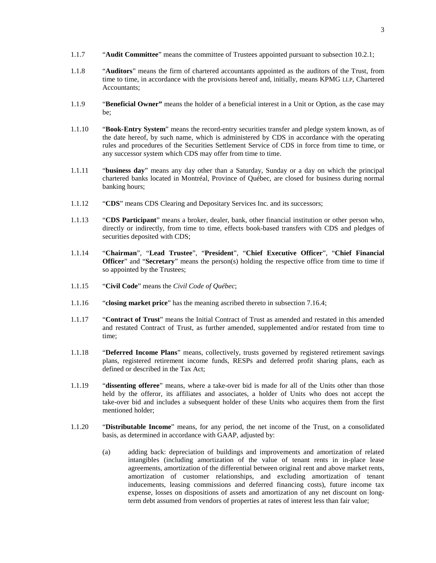- 1.1.7 "**Audit Committee**" means the committee of Trustees appointed pursuant to subsection [10.2.1](#page-61-4);
- 1.1.8 "**Auditors**" means the firm of chartered accountants appointed as the auditors of the Trust, from time to time, in accordance with the provisions hereof and, initially, means KPMG LLP, Chartered Accountants;
- 1.1.9 "**Beneficial Owner"** means the holder of a beneficial interest in a Unit or Option, as the case may be;
- 1.1.10 "**Book-Entry System**" means the record-entry securities transfer and pledge system known, as of the date hereof, by such name, which is administered by CDS in accordance with the operating rules and procedures of the Securities Settlement Service of CDS in force from time to time, or any successor system which CDS may offer from time to time.
- 1.1.11 "**business day**" means any day other than a Saturday, Sunday or a day on which the principal chartered banks located in Montréal, Province of Québec, are closed for business during normal banking hours;
- 1.1.12 "**CDS**" means CDS Clearing and Depositary Services Inc. and its successors;
- 1.1.13 "**CDS Participant**" means a broker, dealer, bank, other financial institution or other person who, directly or indirectly, from time to time, effects book-based transfers with CDS and pledges of securities deposited with CDS;
- 1.1.14 "**Chairman**", "**Lead Trustee**", "**President**", "**Chief Executive Officer**", "**Chief Financial Officer**" and "**Secretary**" means the person(s) holding the respective office from time to time if so appointed by the Trustees;
- 1.1.15 "**Civil Code**" means the *Civil Code of Québec*;
- 1.1.16 "**closing market price**" has the meaning ascribed thereto in subsection [7.16.4](#page-44-1);
- 1.1.17 "**Contract of Trust**" means the Initial Contract of Trust as amended and restated in this amended and restated Contract of Trust, as further amended, supplemented and/or restated from time to time;
- 1.1.18 "**Deferred Income Plans**" means, collectively, trusts governed by registered retirement savings plans, registered retirement income funds, RESPs and deferred profit sharing plans, each as defined or described in the Tax Act;
- 1.1.19 "**dissenting offeree**" means, where a take-over bid is made for all of the Units other than those held by the offeror, its affiliates and associates, a holder of Units who does not accept the take-over bid and includes a subsequent holder of these Units who acquires them from the first mentioned holder;
- 1.1.20 "**Distributable Income**" means, for any period, the net income of the Trust, on a consolidated basis, as determined in accordance with GAAP, adjusted by:
	- (a) adding back: depreciation of buildings and improvements and amortization of related intangibles (including amortization of the value of tenant rents in in-place lease agreements, amortization of the differential between original rent and above market rents, amortization of customer relationships, and excluding amortization of tenant inducements, leasing commissions and deferred financing costs), future income tax expense, losses on dispositions of assets and amortization of any net discount on longterm debt assumed from vendors of properties at rates of interest less than fair value;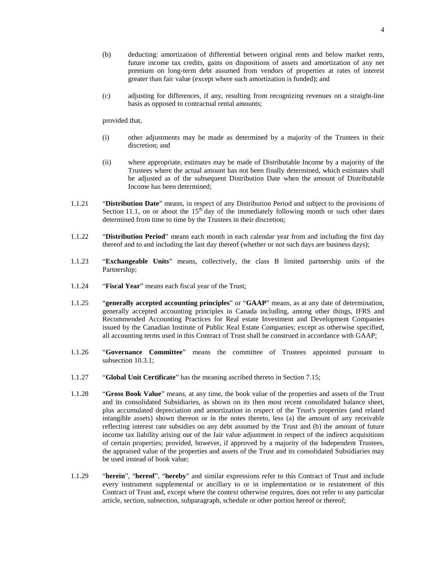- (b) deducting: amortization of differential between original rents and below market rents, future income tax credits, gains on dispositions of assets and amortization of any net premium on long-term debt assumed from vendors of properties at rates of interest greater than fair value (except where such amortization is funded); and
- (c) adjusting for differences, if any, resulting from recognizing revenues on a straight-line basis as opposed to contractual rental amounts;

provided that,

- (i) other adjustments may be made as determined by a majority of the Trustees in their discretion; and
- (ii) where appropriate, estimates may be made of Distributable Income by a majority of the Trustees where the actual amount has not been finally determined, which estimates shall be adjusted as of the subsequent Distribution Date when the amount of Distributable Income has been determined;
- 1.1.21 "**Distribution Date**" means, in respect of any Distribution Period and subject to the provisions of Section [11.1](#page-63-3), on or about the  $15<sup>th</sup>$  day of the immediately following month or such other dates determined from time to time by the Trustees in their discretion;
- 1.1.22 "**Distribution Period**" means each month in each calendar year from and including the first day thereof and to and including the last day thereof (whether or not such days are business days);
- 1.1.23 "**Exchangeable Units**" means, collectively, the class B limited partnership units of the Partnership;
- 1.1.24 "**Fiscal Year**" means each fiscal year of the Trust;
- 1.1.25 "**generally accepted accounting principles**" or "**GAAP**" means, as at any date of determination, generally accepted accounting principles in Canada including, among other things, IFRS and Recommended Accounting Practices for Real estate Investment and Development Companies issued by the Canadian Institute of Public Real Estate Companies; except as otherwise specified, all accounting terms used in this Contract of Trust shall be construed in accordance with GAAP;
- 1.1.26 "**Governance Committee**" means the committee of Trustees appointed pursuant to subsection [10.3.1;](#page-61-5)
- 1.1.27 "**Global Unit Certificate**" has the meaning ascribed thereto in Section [7.15;](#page-43-0)
- 1.1.28 "**Gross Book Value**" means, at any time, the book value of the properties and assets of the Trust and its consolidated Subsidiaries, as shown on its then most recent consolidated balance sheet, plus accumulated depreciation and amortization in respect of the Trust's properties (and related intangible assets) shown thereon or in the notes thereto, less (a) the amount of any receivable reflecting interest rate subsidies on any debt assumed by the Trust and (b) the amount of future income tax liability arising out of the fair value adjustment in respect of the indirect acquisitions of certain properties; provided, however, if approved by a majority of the Independent Trustees, the appraised value of the properties and assets of the Trust and its consolidated Subsidiaries may be used instead of book value;
- 1.1.29 "**herein**", "**hereof**", "**hereby**" and similar expressions refer to this Contract of Trust and include every instrument supplemental or ancillary to or in implementation or in restatement of this Contract of Trust and, except where the context otherwise requires, does not refer to any particular article, section, subsection, subparagraph, schedule or other portion hereof or thereof;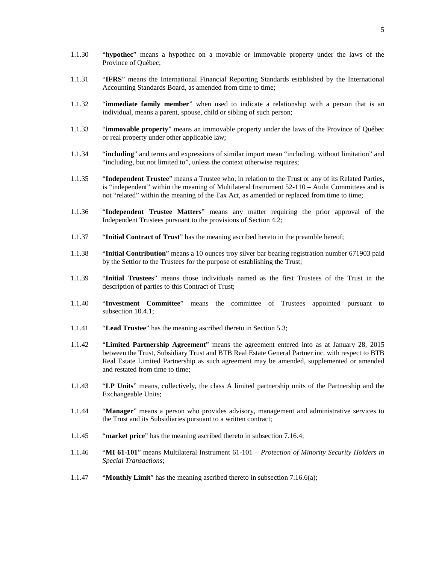- 1.1.30 "**hypothec**" means a hypothec on a movable or immovable property under the laws of the Province of Québec;
- 1.1.31 "**IFRS**" means the International Financial Reporting Standards established by the International Accounting Standards Board, as amended from time to time;
- 1.1.32 "**immediate family member**" when used to indicate a relationship with a person that is an individual, means a parent, spouse, child or sibling of such person;
- 1.1.33 "**immovable property**" means an immovable property under the laws of the Province of Québec or real property under other applicable law;
- 1.1.34 "**including**" and terms and expressions of similar import mean "including, without limitation" and "including, but not limited to", unless the context otherwise requires;
- 1.1.35 "**Independent Trustee**" means a Trustee who, in relation to the Trust or any of its Related Parties, is "independent" within the meaning of Multilateral Instrument 52-110 – Audit Committees and is not "related" within the meaning of the Tax Act, as amended or replaced from time to time;
- 1.1.36 "**Independent Trustee Matters**" means any matter requiring the prior approval of the Independent Trustees pursuant to the provisions of Section [4.2](#page-23-2);
- 1.1.37 "**Initial Contract of Trust**" has the meaning ascribed hereto in the preamble hereof;
- 1.1.38 "**Initial Contribution**" means a 10 ounces troy silver bar bearing registration number 671903 paid by the Settlor to the Trustees for the purpose of establishing the Trust;
- 1.1.39 "**Initial Trustees**" means those individuals named as the first Trustees of the Trust in the description of parties to this Contract of Trust;
- 1.1.40 "**Investment Committee**" means the committee of Trustees appointed pursuant to subsection [10.4.1;](#page-62-3)
- 1.1.41 "**Lead Trustee**" has the meaning ascribed thereto in Section [5.3](#page-33-1);
- 1.1.42 "**Limited Partnership Agreement**" means the agreement entered into as at January 28, 2015 between the Trust, Subsidiary Trust and BTB Real Estate General Partner inc. with respect to BTB Real Estate Limited Partnership as such agreement may be amended, supplemented or amended and restated from time to time;
- 1.1.43 "**LP Units**" means, collectively, the class A limited partnership units of the Partnership and the Exchangeable Units;
- 1.1.44 "**Manager**" means a person who provides advisory, management and administrative services to the Trust and its Subsidiaries pursuant to a written contract;
- 1.1.45 "**market price**" has the meaning ascribed thereto in subsection [7.16.4](#page-44-1);
- 1.1.46 "**MI 61-101**" means Multilateral Instrument 61-101 *Protection of Minority Security Holders in Special Transactions*;
- 1.1.47 "**Monthly Limit**" has the meaning ascribed thereto in subsection [7.16.6](#page-45-0)(a);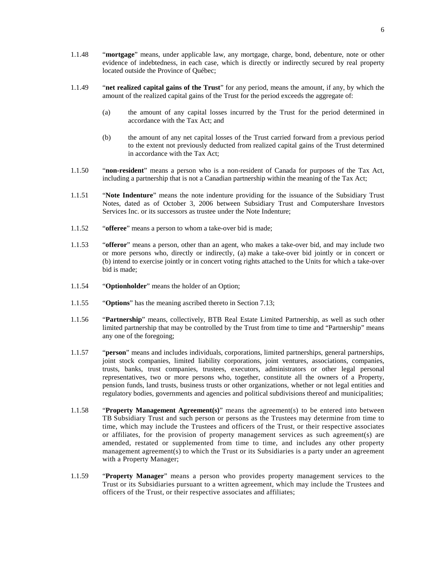- 1.1.48 "**mortgage**" means, under applicable law, any mortgage, charge, bond, debenture, note or other evidence of indebtedness, in each case, which is directly or indirectly secured by real property located outside the Province of Québec;
- 1.1.49 "**net realized capital gains of the Trust**" for any period, means the amount, if any, by which the amount of the realized capital gains of the Trust for the period exceeds the aggregate of:
	- (a) the amount of any capital losses incurred by the Trust for the period determined in accordance with the Tax Act; and
	- (b) the amount of any net capital losses of the Trust carried forward from a previous period to the extent not previously deducted from realized capital gains of the Trust determined in accordance with the Tax Act;
- 1.1.50 "**non-resident**" means a person who is a non-resident of Canada for purposes of the Tax Act, including a partnership that is not a Canadian partnership within the meaning of the Tax Act;
- 1.1.51 "**Note Indenture**" means the note indenture providing for the issuance of the Subsidiary Trust Notes, dated as of October 3, 2006 between Subsidiary Trust and Computershare Investors Services Inc. or its successors as trustee under the Note Indenture;
- 1.1.52 "**offeree**" means a person to whom a take-over bid is made;
- 1.1.53 "**offeror**" means a person, other than an agent, who makes a take-over bid, and may include two or more persons who, directly or indirectly, (a) make a take-over bid jointly or in concert or (b) intend to exercise jointly or in concert voting rights attached to the Units for which a take-over bid is made;
- 1.1.54 "**Optionholder**" means the holder of an Option;
- 1.1.55 "**Options**" has the meaning ascribed thereto in Section [7.13](#page-41-0);
- 1.1.56 "**Partnership**" means, collectively, BTB Real Estate Limited Partnership, as well as such other limited partnership that may be controlled by the Trust from time to time and "Partnership" means any one of the foregoing;
- 1.1.57 "**person**" means and includes individuals, corporations, limited partnerships, general partnerships, joint stock companies, limited liability corporations, joint ventures, associations, companies, trusts, banks, trust companies, trustees, executors, administrators or other legal personal representatives, two or more persons who, together, constitute all the owners of a Property, pension funds, land trusts, business trusts or other organizations, whether or not legal entities and regulatory bodies, governments and agencies and political subdivisions thereof and municipalities;
- 1.1.58 "**Property Management Agreement(s)**" means the agreement(s) to be entered into between TB Subsidiary Trust and such person or persons as the Trustees may determine from time to time, which may include the Trustees and officers of the Trust, or their respective associates or affiliates, for the provision of property management services as such agreement(s) are amended, restated or supplemented from time to time, and includes any other property management agreement(s) to which the Trust or its Subsidiaries is a party under an agreement with a Property Manager;
- 1.1.59 "**Property Manager**" means a person who provides property management services to the Trust or its Subsidiaries pursuant to a written agreement, which may include the Trustees and officers of the Trust, or their respective associates and affiliates;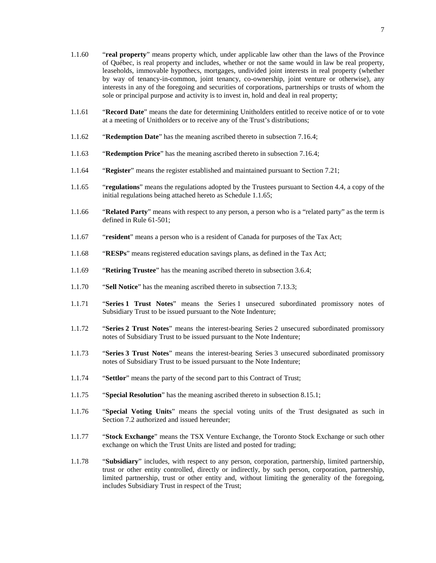- 1.1.60 "**real property**" means property which, under applicable law other than the laws of the Province of Québec, is real property and includes, whether or not the same would in law be real property, leaseholds, immovable hypothecs, mortgages, undivided joint interests in real property (whether by way of tenancy-in-common, joint tenancy, co-ownership, joint venture or otherwise), any interests in any of the foregoing and securities of corporations, partnerships or trusts of whom the sole or principal purpose and activity is to invest in, hold and deal in real property;
- 1.1.61 "**Record Date**" means the date for determining Unitholders entitled to receive notice of or to vote at a meeting of Unitholders or to receive any of the Trust's distributions;
- 1.1.62 "**Redemption Date**" has the meaning ascribed thereto in subsection [7.16.4;](#page-44-1)
- 1.1.63 "**Redemption Price**" has the meaning ascribed thereto in subsection [7.16.4;](#page-44-1)
- 1.1.64 "**Register**" means the register established and maintained pursuant to Section [7.21](#page-48-1);
- <span id="page-11-0"></span>1.1.65 "**regulations**" means the regulations adopted by the Trustees pursuant to Section [4.4,](#page-28-0) a copy of the initial regulations being attached hereto as Schedule [1.1.65;](#page-11-0)
- 1.1.66 "**Related Party**" means with respect to any person, a person who is a "related party" as the term is defined in Rule 61-501;
- 1.1.67 "**resident**" means a person who is a resident of Canada for purposes of the Tax Act;
- 1.1.68 "**RESPs**" means registered education savings plans, as defined in the Tax Act;
- 1.1.69 "**Retiring Trustee**" has the meaning ascribed thereto in subsection [3.6.4;](#page-21-2)
- 1.1.70 "**Sell Notice**" has the meaning ascribed thereto in subsection [7.13.3](#page-41-1);
- 1.1.71 "**Series 1 Trust Notes**" means the Series 1 unsecured subordinated promissory notes of Subsidiary Trust to be issued pursuant to the Note Indenture;
- 1.1.72 "**Series 2 Trust Notes**" means the interest-bearing Series 2 unsecured subordinated promissory notes of Subsidiary Trust to be issued pursuant to the Note Indenture;
- 1.1.73 "**Series 3 Trust Notes**" means the interest-bearing Series 3 unsecured subordinated promissory notes of Subsidiary Trust to be issued pursuant to the Note Indenture;
- 1.1.74 "**Settlor**" means the party of the second part to this Contract of Trust;
- 1.1.75 "**Special Resolution**" has the meaning ascribed thereto in subsection [8.15.1;](#page-58-5)
- 1.1.76 "**Special Voting Units**" means the special voting units of the Trust designated as such in Section [7.2](#page-38-3) authorized and issued hereunder;
- 1.1.77 "**Stock Exchange**" means the TSX Venture Exchange, the Toronto Stock Exchange or such other exchange on which the Trust Units are listed and posted for trading;
- 1.1.78 "**Subsidiary**" includes, with respect to any person, corporation, partnership, limited partnership, trust or other entity controlled, directly or indirectly, by such person, corporation, partnership, limited partnership, trust or other entity and, without limiting the generality of the foregoing, includes Subsidiary Trust in respect of the Trust;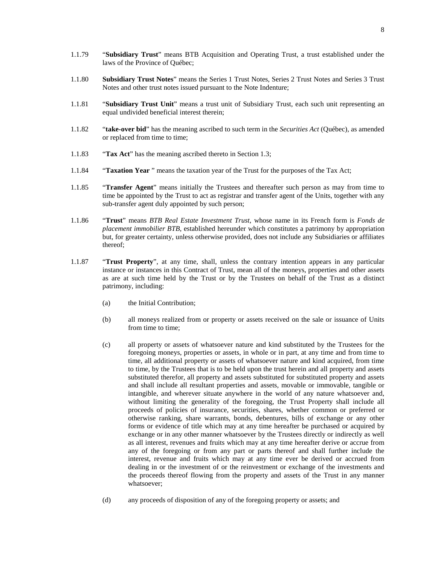- 1.1.79 "**Subsidiary Trust**" means BTB Acquisition and Operating Trust, a trust established under the laws of the Province of Québec;
- 1.1.80 **Subsidiary Trust Notes**" means the Series 1 Trust Notes, Series 2 Trust Notes and Series 3 Trust Notes and other trust notes issued pursuant to the Note Indenture;
- 1.1.81 "**Subsidiary Trust Unit**" means a trust unit of Subsidiary Trust, each such unit representing an equal undivided beneficial interest therein;
- 1.1.82 "**take-over bid**" has the meaning ascribed to such term in the *Securities Act* (Québec), as amended or replaced from time to time;
- 1.1.83 "**Tax Act**" has the meaning ascribed thereto in Section [1.3](#page-13-1);
- 1.1.84 "**Taxation Year** " means the taxation year of the Trust for the purposes of the Tax Act;
- 1.1.85 "**Transfer Agent**" means initially the Trustees and thereafter such person as may from time to time be appointed by the Trust to act as registrar and transfer agent of the Units, together with any sub-transfer agent duly appointed by such person;
- 1.1.86 "**Trust**" means *BTB Real Estate Investment Trust*, whose name in its French form is *Fonds de placement immobilier BTB*, established hereunder which constitutes a patrimony by appropriation but, for greater certainty, unless otherwise provided, does not include any Subsidiaries or affiliates thereof;
- 1.1.87 "**Trust Property**", at any time, shall, unless the contrary intention appears in any particular instance or instances in this Contract of Trust, mean all of the moneys, properties and other assets as are at such time held by the Trust or by the Trustees on behalf of the Trust as a distinct patrimony, including:
	- (a) the Initial Contribution;
	- (b) all moneys realized from or property or assets received on the sale or issuance of Units from time to time;
	- (c) all property or assets of whatsoever nature and kind substituted by the Trustees for the foregoing moneys, properties or assets, in whole or in part, at any time and from time to time, all additional property or assets of whatsoever nature and kind acquired, from time to time, by the Trustees that is to be held upon the trust herein and all property and assets substituted therefor, all property and assets substituted for substituted property and assets and shall include all resultant properties and assets, movable or immovable, tangible or intangible, and wherever situate anywhere in the world of any nature whatsoever and, without limiting the generality of the foregoing, the Trust Property shall include all proceeds of policies of insurance, securities, shares, whether common or preferred or otherwise ranking, share warrants, bonds, debentures, bills of exchange or any other forms or evidence of title which may at any time hereafter be purchased or acquired by exchange or in any other manner whatsoever by the Trustees directly or indirectly as well as all interest, revenues and fruits which may at any time hereafter derive or accrue from any of the foregoing or from any part or parts thereof and shall further include the interest, revenue and fruits which may at any time ever be derived or accrued from dealing in or the investment of or the reinvestment or exchange of the investments and the proceeds thereof flowing from the property and assets of the Trust in any manner whatsoever;
	- (d) any proceeds of disposition of any of the foregoing property or assets; and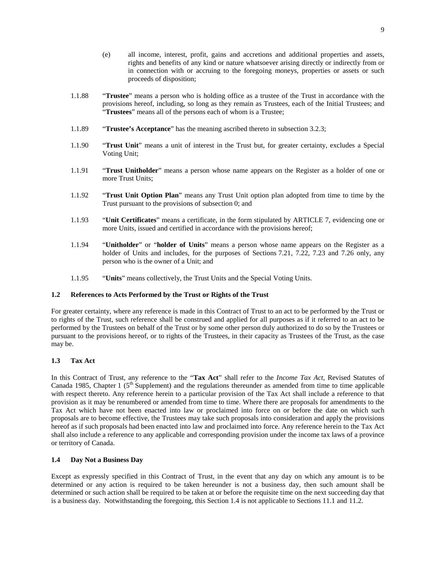- (e) all income, interest, profit, gains and accretions and additional properties and assets, rights and benefits of any kind or nature whatsoever arising directly or indirectly from or in connection with or accruing to the foregoing moneys, properties or assets or such proceeds of disposition;
- 1.1.88 "**Trustee**" means a person who is holding office as a trustee of the Trust in accordance with the provisions hereof, including, so long as they remain as Trustees, each of the Initial Trustees; and "**Trustees**" means all of the persons each of whom is a Trustee;
- 1.1.89 "**Trustee's Acceptance**" has the meaning ascribed thereto in subsection [3.2.3](#page-18-3);
- 1.1.90 "**Trust Unit**" means a unit of interest in the Trust but, for greater certainty, excludes a Special Voting Unit;
- 1.1.91 "**Trust Unitholder**" means a person whose name appears on the Register as a holder of one or more Trust Units;
- 1.1.92 "**Trust Unit Option Plan**" means any Trust Unit option plan adopted from time to time by the Trust pursuant to the provisions of subsection [0](#page-53-6); and
- 1.1.93 "**Unit Certificates**" means a certificate, in the form stipulatedby [ARTICLE 7,](#page-38-1) evidencing one or more Units, issued and certified in accordance with the provisions hereof;
- 1.1.94 "**Unitholder**" or "**holder of Units**" means a person whose name appears on the Register as a holder of Units and includes, for the purposes of Sections [7.21,](#page-48-1) [7.22,](#page-49-0) [7.23](#page-49-1)and [7.26](#page-50-0) only, any person who is the owner of a Unit; and
- <span id="page-13-0"></span>1.1.95 "**Units**" means collectively, the Trust Units and the Special Voting Units.

#### **1.2 References to Acts Performed by the Trust or Rights of the Trust**

For greater certainty, where any reference is made in this Contract of Trust to an act to be performed by the Trust or to rights of the Trust, such reference shall be construed and applied for all purposes as if it referred to an act to be performed by the Trustees on behalf of the Trust or by some other person duly authorized to do so by the Trustees or pursuant to the provisions hereof, or to rights of the Trustees, in their capacity as Trustees of the Trust, as the case may be.

# <span id="page-13-1"></span>**1.3 Tax Act**

In this Contract of Trust, any reference to the "**Tax Act**" shall refer to the *Income Tax Act*, Revised Statutes of Canada 1985, Chapter 1 ( $5<sup>th</sup>$  Supplement) and the regulations thereunder as amended from time to time applicable with respect thereto. Any reference herein to a particular provision of the Tax Act shall include a reference to that provision as it may be renumbered or amended from time to time. Where there are proposals for amendments to the Tax Act which have not been enacted into law or proclaimed into force on or before the date on which such proposals are to become effective, the Trustees may take such proposals into consideration and apply the provisions hereof as if such proposals had been enacted into law and proclaimed into force. Any reference herein to the Tax Act shall also include a reference to any applicable and corresponding provision under the income tax laws of a province or territory of Canada.

#### <span id="page-13-2"></span>**1.4 Day Not a Business Day**

Except as expressly specified in this Contract of Trust, in the event that any day on which any amount is to be determined or any action is required to be taken hereunder is not a business day, then such amount shall be determined or such action shall be required to be taken at or before the requisite time on the next succeeding day that is a business day. Notwithstanding the foregoing, this Section [1.4](#page-13-2) is not applicable to Sections [11.1](#page-63-3)and [11.2.](#page-64-0)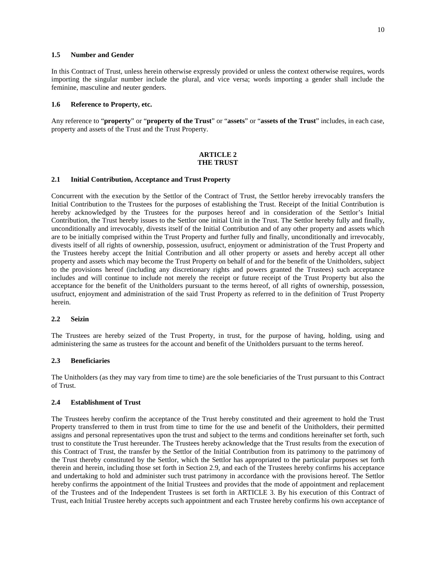# <span id="page-14-0"></span>**1.5 Number and Gender**

In this Contract of Trust, unless herein otherwise expressly provided or unless the context otherwise requires, words importing the singular number include the plural, and vice versa; words importing a gender shall include the feminine, masculine and neuter genders.

#### <span id="page-14-1"></span>**1.6 Reference to Property, etc.**

Any reference to "**property**" or "**property of the Trust**" or "**assets**" or "**assets of the Trust**" includes, in each case, property and assets of the Trust and the Trust Property.

#### <span id="page-14-2"></span>**ARTICLE 2 THE TRUST**

#### <span id="page-14-3"></span>**2.1 Initial Contribution, Acceptance and Trust Property**

Concurrent with the execution by the Settlor of the Contract of Trust, the Settlor hereby irrevocably transfers the Initial Contribution to the Trustees for the purposes of establishing the Trust. Receipt of the Initial Contribution is hereby acknowledged by the Trustees for the purposes hereof and in consideration of the Settlor's Initial Contribution, the Trust hereby issues to the Settlor one initial Unit in the Trust. The Settlor hereby fully and finally, unconditionally and irrevocably, divests itself of the Initial Contribution and of any other property and assets which are to be initially comprised within the Trust Property and further fully and finally, unconditionally and irrevocably, divests itself of all rights of ownership, possession, usufruct, enjoyment or administration of the Trust Property and the Trustees hereby accept the Initial Contribution and all other property or assets and hereby accept all other property and assets which may become the Trust Property on behalf of and for the benefit of the Unitholders, subject to the provisions hereof (including any discretionary rights and powers granted the Trustees) such acceptance includes and will continue to include not merely the receipt or future receipt of the Trust Property but also the acceptance for the benefit of the Unitholders pursuant to the terms hereof, of all rights of ownership, possession, usufruct, enjoyment and administration of the said Trust Property as referred to in the definition of Trust Property herein.

#### <span id="page-14-4"></span>**2.2 Seizin**

The Trustees are hereby seized of the Trust Property, in trust, for the purpose of having, holding, using and administering the same as trustees for the account and benefit of the Unitholders pursuant to the terms hereof.

#### <span id="page-14-5"></span>**2.3 Beneficiaries**

The Unitholders (as they may vary from time to time) are the sole beneficiaries of the Trust pursuant to this Contract of Trust.

## <span id="page-14-6"></span>**2.4 Establishment of Trust**

The Trustees hereby confirm the acceptance of the Trust hereby constituted and their agreement to hold the Trust Property transferred to them in trust from time to time for the use and benefit of the Unitholders, their permitted assigns and personal representatives upon the trust and subject to the terms and conditions hereinafter set forth, such trust to constitute the Trust hereunder. The Trustees hereby acknowledge that the Trust results from the execution of this Contract of Trust, the transfer by the Settlor of the Initial Contribution from its patrimony to the patrimony of the Trust thereby constituted by the Settlor, which the Settlor has appropriated to the particular purposes set forth therein and herein, including those set forth in Section [2.9,](#page-16-0) and each of the Trustees hereby confirms his acceptance and undertaking to hold and administer such trust patrimony in accordance with the provisions hereof. The Settlor hereby confirms the appointment of the Initial Trustees and provides that the mode of appointment and replacement of the Trustees and of the Independent Trustees is set forthin [ARTICLE 3](#page-18-0). By his execution of this Contract of Trust, each Initial Trustee hereby accepts such appointment and each Trustee hereby confirms his own acceptance of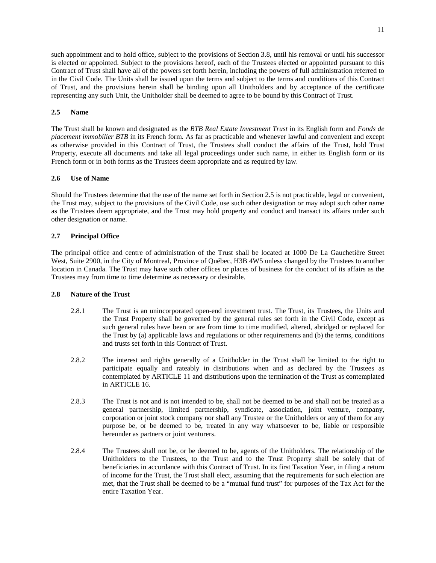such appointment and to hold office, subject to the provisions of Section [3.8](#page-22-0), until his removal or until his successor is elected or appointed. Subject to the provisions hereof, each of the Trustees elected or appointed pursuant to this Contract of Trust shall have all of the powers set forth herein, including the powers of full administration referred to in the Civil Code. The Units shall be issued upon the terms and subject to the terms and conditions of this Contract of Trust, and the provisions herein shall be binding upon all Unitholders and by acceptance of the certificate representing any such Unit, the Unitholder shall be deemed to agree to be bound by this Contract of Trust.

# <span id="page-15-0"></span>**2.5 Name**

The Trust shall be known and designated as the *BTB Real Estate Investment Trust* in its English form and *Fonds de placement immobilier BTB* in its French form. As far as practicable and whenever lawful and convenient and except as otherwise provided in this Contract of Trust, the Trustees shall conduct the affairs of the Trust, hold Trust Property, execute all documents and take all legal proceedings under such name, in either its English form or its French form or in both forms as the Trustees deem appropriate and as required by law.

## <span id="page-15-1"></span>**2.6 Use of Name**

Should the Trustees determine that the use of the name set forth in Section [2.5](#page-15-0) is not practicable, legal or convenient, the Trust may, subject to the provisions of the Civil Code, use such other designation or may adopt such other name as the Trustees deem appropriate, and the Trust may hold property and conduct and transact its affairs under such other designation or name.

# <span id="page-15-2"></span>**2.7 Principal Office**

The principal office and centre of administration of the Trust shall be located at 1000 De La Gauchetière Street West, Suite 2900, in the City of Montreal, Province of Québec, H3B 4W5 unless changed by the Trustees to another location in Canada. The Trust may have such other offices or places of business for the conduct of its affairs as the Trustees may from time to time determine as necessary or desirable.

#### <span id="page-15-3"></span>**2.8 Nature of the Trust**

- 2.8.1 The Trust is an unincorporated open-end investment trust. The Trust, its Trustees, the Units and the Trust Property shall be governed by the general rules set forth in the Civil Code, except as such general rules have been or are from time to time modified, altered, abridged or replaced for the Trust by (a) applicable laws and regulations or other requirements and (b) the terms, conditions and trusts set forth in this Contract of Trust.
- 2.8.2 The interest and rights generally of a Unitholder in the Trust shall be limited to the right to participate equally and rateably in distributions when and as declared by the Trustees as contemplatedby [ARTICLE 11](#page-63-2) and distributions upon the termination of the Trust as contemplated in [ARTICLE 16](#page-69-2).
- 2.8.3 The Trust is not and is not intended to be, shall not be deemed to be and shall not be treated as a general partnership, limited partnership, syndicate, association, joint venture, company, corporation or joint stock company nor shall any Trustee or the Unitholders or any of them for any purpose be, or be deemed to be, treated in any way whatsoever to be, liable or responsible hereunder as partners or joint venturers.
- 2.8.4 The Trustees shall not be, or be deemed to be, agents of the Unitholders. The relationship of the Unitholders to the Trustees, to the Trust and to the Trust Property shall be solely that of beneficiaries in accordance with this Contract of Trust. In its first Taxation Year, in filing a return of income for the Trust, the Trust shall elect, assuming that the requirements for such election are met, that the Trust shall be deemed to be a "mutual fund trust" for purposes of the Tax Act for the entire Taxation Year.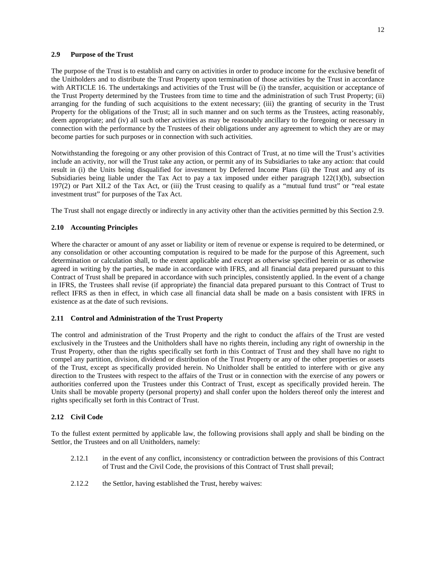#### <span id="page-16-0"></span>**2.9 Purpose of the Trust**

The purpose of the Trust is to establish and carry on activities in order to produce income for the exclusive benefit of the Unitholders and to distribute the Trust Property upon termination of those activities by the Trust in accordance with [ARTICLE 16.](#page-69-2) The undertakings and activities of the Trust will be (i) the transfer, acquisition or acceptance of the Trust Property determined by the Trustees from time to time and the administration of such Trust Property; (ii) arranging for the funding of such acquisitions to the extent necessary; (iii) the granting of security in the Trust Property for the obligations of the Trust; all in such manner and on such terms as the Trustees, acting reasonably, deem appropriate; and (iv) all such other activities as may be reasonably ancillary to the foregoing or necessary in connection with the performance by the Trustees of their obligations under any agreement to which they are or may become parties for such purposes or in connection with such activities.

Notwithstanding the foregoing or any other provision of this Contract of Trust, at no time will the Trust's activities include an activity, nor will the Trust take any action, or permit any of its Subsidiaries to take any action: that could result in (i) the Units being disqualified for investment by Deferred Income Plans (ii) the Trust and any of its Subsidiaries being liable under the Tax Act to pay a tax imposed under either paragraph 122(1)(b), subsection 197(2) or Part XII.2 of the Tax Act, or (iii) the Trust ceasing to qualify as a "mutual fund trust" or "real estate investment trust" for purposes of the Tax Act.

The Trust shall not engage directly or indirectly in any activity other than the activities permitted by this Section [2.9.](#page-16-0)

# <span id="page-16-1"></span>**2.10 Accounting Principles**

Where the character or amount of any asset or liability or item of revenue or expense is required to be determined, or any consolidation or other accounting computation is required to be made for the purpose of this Agreement, such determination or calculation shall, to the extent applicable and except as otherwise specified herein or as otherwise agreed in writing by the parties, be made in accordance with IFRS, and all financial data prepared pursuant to this Contract of Trust shall be prepared in accordance with such principles, consistently applied. In the event of a change in IFRS, the Trustees shall revise (if appropriate) the financial data prepared pursuant to this Contract of Trust to reflect IFRS as then in effect, in which case all financial data shall be made on a basis consistent with IFRS in existence as at the date of such revisions.

#### <span id="page-16-2"></span>**2.11 Control and Administration of the Trust Property**

The control and administration of the Trust Property and the right to conduct the affairs of the Trust are vested exclusively in the Trustees and the Unitholders shall have no rights therein, including any right of ownership in the Trust Property, other than the rights specifically set forth in this Contract of Trust and they shall have no right to compel any partition, division, dividend or distribution of the Trust Property or any of the other properties or assets of the Trust, except as specifically provided herein. No Unitholder shall be entitled to interfere with or give any direction to the Trustees with respect to the affairs of the Trust or in connection with the exercise of any powers or authorities conferred upon the Trustees under this Contract of Trust, except as specifically provided herein. The Units shall be movable property (personal property) and shall confer upon the holders thereof only the interest and rights specifically set forth in this Contract of Trust.

#### <span id="page-16-3"></span>**2.12 Civil Code**

To the fullest extent permitted by applicable law, the following provisions shall apply and shall be binding on the Settlor, the Trustees and on all Unitholders, namely:

- 2.12.1 in the event of any conflict, inconsistency or contradiction between the provisions of this Contract of Trust and the Civil Code, the provisions of this Contract of Trust shall prevail;
- 2.12.2 the Settlor, having established the Trust, hereby waives: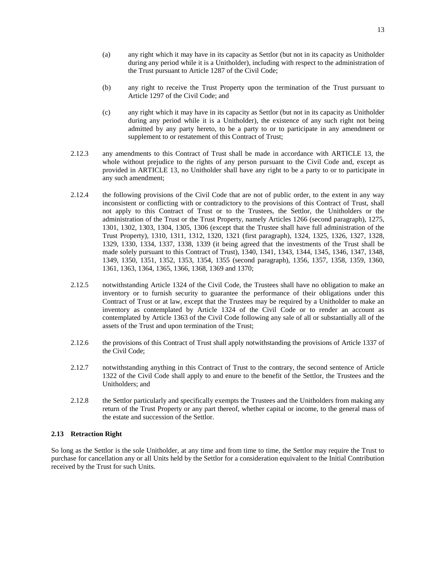- (a) any right which it may have in its capacity as Settlor (but not in its capacity as Unitholder during any period while it is a Unitholder), including with respect to the administration of the Trust pursuant to Article 1287 of the Civil Code;
- (b) any right to receive the Trust Property upon the termination of the Trust pursuant to Article 1297 of the Civil Code; and
- (c) any right which it may have in its capacity as Settlor (but not in its capacity as Unitholder during any period while it is a Unitholder), the existence of any such right not being admitted by any party hereto, to be a party to or to participate in any amendment or supplement to or restatement of this Contract of Trust;
- 2.12.3 any amendments to this Contract of Trust shall be made in accordancewith [ARTICLE 13,](#page-66-2) the whole without prejudice to the rights of any person pursuant to the Civil Code and, except as providedin [ARTICLE 13](#page-66-2), no Unitholder shall have any right to be a party to or to participate in any such amendment;
- 2.12.4 the following provisions of the Civil Code that are not of public order, to the extent in any way inconsistent or conflicting with or contradictory to the provisions of this Contract of Trust, shall not apply to this Contract of Trust or to the Trustees, the Settlor, the Unitholders or the administration of the Trust or the Trust Property, namely Articles 1266 (second paragraph), 1275, 1301, 1302, 1303, 1304, 1305, 1306 (except that the Trustee shall have full administration of the Trust Property), 1310, 1311, 1312, 1320, 1321 (first paragraph), 1324, 1325, 1326, 1327, 1328, 1329, 1330, 1334, 1337, 1338, 1339 (it being agreed that the investments of the Trust shall be made solely pursuant to this Contract of Trust), 1340, 1341, 1343, 1344, 1345, 1346, 1347, 1348, 1349, 1350, 1351, 1352, 1353, 1354, 1355 (second paragraph), 1356, 1357, 1358, 1359, 1360, 1361, 1363, 1364, 1365, 1366, 1368, 1369 and 1370;
- 2.12.5 notwithstanding Article 1324 of the Civil Code, the Trustees shall have no obligation to make an inventory or to furnish security to guarantee the performance of their obligations under this Contract of Trust or at law, except that the Trustees may be required by a Unitholder to make an inventory as contemplated by Article 1324 of the Civil Code or to render an account as contemplated by Article 1363 of the Civil Code following any sale of all or substantially all of the assets of the Trust and upon termination of the Trust;
- 2.12.6 the provisions of this Contract of Trust shall apply notwithstanding the provisions of Article 1337 of the Civil Code;
- 2.12.7 notwithstanding anything in this Contract of Trust to the contrary, the second sentence of Article 1322 of the Civil Code shall apply to and enure to the benefit of the Settlor, the Trustees and the Unitholders; and
- 2.12.8 the Settlor particularly and specifically exempts the Trustees and the Unitholders from making any return of the Trust Property or any part thereof, whether capital or income, to the general mass of the estate and succession of the Settlor.

# <span id="page-17-0"></span>**2.13 Retraction Right**

So long as the Settlor is the sole Unitholder, at any time and from time to time, the Settlor may require the Trust to purchase for cancellation any or all Units held by the Settlor for a consideration equivalent to the Initial Contribution received by the Trust for such Units.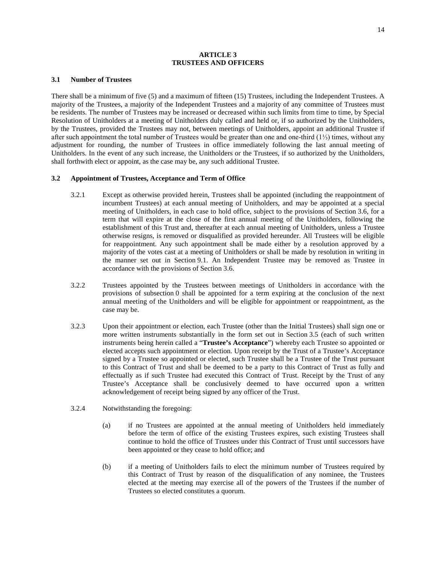#### <span id="page-18-0"></span>**ARTICLE 3 TRUSTEES AND OFFICERS**

#### <span id="page-18-1"></span>**3.1 Number of Trustees**

<span id="page-18-4"></span>There shall be a minimum of five (5) and a maximum of fifteen (15) Trustees, including the Independent Trustees. A majority of the Trustees, a majority of the Independent Trustees and a majority of any committee of Trustees must be residents. The number of Trustees may be increased or decreased within such limits from time to time, by Special Resolution of Unitholders at a meeting of Unitholders duly called and held or, if so authorized by the Unitholders, by the Trustees, provided the Trustees may not, between meetings of Unitholders, appoint an additional Trustee if after such appointment the total number of Trustees would be greater than one and one-third (1⅓) times, without any adjustment for rounding, the number of Trustees in office immediately following the last annual meeting of Unitholders. In the event of any such increase, the Unitholders or the Trustees, if so authorized by the Unitholders, shall forthwith elect or appoint, as the case may be, any such additional Trustee.

#### <span id="page-18-2"></span>**3.2 Appointment of Trustees, Acceptance and Term of Office**

- 3.2.1 Except as otherwise provided herein, Trustees shall be appointed (including the reappointment of incumbent Trustees) at each annual meeting of Unitholders, and may be appointed at a special meeting of Unitholders, in each case to hold office, subject to the provisions of Section [3.6](#page-21-0), for a term that will expire at the close of the first annual meeting of the Unitholders, following the establishment of this Trust and, thereafter at each annual meeting of Unitholders, unless a Trustee otherwise resigns, is removed or disqualified as provided hereunder. All Trustees will be eligible for reappointment. Any such appointment shall be made either by a resolution approved by a majority of the votes cast at a meeting of Unitholders or shall be made by resolution in writing in the manner set out in Section [9.1.](#page-59-2) An Independent Trustee may be removed as Trustee in accordance with the provisions of Section [3.6.](#page-21-0)
- 3.2.2 Trustees appointed by the Trustees between meetings of Unitholders in accordance with the provisions of subsection [0](#page-18-4) shall be appointed for a term expiring at the conclusion of the next annual meeting of the Unitholders and will be eligible for appointment or reappointment, as the case may be.
- <span id="page-18-3"></span>3.2.3 Upon their appointment or election, each Trustee (other than the Initial Trustees) shall sign one or more written instruments substantially in the form set out in Section [3.5](#page-20-0) (each of such written instruments being herein called a "**Trustee's Acceptance**") whereby each Trustee so appointed or elected accepts such appointment or election. Upon receipt by the Trust of a Trustee's Acceptance signed by a Trustee so appointed or elected, such Trustee shall be a Trustee of the Trust pursuant to this Contract of Trust and shall be deemed to be a party to this Contract of Trust as fully and effectually as if such Trustee had executed this Contract of Trust. Receipt by the Trust of any Trustee's Acceptance shall be conclusively deemed to have occurred upon a written acknowledgement of receipt being signed by any officer of the Trust.
- 3.2.4 Notwithstanding the foregoing:
	- (a) if no Trustees are appointed at the annual meeting of Unitholders held immediately before the term of office of the existing Trustees expires, such existing Trustees shall continue to hold the office of Trustees under this Contract of Trust until successors have been appointed or they cease to hold office; and
	- (b) if a meeting of Unitholders fails to elect the minimum number of Trustees required by this Contract of Trust by reason of the disqualification of any nominee, the Trustees elected at the meeting may exercise all of the powers of the Trustees if the number of Trustees so elected constitutes a quorum.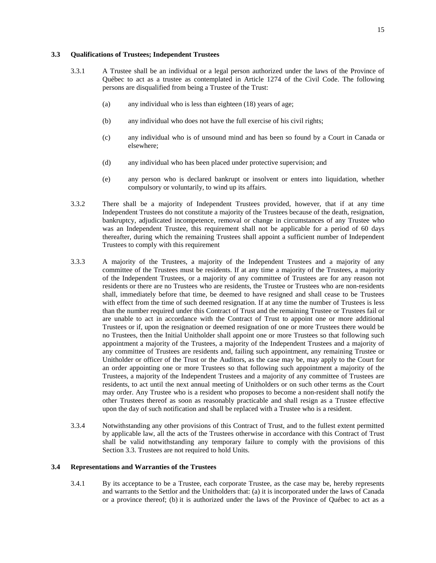# <span id="page-19-0"></span>**3.3 Qualifications of Trustees; Independent Trustees**

- 3.3.1 A Trustee shall be an individual or a legal person authorized under the laws of the Province of Québec to act as a trustee as contemplated in Article 1274 of the Civil Code. The following persons are disqualified from being a Trustee of the Trust:
	- (a) any individual who is less than eighteen (18) years of age;
	- (b) any individual who does not have the full exercise of his civil rights;
	- (c) any individual who is of unsound mind and has been so found by a Court in Canada or elsewhere;
	- (d) any individual who has been placed under protective supervision; and
	- (e) any person who is declared bankrupt or insolvent or enters into liquidation, whether compulsory or voluntarily, to wind up its affairs.
- 3.3.2 There shall be a majority of Independent Trustees provided, however, that if at any time Independent Trustees do not constitute a majority of the Trustees because of the death, resignation, bankruptcy, adjudicated incompetence, removal or change in circumstances of any Trustee who was an Independent Trustee, this requirement shall not be applicable for a period of 60 days thereafter, during which the remaining Trustees shall appoint a sufficient number of Independent Trustees to comply with this requirement
- 3.3.3 A majority of the Trustees, a majority of the Independent Trustees and a majority of any committee of the Trustees must be residents. If at any time a majority of the Trustees, a majority of the Independent Trustees, or a majority of any committee of Trustees are for any reason not residents or there are no Trustees who are residents, the Trustee or Trustees who are non-residents shall, immediately before that time, be deemed to have resigned and shall cease to be Trustees with effect from the time of such deemed resignation. If at any time the number of Trustees is less than the number required under this Contract of Trust and the remaining Trustee or Trustees fail or are unable to act in accordance with the Contract of Trust to appoint one or more additional Trustees or if, upon the resignation or deemed resignation of one or more Trustees there would be no Trustees, then the Initial Unitholder shall appoint one or more Trustees so that following such appointment a majority of the Trustees, a majority of the Independent Trustees and a majority of any committee of Trustees are residents and, failing such appointment, any remaining Trustee or Unitholder or officer of the Trust or the Auditors, as the case may be, may apply to the Court for an order appointing one or more Trustees so that following such appointment a majority of the Trustees, a majority of the Independent Trustees and a majority of any committee of Trustees are residents, to act until the next annual meeting of Unitholders or on such other terms as the Court may order. Any Trustee who is a resident who proposes to become a non-resident shall notify the other Trustees thereof as soon as reasonably practicable and shall resign as a Trustee effective upon the day of such notification and shall be replaced with a Trustee who is a resident.
- 3.3.4 Notwithstanding any other provisions of this Contract of Trust, and to the fullest extent permitted by applicable law, all the acts of the Trustees otherwise in accordance with this Contract of Trust shall be valid notwithstanding any temporary failure to comply with the provisions of this Section [3.3.](#page-19-0) Trustees are not required to hold Units.

#### <span id="page-19-1"></span>**3.4 Representations and Warranties of the Trustees**

3.4.1 By its acceptance to be a Trustee, each corporate Trustee, as the case may be, hereby represents and warrants to the Settlor and the Unitholders that: (a) it is incorporated under the laws of Canada or a province thereof; (b) it is authorized under the laws of the Province of Québec to act as a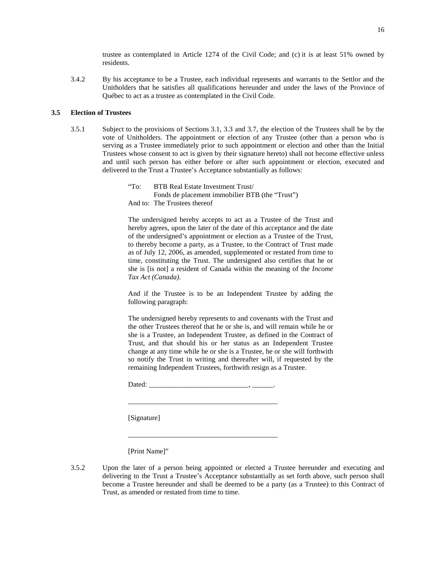trustee as contemplated in Article 1274 of the Civil Code; and (c) it is at least 51% owned by residents.

3.4.2 By his acceptance to be a Trustee, each individual represents and warrants to the Settlor and the Unitholders that he satisfies all qualifications hereunder and under the laws of the Province of Québec to act as a trustee as contemplated in the Civil Code.

# <span id="page-20-0"></span>**3.5 Election of Trustees**

3.5.1 Subject to the provisions of Sections [3.1,](#page-18-1) [3.3](#page-19-0)and [3.7](#page-21-1), the election of the Trustees shall be by the vote of Unitholders. The appointment or election of any Trustee (other than a person who is serving as a Trustee immediately prior to such appointment or election and other than the Initial Trustees whose consent to act is given by their signature hereto) shall not become effective unless and until such person has either before or after such appointment or election, executed and delivered to the Trust a Trustee's Acceptance substantially as follows:

> "To: BTB Real Estate Investment Trust/ Fonds de placement immobilier BTB (the "Trust") And to: The Trustees thereof

The undersigned hereby accepts to act as a Trustee of the Trust and hereby agrees, upon the later of the date of this acceptance and the date of the undersigned's appointment or election as a Trustee of the Trust, to thereby become a party, as a Trustee, to the Contract of Trust made as of July 12, 2006, as amended, supplemented or restated from time to time, constituting the Trust. The undersigned also certifies that he or she is [is not] a resident of Canada within the meaning of the *Income Tax Act (Canada)*.

And if the Trustee is to be an Independent Trustee by adding the following paragraph:

The undersigned hereby represents to and covenants with the Trust and the other Trustees thereof that he or she is, and will remain while he or she is a Trustee, an Independent Trustee, as defined in the Contract of Trust, and that should his or her status as an Independent Trustee change at any time while he or she is a Trustee, he or she will forthwith so notify the Trust in writing and thereafter will, if requested by the remaining Independent Trustees, forthwith resign as a Trustee.

Dated: \_\_\_\_\_\_\_\_\_\_\_\_\_\_\_\_\_\_\_\_\_\_\_\_\_\_\_\_, \_\_\_\_\_\_.

\_\_\_\_\_\_\_\_\_\_\_\_\_\_\_\_\_\_\_\_\_\_\_\_\_\_\_\_\_\_\_\_\_\_\_\_\_\_\_\_\_\_

\_\_\_\_\_\_\_\_\_\_\_\_\_\_\_\_\_\_\_\_\_\_\_\_\_\_\_\_\_\_\_\_\_\_\_\_\_\_\_\_\_\_

[Signature]

[Print Name]"

3.5.2 Upon the later of a person being appointed or elected a Trustee hereunder and executing and delivering to the Trust a Trustee's Acceptance substantially as set forth above, such person shall become a Trustee hereunder and shall be deemed to be a party (as a Trustee) to this Contract of Trust, as amended or restated from time to time.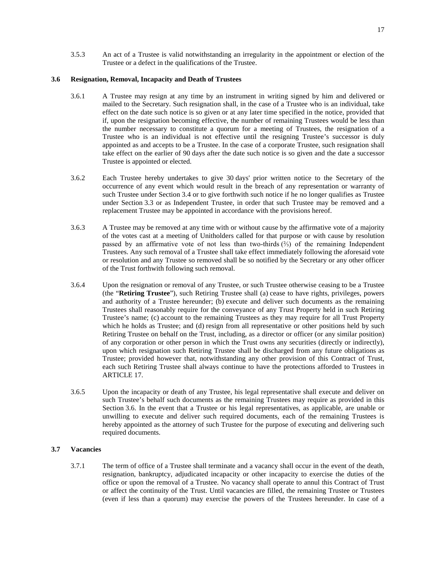<span id="page-21-0"></span>3.5.3 An act of a Trustee is valid notwithstanding an irregularity in the appointment or election of the Trustee or a defect in the qualifications of the Trustee.

# **3.6 Resignation, Removal, Incapacity and Death of Trustees**

- 3.6.1 A Trustee may resign at any time by an instrument in writing signed by him and delivered or mailed to the Secretary. Such resignation shall, in the case of a Trustee who is an individual, take effect on the date such notice is so given or at any later time specified in the notice, provided that if, upon the resignation becoming effective, the number of remaining Trustees would be less than the number necessary to constitute a quorum for a meeting of Trustees, the resignation of a Trustee who is an individual is not effective until the resigning Trustee's successor is duly appointed as and accepts to be a Trustee. In the case of a corporate Trustee, such resignation shall take effect on the earlier of 90 days after the date such notice is so given and the date a successor Trustee is appointed or elected.
- 3.6.2 Each Trustee hereby undertakes to give 30 days' prior written notice to the Secretary of the occurrence of any event which would result in the breach of any representation or warranty of such Trustee under Section [3.4](#page-19-1) or to give forthwith such notice if he no longer qualifies as Trustee under Section [3.3](#page-19-0) or as Independent Trustee, in order that such Trustee may be removed and a replacement Trustee may be appointed in accordance with the provisions hereof.
- 3.6.3 A Trustee may be removed at any time with or without cause by the affirmative vote of a majority of the votes cast at a meeting of Unitholders called for that purpose or with cause by resolution passed by an affirmative vote of not less than two-thirds  $(\frac{2}{3})$  of the remaining Independent Trustees. Any such removal of a Trustee shall take effect immediately following the aforesaid vote or resolution and any Trustee so removed shall be so notified by the Secretary or any other officer of the Trust forthwith following such removal.
- <span id="page-21-2"></span>3.6.4 Upon the resignation or removal of any Trustee, or such Trustee otherwise ceasing to be a Trustee (the "**Retiring Trustee**"), such Retiring Trustee shall (a) cease to have rights, privileges, powers and authority of a Trustee hereunder; (b) execute and deliver such documents as the remaining Trustees shall reasonably require for the conveyance of any Trust Property held in such Retiring Trustee's name; (c) account to the remaining Trustees as they may require for all Trust Property which he holds as Trustee; and (d) resign from all representative or other positions held by such Retiring Trustee on behalf on the Trust, including, as a director or officer (or any similar position) of any corporation or other person in which the Trust owns any securities (directly or indirectly), upon which resignation such Retiring Trustee shall be discharged from any future obligations as Trustee; provided however that, notwithstanding any other provision of this Contract of Trust, each such Retiring Trustee shall always continue to have the protections afforded to Trustees in [ARTICLE 17.](#page-70-3)
- 3.6.5 Upon the incapacity or death of any Trustee, his legal representative shall execute and deliver on such Trustee's behalf such documents as the remaining Trustees may require as provided in this Section [3.6.](#page-21-0) In the event that a Trustee or his legal representatives, as applicable, are unable or unwilling to execute and deliver such required documents, each of the remaining Trustees is hereby appointed as the attorney of such Trustee for the purpose of executing and delivering such required documents.

# <span id="page-21-1"></span>**3.7 Vacancies**

3.7.1 The term of office of a Trustee shall terminate and a vacancy shall occur in the event of the death, resignation, bankruptcy, adjudicated incapacity or other incapacity to exercise the duties of the office or upon the removal of a Trustee. No vacancy shall operate to annul this Contract of Trust or affect the continuity of the Trust. Until vacancies are filled, the remaining Trustee or Trustees (even if less than a quorum) may exercise the powers of the Trustees hereunder. In case of a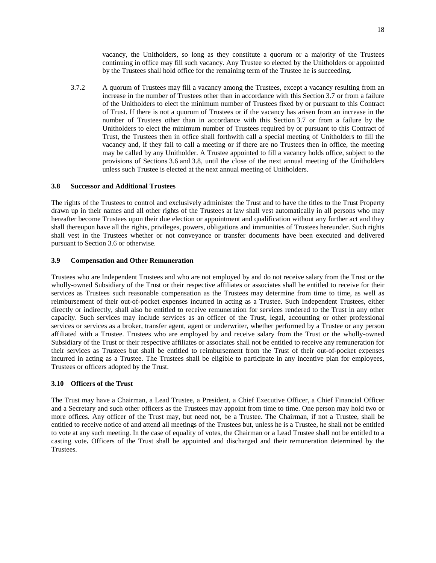vacancy, the Unitholders, so long as they constitute a quorum or a majority of the Trustees continuing in office may fill such vacancy. Any Trustee so elected by the Unitholders or appointed by the Trustees shall hold office for the remaining term of the Trustee he is succeeding.

3.7.2 A quorum of Trustees may fill a vacancy among the Trustees, except a vacancy resulting from an increase in the number of Trustees other than in accordance with this Section [3.7](#page-21-1) or from a failure of the Unitholders to elect the minimum number of Trustees fixed by or pursuant to this Contract of Trust. If there is not a quorum of Trustees or if the vacancy has arisen from an increase in the number of Trustees other than in accordance with this Section [3.7](#page-21-1) or from a failure by the Unitholders to elect the minimum number of Trustees required by or pursuant to this Contract of Trust, the Trustees then in office shall forthwith call a special meeting of Unitholders to fill the vacancy and, if they fail to call a meeting or if there are no Trustees then in office, the meeting may be called by any Unitholder. A Trustee appointed to fill a vacancy holds office, subject to the provisions of Sections [3.6](#page-21-0)and [3.8](#page-22-0), until the close of the next annual meeting of the Unitholders unless such Trustee is elected at the next annual meeting of Unitholders.

#### <span id="page-22-0"></span>**3.8 Successor and Additional Trustees**

The rights of the Trustees to control and exclusively administer the Trust and to have the titles to the Trust Property drawn up in their names and all other rights of the Trustees at law shall vest automatically in all persons who may hereafter become Trustees upon their due election or appointment and qualification without any further act and they shall thereupon have all the rights, privileges, powers, obligations and immunities of Trustees hereunder. Such rights shall vest in the Trustees whether or not conveyance or transfer documents have been executed and delivered pursuant to Section [3.6](#page-21-0) or otherwise.

#### <span id="page-22-1"></span>**3.9 Compensation and Other Remuneration**

Trustees who are Independent Trustees and who are not employed by and do not receive salary from the Trust or the wholly-owned Subsidiary of the Trust or their respective affiliates or associates shall be entitled to receive for their services as Trustees such reasonable compensation as the Trustees may determine from time to time, as well as reimbursement of their out-of-pocket expenses incurred in acting as a Trustee. Such Independent Trustees, either directly or indirectly, shall also be entitled to receive remuneration for services rendered to the Trust in any other capacity. Such services may include services as an officer of the Trust, legal, accounting or other professional services or services as a broker, transfer agent, agent or underwriter, whether performed by a Trustee or any person affiliated with a Trustee. Trustees who are employed by and receive salary from the Trust or the wholly-owned Subsidiary of the Trust or their respective affiliates or associates shall not be entitled to receive any remuneration for their services as Trustees but shall be entitled to reimbursement from the Trust of their out-of-pocket expenses incurred in acting as a Trustee. The Trustees shall be eligible to participate in any incentive plan for employees, Trustees or officers adopted by the Trust.

## <span id="page-22-2"></span>**3.10 Officers of the Trust**

The Trust may have a Chairman, a Lead Trustee, a President, a Chief Executive Officer, a Chief Financial Officer and a Secretary and such other officers as the Trustees may appoint from time to time. One person may hold two or more offices. Any officer of the Trust may, but need not, be a Trustee. The Chairman, if not a Trustee, shall be entitled to receive notice of and attend all meetings of the Trustees but, unless he is a Trustee, he shall not be entitled to vote at any such meeting. In the case of equality of votes, the Chairman or a Lead Trustee shall not be entitled to a casting vote**.** Officers of the Trust shall be appointed and discharged and their remuneration determined by the Trustees.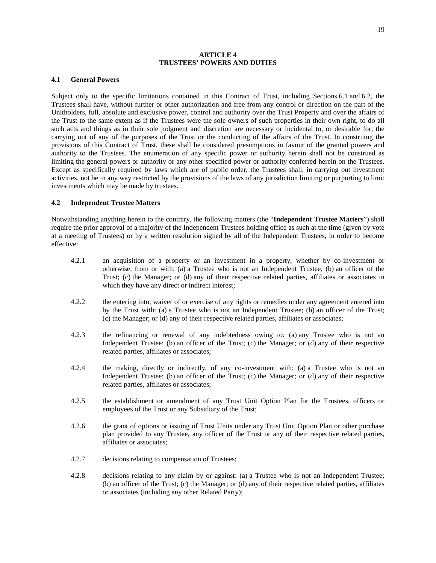#### <span id="page-23-0"></span>**ARTICLE 4 TRUSTEES' POWERS AND DUTIES**

#### <span id="page-23-1"></span>**4.1 General Powers**

Subject only to the specific limitations contained in this Contract of Trust, including Sections [6.1](#page-34-1)and [6.2,](#page-36-0) the Trustees shall have, without further or other authorization and free from any control or direction on the part of the Unitholders, full, absolute and exclusive power, control and authority over the Trust Property and over the affairs of the Trust to the same extent as if the Trustees were the sole owners of such properties in their own right, to do all such acts and things as in their sole judgment and discretion are necessary or incidental to, or desirable for, the carrying out of any of the purposes of the Trust or the conducting of the affairs of the Trust. In construing the provisions of this Contract of Trust, these shall be considered presumptions in favour of the granted powers and authority to the Trustees. The enumeration of any specific power or authority herein shall not be construed as limiting the general powers or authority or any other specified power or authority conferred herein on the Trustees. Except as specifically required by laws which are of public order, the Trustees shall, in carrying out investment activities, not be in any way restricted by the provisions of the laws of any jurisdiction limiting or purporting to limit investments which may be made by trustees.

#### <span id="page-23-2"></span>**4.2 Independent Trustee Matters**

Notwithstanding anything herein to the contrary, the following matters (the "**Independent Trustee Matters**") shall require the prior approval of a majority of the Independent Trustees holding office as such at the time (given by vote at a meeting of Trustees) or by a written resolution signed by all of the Independent Trustees, in order to become effective:

- 4.2.1 an acquisition of a property or an investment in a property, whether by co-investment or otherwise, from or with: (a) a Trustee who is not an Independent Trustee; (b) an officer of the Trust; (c) the Manager; or (d) any of their respective related parties, affiliates or associates in which they have any direct or indirect interest;
- 4.2.2 the entering into, waiver of or exercise of any rights or remedies under any agreement entered into by the Trust with: (a) a Trustee who is not an Independent Trustee; (b) an officer of the Trust; (c) the Manager; or (d) any of their respective related parties, affiliates or associates;
- 4.2.3 the refinancing or renewal of any indebtedness owing to: (a) any Trustee who is not an Independent Trustee; (b) an officer of the Trust; (c) the Manager; or (d) any of their respective related parties, affiliates or associates;
- 4.2.4 the making, directly or indirectly, of any co-investment with: (a) a Trustee who is not an Independent Trustee; (b) an officer of the Trust; (c) the Manager; or (d) any of their respective related parties, affiliates or associates;
- 4.2.5 the establishment or amendment of any Trust Unit Option Plan for the Trustees, officers or employees of the Trust or any Subsidiary of the Trust;
- 4.2.6 the grant of options or issuing of Trust Units under any Trust Unit Option Plan or other purchase plan provided to any Trustee, any officer of the Trust or any of their respective related parties, affiliates or associates;
- 4.2.7 decisions relating to compensation of Trustees;
- 4.2.8 decisions relating to any claim by or against: (a) a Trustee who is not an Independent Trustee; (b) an officer of the Trust; (c) the Manager; or (d) any of their respective related parties, affiliates or associates (including any other Related Party);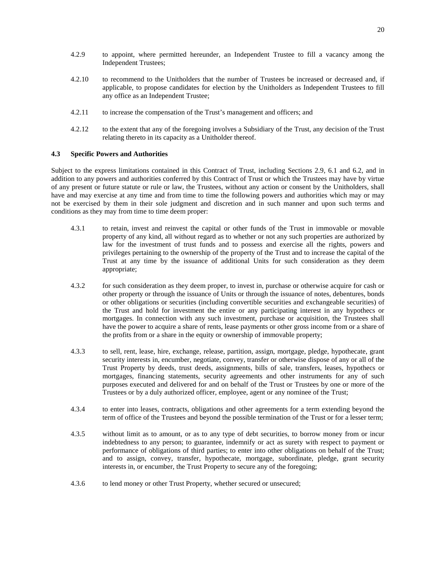- 4.2.9 to appoint, where permitted hereunder, an Independent Trustee to fill a vacancy among the Independent Trustees;
- 4.2.10 to recommend to the Unitholders that the number of Trustees be increased or decreased and, if applicable, to propose candidates for election by the Unitholders as Independent Trustees to fill any office as an Independent Trustee;
- 4.2.11 to increase the compensation of the Trust's management and officers; and
- <span id="page-24-0"></span>4.2.12 to the extent that any of the foregoing involves a Subsidiary of the Trust, any decision of the Trust relating thereto in its capacity as a Unitholder thereof.

#### **4.3 Specific Powers and Authorities**

Subject to the express limitations contained in this Contract of Trust, including Sections [2.9,](#page-16-0) [6.1](#page-34-1)and [6.2,](#page-36-0) and in addition to any powers and authorities conferred by this Contract of Trust or which the Trustees may have by virtue of any present or future statute or rule or law, the Trustees, without any action or consent by the Unitholders, shall have and may exercise at any time and from time to time the following powers and authorities which may or may not be exercised by them in their sole judgment and discretion and in such manner and upon such terms and conditions as they may from time to time deem proper:

- 4.3.1 to retain, invest and reinvest the capital or other funds of the Trust in immovable or movable property of any kind, all without regard as to whether or not any such properties are authorized by law for the investment of trust funds and to possess and exercise all the rights, powers and privileges pertaining to the ownership of the property of the Trust and to increase the capital of the Trust at any time by the issuance of additional Units for such consideration as they deem appropriate;
- 4.3.2 for such consideration as they deem proper, to invest in, purchase or otherwise acquire for cash or other property or through the issuance of Units or through the issuance of notes, debentures, bonds or other obligations or securities (including convertible securities and exchangeable securities) of the Trust and hold for investment the entire or any participating interest in any hypothecs or mortgages. In connection with any such investment, purchase or acquisition, the Trustees shall have the power to acquire a share of rents, lease payments or other gross income from or a share of the profits from or a share in the equity or ownership of immovable property;
- 4.3.3 to sell, rent, lease, hire, exchange, release, partition, assign, mortgage, pledge, hypothecate, grant security interests in, encumber, negotiate, convey, transfer or otherwise dispose of any or all of the Trust Property by deeds, trust deeds, assignments, bills of sale, transfers, leases, hypothecs or mortgages, financing statements, security agreements and other instruments for any of such purposes executed and delivered for and on behalf of the Trust or Trustees by one or more of the Trustees or by a duly authorized officer, employee, agent or any nominee of the Trust;
- 4.3.4 to enter into leases, contracts, obligations and other agreements for a term extending beyond the term of office of the Trustees and beyond the possible termination of the Trust or for a lesser term;
- 4.3.5 without limit as to amount, or as to any type of debt securities, to borrow money from or incur indebtedness to any person; to guarantee, indemnify or act as surety with respect to payment or performance of obligations of third parties; to enter into other obligations on behalf of the Trust; and to assign, convey, transfer, hypothecate, mortgage, subordinate, pledge, grant security interests in, or encumber, the Trust Property to secure any of the foregoing;
- 4.3.6 to lend money or other Trust Property, whether secured or unsecured;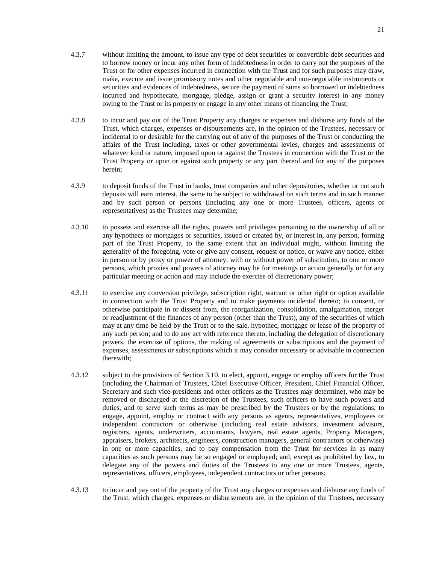- 4.3.7 without limiting the amount, to issue any type of debt securities or convertible debt securities and to borrow money or incur any other form of indebtedness in order to carry out the purposes of the Trust or for other expenses incurred in connection with the Trust and for such purposes may draw, make, execute and issue promissory notes and other negotiable and non-negotiable instruments or securities and evidences of indebtedness, secure the payment of sums so borrowed or indebtedness incurred and hypothecate, mortgage, pledge, assign or grant a security interest in any money owing to the Trust or its property or engage in any other means of financing the Trust;
- 4.3.8 to incur and pay out of the Trust Property any charges or expenses and disburse any funds of the Trust, which charges, expenses or disbursements are, in the opinion of the Trustees, necessary or incidental to or desirable for the carrying out of any of the purposes of the Trust or conducting the affairs of the Trust including, taxes or other governmental levies, charges and assessments of whatever kind or nature, imposed upon or against the Trustees in connection with the Trust or the Trust Property or upon or against such property or any part thereof and for any of the purposes herein;
- 4.3.9 to deposit funds of the Trust in banks, trust companies and other depositories, whether or not such deposits will earn interest, the same to be subject to withdrawal on such terms and in such manner and by such person or persons (including any one or more Trustees, officers, agents or representatives) as the Trustees may determine;
- 4.3.10 to possess and exercise all the rights, powers and privileges pertaining to the ownership of all or any hypothecs or mortgages or securities, issued or created by, or interest in, any person, forming part of the Trust Property, to the same extent that an individual might, without limiting the generality of the foregoing, vote or give any consent, request or notice, or waive any notice, either in person or by proxy or power of attorney, with or without power of substitution, to one or more persons, which proxies and powers of attorney may be for meetings or action generally or for any particular meeting or action and may include the exercise of discretionary power;
- 4.3.11 to exercise any conversion privilege, subscription right, warrant or other right or option available in connection with the Trust Property and to make payments incidental thereto; to consent, or otherwise participate in or dissent from, the reorganization, consolidation, amalgamation, merger or readjustment of the finances of any person (other than the Trust), any of the securities of which may at any time be held by the Trust or to the sale, hypothec, mortgage or lease of the property of any such person; and to do any act with reference thereto, including the delegation of discretionary powers, the exercise of options, the making of agreements or subscriptions and the payment of expenses, assessments or subscriptions which it may consider necessary or advisable in connection therewith;
- 4.3.12 subject to the provisions of Section [3.10](#page-22-2), to elect, appoint, engage or employ officers for the Trust (including the Chairman of Trustees, Chief Executive Officer, President, Chief Financial Officer, Secretary and such vice-presidents and other officers as the Trustees may determine), who may be removed or discharged at the discretion of the Trustees, such officers to have such powers and duties, and to serve such terms as may be prescribed by the Trustees or by the regulations; to engage, appoint, employ or contract with any persons as agents, representatives, employees or independent contractors or otherwise (including real estate advisors, investment advisors, registrars, agents, underwriters, accountants, lawyers, real estate agents, Property Managers, appraisers, brokers, architects, engineers, construction managers, general contractors or otherwise) in one or more capacities, and to pay compensation from the Trust for services in as many capacities as such persons may be so engaged or employed; and, except as prohibited by law, to delegate any of the powers and duties of the Trustees to any one or more Trustees, agents, representatives, officers, employees, independent contractors or other persons;
- 4.3.13 to incur and pay out of the property of the Trust any charges or expenses and disburse any funds of the Trust, which charges, expenses or disbursements are, in the opinion of the Trustees, necessary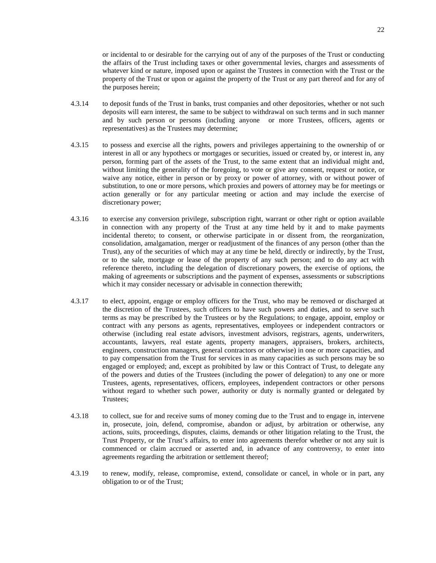or incidental to or desirable for the carrying out of any of the purposes of the Trust or conducting the affairs of the Trust including taxes or other governmental levies, charges and assessments of whatever kind or nature, imposed upon or against the Trustees in connection with the Trust or the property of the Trust or upon or against the property of the Trust or any part thereof and for any of the purposes herein;

- 4.3.14 to deposit funds of the Trust in banks, trust companies and other depositories, whether or not such deposits will earn interest, the same to be subject to withdrawal on such terms and in such manner and by such person or persons (including anyone or more Trustees, officers, agents or representatives) as the Trustees may determine;
- 4.3.15 to possess and exercise all the rights, powers and privileges appertaining to the ownership of or interest in all or any hypothecs or mortgages or securities, issued or created by, or interest in, any person, forming part of the assets of the Trust, to the same extent that an individual might and, without limiting the generality of the foregoing, to vote or give any consent, request or notice, or waive any notice, either in person or by proxy or power of attorney, with or without power of substitution, to one or more persons, which proxies and powers of attorney may be for meetings or action generally or for any particular meeting or action and may include the exercise of discretionary power;
- 4.3.16 to exercise any conversion privilege, subscription right, warrant or other right or option available in connection with any property of the Trust at any time held by it and to make payments incidental thereto; to consent, or otherwise participate in or dissent from, the reorganization, consolidation, amalgamation, merger or readjustment of the finances of any person (other than the Trust), any of the securities of which may at any time be held, directly or indirectly, by the Trust, or to the sale, mortgage or lease of the property of any such person; and to do any act with reference thereto, including the delegation of discretionary powers, the exercise of options, the making of agreements or subscriptions and the payment of expenses, assessments or subscriptions which it may consider necessary or advisable in connection therewith;
- 4.3.17 to elect, appoint, engage or employ officers for the Trust, who may be removed or discharged at the discretion of the Trustees, such officers to have such powers and duties, and to serve such terms as may be prescribed by the Trustees or by the Regulations; to engage, appoint, employ or contract with any persons as agents, representatives, employees or independent contractors or otherwise (including real estate advisors, investment advisors, registrars, agents, underwriters, accountants, lawyers, real estate agents, property managers, appraisers, brokers, architects, engineers, construction managers, general contractors or otherwise) in one or more capacities, and to pay compensation from the Trust for services in as many capacities as such persons may be so engaged or employed; and, except as prohibited by law or this Contract of Trust, to delegate any of the powers and duties of the Trustees (including the power of delegation) to any one or more Trustees, agents, representatives, officers, employees, independent contractors or other persons without regard to whether such power, authority or duty is normally granted or delegated by Trustees;
- 4.3.18 to collect, sue for and receive sums of money coming due to the Trust and to engage in, intervene in, prosecute, join, defend, compromise, abandon or adjust, by arbitration or otherwise, any actions, suits, proceedings, disputes, claims, demands or other litigation relating to the Trust, the Trust Property, or the Trust's affairs, to enter into agreements therefor whether or not any suit is commenced or claim accrued or asserted and, in advance of any controversy, to enter into agreements regarding the arbitration or settlement thereof;
- 4.3.19 to renew, modify, release, compromise, extend, consolidate or cancel, in whole or in part, any obligation to or of the Trust;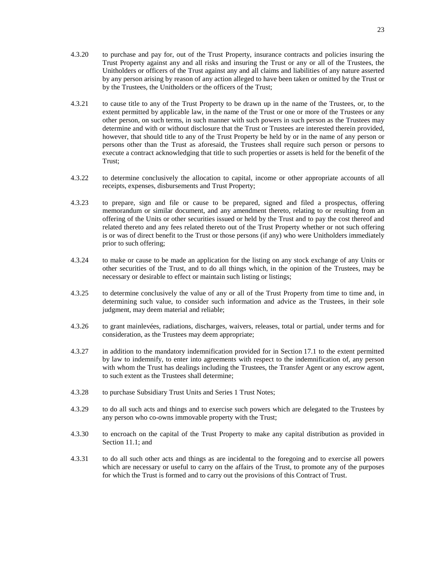- 4.3.20 to purchase and pay for, out of the Trust Property, insurance contracts and policies insuring the Trust Property against any and all risks and insuring the Trust or any or all of the Trustees, the Unitholders or officers of the Trust against any and all claims and liabilities of any nature asserted by any person arising by reason of any action alleged to have been taken or omitted by the Trust or by the Trustees, the Unitholders or the officers of the Trust;
- 4.3.21 to cause title to any of the Trust Property to be drawn up in the name of the Trustees, or, to the extent permitted by applicable law, in the name of the Trust or one or more of the Trustees or any other person, on such terms, in such manner with such powers in such person as the Trustees may determine and with or without disclosure that the Trust or Trustees are interested therein provided, however, that should title to any of the Trust Property be held by or in the name of any person or persons other than the Trust as aforesaid, the Trustees shall require such person or persons to execute a contract acknowledging that title to such properties or assets is held for the benefit of the Trust;
- 4.3.22 to determine conclusively the allocation to capital, income or other appropriate accounts of all receipts, expenses, disbursements and Trust Property;
- 4.3.23 to prepare, sign and file or cause to be prepared, signed and filed a prospectus, offering memorandum or similar document, and any amendment thereto, relating to or resulting from an offering of the Units or other securities issued or held by the Trust and to pay the cost thereof and related thereto and any fees related thereto out of the Trust Property whether or not such offering is or was of direct benefit to the Trust or those persons (if any) who were Unitholders immediately prior to such offering;
- 4.3.24 to make or cause to be made an application for the listing on any stock exchange of any Units or other securities of the Trust, and to do all things which, in the opinion of the Trustees, may be necessary or desirable to effect or maintain such listing or listings;
- 4.3.25 to determine conclusively the value of any or all of the Trust Property from time to time and, in determining such value, to consider such information and advice as the Trustees, in their sole judgment, may deem material and reliable;
- 4.3.26 to grant mainlevées, radiations, discharges, waivers, releases, total or partial, under terms and for consideration, as the Trustees may deem appropriate;
- 4.3.27 in addition to the mandatory indemnification provided for in Section [17.1](#page-70-4) to the extent permitted by law to indemnify, to enter into agreements with respect to the indemnification of, any person with whom the Trust has dealings including the Trustees, the Transfer Agent or any escrow agent, to such extent as the Trustees shall determine;
- 4.3.28 to purchase Subsidiary Trust Units and Series 1 Trust Notes;
- 4.3.29 to do all such acts and things and to exercise such powers which are delegated to the Trustees by any person who co-owns immovable property with the Trust;
- 4.3.30 to encroach on the capital of the Trust Property to make any capital distribution as provided in Section [11.1](#page-63-3); and
- 4.3.31 to do all such other acts and things as are incidental to the foregoing and to exercise all powers which are necessary or useful to carry on the affairs of the Trust, to promote any of the purposes for which the Trust is formed and to carry out the provisions of this Contract of Trust.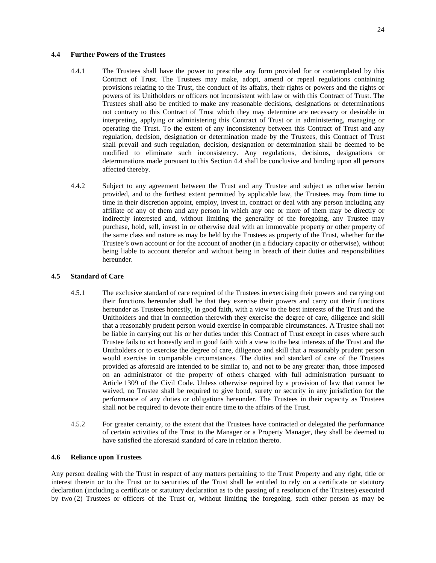# <span id="page-28-0"></span>**4.4 Further Powers of the Trustees**

- 4.4.1 The Trustees shall have the power to prescribe any form provided for or contemplated by this Contract of Trust. The Trustees may make, adopt, amend or repeal regulations containing provisions relating to the Trust, the conduct of its affairs, their rights or powers and the rights or powers of its Unitholders or officers not inconsistent with law or with this Contract of Trust. The Trustees shall also be entitled to make any reasonable decisions, designations or determinations not contrary to this Contract of Trust which they may determine are necessary or desirable in interpreting, applying or administering this Contract of Trust or in administering, managing or operating the Trust. To the extent of any inconsistency between this Contract of Trust and any regulation, decision, designation or determination made by the Trustees, this Contract of Trust shall prevail and such regulation, decision, designation or determination shall be deemed to be modified to eliminate such inconsistency. Any regulations, decisions, designations or determinations made pursuant to this Section [4.4](#page-28-0) shall be conclusive and binding upon all persons affected thereby.
- 4.4.2 Subject to any agreement between the Trust and any Trustee and subject as otherwise herein provided, and to the furthest extent permitted by applicable law, the Trustees may from time to time in their discretion appoint, employ, invest in, contract or deal with any person including any affiliate of any of them and any person in which any one or more of them may be directly or indirectly interested and, without limiting the generality of the foregoing, any Trustee may purchase, hold, sell, invest in or otherwise deal with an immovable property or other property of the same class and nature as may be held by the Trustees as property of the Trust, whether for the Trustee's own account or for the account of another (in a fiduciary capacity or otherwise), without being liable to account therefor and without being in breach of their duties and responsibilities hereunder.

#### <span id="page-28-1"></span>**4.5 Standard of Care**

- 4.5.1 The exclusive standard of care required of the Trustees in exercising their powers and carrying out their functions hereunder shall be that they exercise their powers and carry out their functions hereunder as Trustees honestly, in good faith, with a view to the best interests of the Trust and the Unitholders and that in connection therewith they exercise the degree of care, diligence and skill that a reasonably prudent person would exercise in comparable circumstances. A Trustee shall not be liable in carrying out his or her duties under this Contract of Trust except in cases where such Trustee fails to act honestly and in good faith with a view to the best interests of the Trust and the Unitholders or to exercise the degree of care, diligence and skill that a reasonably prudent person would exercise in comparable circumstances. The duties and standard of care of the Trustees provided as aforesaid are intended to be similar to, and not to be any greater than, those imposed on an administrator of the property of others charged with full administration pursuant to Article 1309 of the Civil Code. Unless otherwise required by a provision of law that cannot be waived, no Trustee shall be required to give bond, surety or security in any jurisdiction for the performance of any duties or obligations hereunder. The Trustees in their capacity as Trustees shall not be required to devote their entire time to the affairs of the Trust.
- 4.5.2 For greater certainty, to the extent that the Trustees have contracted or delegated the performance of certain activities of the Trust to the Manager or a Property Manager, they shall be deemed to have satisfied the aforesaid standard of care in relation thereto.

#### <span id="page-28-2"></span>**4.6 Reliance upon Trustees**

Any person dealing with the Trust in respect of any matters pertaining to the Trust Property and any right, title or interest therein or to the Trust or to securities of the Trust shall be entitled to rely on a certificate or statutory declaration (including a certificate or statutory declaration as to the passing of a resolution of the Trustees) executed by two (2) Trustees or officers of the Trust or, without limiting the foregoing, such other person as may be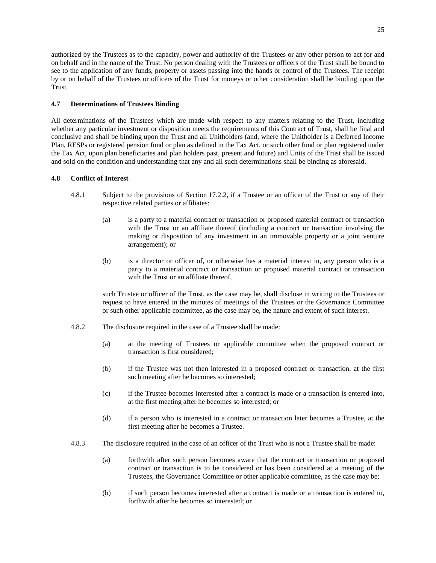authorized by the Trustees as to the capacity, power and authority of the Trustees or any other person to act for and on behalf and in the name of the Trust. No person dealing with the Trustees or officers of the Trust shall be bound to see to the application of any funds, property or assets passing into the hands or control of the Trustees. The receipt by or on behalf of the Trustees or officers of the Trust for moneys or other consideration shall be binding upon the Trust.

# <span id="page-29-0"></span>**4.7 Determinations of Trustees Binding**

All determinations of the Trustees which are made with respect to any matters relating to the Trust, including whether any particular investment or disposition meets the requirements of this Contract of Trust, shall be final and conclusive and shall be binding upon the Trust and all Unitholders (and, where the Unitholder is a Deferred Income Plan, RESPs or registered pension fund or plan as defined in the Tax Act, or such other fund or plan registered under the Tax Act, upon plan beneficiaries and plan holders past, present and future) and Units of the Trust shall be issued and sold on the condition and understanding that any and all such determinations shall be binding as aforesaid.

# <span id="page-29-1"></span>**4.8 Conflict of Interest**

- <span id="page-29-2"></span>4.8.1 Subject to the provisions of Section [17.2.2](#page-71-2), if a Trustee or an officer of the Trust or any of their respective related parties or affiliates:
	- (a) is a party to a material contract or transaction or proposed material contract or transaction with the Trust or an affiliate thereof (including a contract or transaction involving the making or disposition of any investment in an immovable property or a joint venture arrangement); or
	- (b) is a director or officer of, or otherwise has a material interest in, any person who is a party to a material contract or transaction or proposed material contract or transaction with the Trust or an affiliate thereof,

such Trustee or officer of the Trust, as the case may be, shall disclose in writing to the Trustees or request to have entered in the minutes of meetings of the Trustees or the Governance Committee or such other applicable committee, as the case may be, the nature and extent of such interest.

- 4.8.2 The disclosure required in the case of a Trustee shall be made:
	- (a) at the meeting of Trustees or applicable committee when the proposed contract or transaction is first considered;
	- (b) if the Trustee was not then interested in a proposed contract or transaction, at the first such meeting after he becomes so interested;
	- (c) if the Trustee becomes interested after a contract is made or a transaction is entered into, at the first meeting after he becomes so interested; or
	- (d) if a person who is interested in a contract or transaction later becomes a Trustee, at the first meeting after he becomes a Trustee.
- 4.8.3 The disclosure required in the case of an officer of the Trust who is not a Trustee shall be made:
	- (a) forthwith after such person becomes aware that the contract or transaction or proposed contract or transaction is to be considered or has been considered at a meeting of the Trustees, the Governance Committee or other applicable committee, as the case may be;
	- (b) if such person becomes interested after a contract is made or a transaction is entered to, forthwith after he becomes so interested; or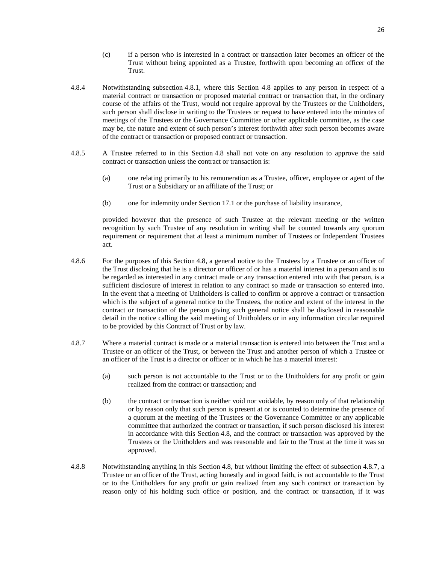- (c) if a person who is interested in a contract or transaction later becomes an officer of the Trust without being appointed as a Trustee, forthwith upon becoming an officer of the Trust.
- 4.8.4 Notwithstanding subsection [4.8.1,](#page-29-2) where this Section [4.8](#page-29-1) applies to any person in respect of a material contract or transaction or proposed material contract or transaction that, in the ordinary course of the affairs of the Trust, would not require approval by the Trustees or the Unitholders, such person shall disclose in writing to the Trustees or request to have entered into the minutes of meetings of the Trustees or the Governance Committee or other applicable committee, as the case may be, the nature and extent of such person's interest forthwith after such person becomes aware of the contract or transaction or proposed contract or transaction.
- 4.8.5 A Trustee referred to in this Section [4.8](#page-29-1) shall not vote on any resolution to approve the said contract or transaction unless the contract or transaction is:
	- (a) one relating primarily to his remuneration as a Trustee, officer, employee or agent of the Trust or a Subsidiary or an affiliate of the Trust; or
	- (b) one for indemnity under Section [17.1](#page-70-4) or the purchase of liability insurance,

provided however that the presence of such Trustee at the relevant meeting or the written recognition by such Trustee of any resolution in writing shall be counted towards any quorum requirement or requirement that at least a minimum number of Trustees or Independent Trustees act.

- 4.8.6 For the purposes of this Section [4.8,](#page-29-1) a general notice to the Trustees by a Trustee or an officer of the Trust disclosing that he is a director or officer of or has a material interest in a person and is to be regarded as interested in any contract made or any transaction entered into with that person, is a sufficient disclosure of interest in relation to any contract so made or transaction so entered into. In the event that a meeting of Unitholders is called to confirm or approve a contract or transaction which is the subject of a general notice to the Trustees, the notice and extent of the interest in the contract or transaction of the person giving such general notice shall be disclosed in reasonable detail in the notice calling the said meeting of Unitholders or in any information circular required to be provided by this Contract of Trust or by law.
- <span id="page-30-0"></span>4.8.7 Where a material contract is made or a material transaction is entered into between the Trust and a Trustee or an officer of the Trust, or between the Trust and another person of which a Trustee or an officer of the Trust is a director or officer or in which he has a material interest:
	- (a) such person is not accountable to the Trust or to the Unitholders for any profit or gain realized from the contract or transaction; and
	- (b) the contract or transaction is neither void nor voidable, by reason only of that relationship or by reason only that such person is present at or is counted to determine the presence of a quorum at the meeting of the Trustees or the Governance Committee or any applicable committee that authorized the contract or transaction, if such person disclosed his interest in accordance with this Section [4.8,](#page-29-1) and the contract or transaction was approved by the Trustees or the Unitholders and was reasonable and fair to the Trust at the time it was so approved.
- <span id="page-30-1"></span>4.8.8 Notwithstanding anything in this Section [4.8](#page-29-1), but without limiting the effect of subsection [4.8.7](#page-30-0), a Trustee or an officer of the Trust, acting honestly and in good faith, is not accountable to the Trust or to the Unitholders for any profit or gain realized from any such contract or transaction by reason only of his holding such office or position, and the contract or transaction, if it was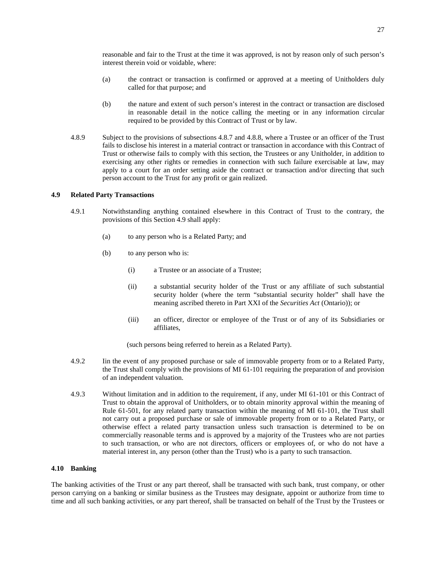reasonable and fair to the Trust at the time it was approved, is not by reason only of such person's interest therein void or voidable, where:

- (a) the contract or transaction is confirmed or approved at a meeting of Unitholders duly called for that purpose; and
- (b) the nature and extent of such person's interest in the contract or transaction are disclosed in reasonable detail in the notice calling the meeting or in any information circular required to be provided by this Contract of Trust or by law.
- 4.8.9 Subject to the provisions of subsections [4.8.7](#page-30-0)and [4.8.8](#page-30-1), where a Trustee or an officer of the Trust fails to disclose his interest in a material contract or transaction in accordance with this Contract of Trust or otherwise fails to comply with this section, the Trustees or any Unitholder, in addition to exercising any other rights or remedies in connection with such failure exercisable at law, may apply to a court for an order setting aside the contract or transaction and/or directing that such person account to the Trust for any profit or gain realized.

# <span id="page-31-0"></span>**4.9 Related Party Transactions**

- 4.9.1 Notwithstanding anything contained elsewhere in this Contract of Trust to the contrary, the provisions of this Section [4.9](#page-31-0) shall apply:
	- (a) to any person who is a Related Party; and
	- (b) to any person who is:
		- (i) a Trustee or an associate of a Trustee;
		- (ii) a substantial security holder of the Trust or any affiliate of such substantial security holder (where the term "substantial security holder" shall have the meaning ascribed thereto in Part XXI of the *Securities Act* (Ontario)); or
		- (iii) an officer, director or employee of the Trust or of any of its Subsidiaries or affiliates,

(such persons being referred to herein as a Related Party).

- 4.9.2 Iin the event of any proposed purchase or sale of immovable property from or to a Related Party, the Trust shall comply with the provisions of MI 61-101 requiring the preparation of and provision of an independent valuation.
- 4.9.3 Without limitation and in addition to the requirement, if any, under MI 61-101 or this Contract of Trust to obtain the approval of Unitholders, or to obtain minority approval within the meaning of Rule 61-501, for any related party transaction within the meaning of MI 61-101, the Trust shall not carry out a proposed purchase or sale of immovable property from or to a Related Party, or otherwise effect a related party transaction unless such transaction is determined to be on commercially reasonable terms and is approved by a majority of the Trustees who are not parties to such transaction, or who are not directors, officers or employees of, or who do not have a material interest in, any person (other than the Trust) who is a party to such transaction.

# <span id="page-31-1"></span>**4.10 Banking**

The banking activities of the Trust or any part thereof, shall be transacted with such bank, trust company, or other person carrying on a banking or similar business as the Trustees may designate, appoint or authorize from time to time and all such banking activities, or any part thereof, shall be transacted on behalf of the Trust by the Trustees or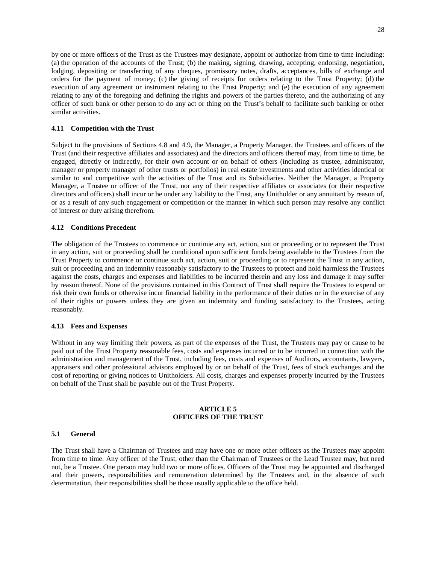by one or more officers of the Trust as the Trustees may designate, appoint or authorize from time to time including: (a) the operation of the accounts of the Trust; (b) the making, signing, drawing, accepting, endorsing, negotiation, lodging, depositing or transferring of any cheques, promissory notes, drafts, acceptances, bills of exchange and orders for the payment of money; (c) the giving of receipts for orders relating to the Trust Property; (d) the execution of any agreement or instrument relating to the Trust Property; and (e) the execution of any agreement relating to any of the foregoing and defining the rights and powers of the parties thereto, and the authorizing of any officer of such bank or other person to do any act or thing on the Trust's behalf to facilitate such banking or other similar activities.

#### <span id="page-32-0"></span>**4.11 Competition with the Trust**

Subject to the provisions of Sections [4.8](#page-29-1)and [4.9,](#page-31-0) the Manager, a Property Manager, the Trustees and officers of the Trust (and their respective affiliates and associates) and the directors and officers thereof may, from time to time, be engaged, directly or indirectly, for their own account or on behalf of others (including as trustee, administrator, manager or property manager of other trusts or portfolios) in real estate investments and other activities identical or similar to and competitive with the activities of the Trust and its Subsidiaries. Neither the Manager, a Property Manager, a Trustee or officer of the Trust, nor any of their respective affiliates or associates (or their respective directors and officers) shall incur or be under any liability to the Trust, any Unitholder or any annuitant by reason of, or as a result of any such engagement or competition or the manner in which such person may resolve any conflict of interest or duty arising therefrom.

#### <span id="page-32-1"></span>**4.12 Conditions Precedent**

The obligation of the Trustees to commence or continue any act, action, suit or proceeding or to represent the Trust in any action, suit or proceeding shall be conditional upon sufficient funds being available to the Trustees from the Trust Property to commence or continue such act, action, suit or proceeding or to represent the Trust in any action, suit or proceeding and an indemnity reasonably satisfactory to the Trustees to protect and hold harmless the Trustees against the costs, charges and expenses and liabilities to be incurred therein and any loss and damage it may suffer by reason thereof. None of the provisions contained in this Contract of Trust shall require the Trustees to expend or risk their own funds or otherwise incur financial liability in the performance of their duties or in the exercise of any of their rights or powers unless they are given an indemnity and funding satisfactory to the Trustees, acting reasonably.

#### <span id="page-32-2"></span>**4.13 Fees and Expenses**

Without in any way limiting their powers, as part of the expenses of the Trust, the Trustees may pay or cause to be paid out of the Trust Property reasonable fees, costs and expenses incurred or to be incurred in connection with the administration and management of the Trust, including fees, costs and expenses of Auditors, accountants, lawyers, appraisers and other professional advisors employed by or on behalf of the Trust, fees of stock exchanges and the cost of reporting or giving notices to Unitholders. All costs, charges and expenses properly incurred by the Trustees on behalf of the Trust shall be payable out of the Trust Property.

#### <span id="page-32-3"></span>**ARTICLE 5 OFFICERS OF THE TRUST**

#### <span id="page-32-4"></span>**5.1 General**

The Trust shall have a Chairman of Trustees and may have one or more other officers as the Trustees may appoint from time to time. Any officer of the Trust, other than the Chairman of Trustees or the Lead Trustee may, but need not, be a Trustee. One person may hold two or more offices. Officers of the Trust may be appointed and discharged and their powers, responsibilities and remuneration determined by the Trustees and, in the absence of such determination, their responsibilities shall be those usually applicable to the office held.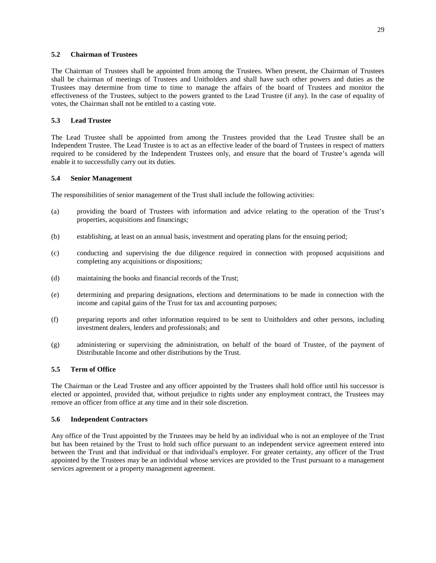# <span id="page-33-0"></span>**5.2 Chairman of Trustees**

The Chairman of Trustees shall be appointed from among the Trustees. When present, the Chairman of Trustees shall be chairman of meetings of Trustees and Unitholders and shall have such other powers and duties as the Trustees may determine from time to time to manage the affairs of the board of Trustees and monitor the effectiveness of the Trustees, subject to the powers granted to the Lead Trustee (if any). In the case of equality of votes, the Chairman shall not be entitled to a casting vote.

# <span id="page-33-1"></span>**5.3 Lead Trustee**

The Lead Trustee shall be appointed from among the Trustees provided that the Lead Trustee shall be an Independent Trustee. The Lead Trustee is to act as an effective leader of the board of Trustees in respect of matters required to be considered by the Independent Trustees only, and ensure that the board of Trustee's agenda will enable it to successfully carry out its duties.

#### <span id="page-33-2"></span>**5.4 Senior Management**

The responsibilities of senior management of the Trust shall include the following activities:

- (a) providing the board of Trustees with information and advice relating to the operation of the Trust's properties, acquisitions and financings;
- (b) establishing, at least on an annual basis, investment and operating plans for the ensuing period;
- (c) conducting and supervising the due diligence required in connection with proposed acquisitions and completing any acquisitions or dispositions;
- (d) maintaining the books and financial records of the Trust;
- (e) determining and preparing designations, elections and determinations to be made in connection with the income and capital gains of the Trust for tax and accounting purposes;
- (f) preparing reports and other information required to be sent to Unitholders and other persons, including investment dealers, lenders and professionals; and
- (g) administering or supervising the administration, on behalf of the board of Trustee, of the payment of Distributable Income and other distributions by the Trust.

#### <span id="page-33-3"></span>**5.5 Term of Office**

The Chairman or the Lead Trustee and any officer appointed by the Trustees shall hold office until his successor is elected or appointed, provided that, without prejudice to rights under any employment contract, the Trustees may remove an officer from office at any time and in their sole discretion.

#### <span id="page-33-4"></span>**5.6 Independent Contractors**

Any office of the Trust appointed by the Trustees may be held by an individual who is not an employee of the Trust but has been retained by the Trust to hold such office pursuant to an independent service agreement entered into between the Trust and that individual or that individual's employer. For greater certainty, any officer of the Trust appointed by the Trustees may be an individual whose services are provided to the Trust pursuant to a management services agreement or a property management agreement.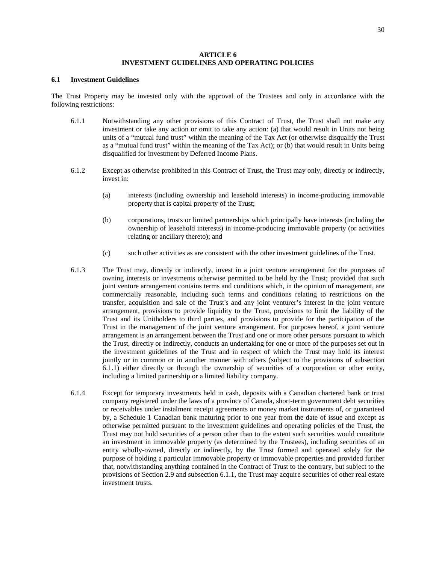# <span id="page-34-0"></span>**ARTICLE 6 INVESTMENT GUIDELINES AND OPERATING POLICIES**

#### <span id="page-34-1"></span>**6.1 Investment Guidelines**

The Trust Property may be invested only with the approval of the Trustees and only in accordance with the following restrictions:

- <span id="page-34-2"></span>6.1.1 Notwithstanding any other provisions of this Contract of Trust, the Trust shall not make any investment or take any action or omit to take any action: (a) that would result in Units not being units of a "mutual fund trust" within the meaning of the Tax Act (or otherwise disqualify the Trust as a "mutual fund trust" within the meaning of the Tax Act); or (b) that would result in Units being disqualified for investment by Deferred Income Plans.
- <span id="page-34-3"></span>6.1.2 Except as otherwise prohibited in this Contract of Trust, the Trust may only, directly or indirectly, invest in:
	- (a) interests (including ownership and leasehold interests) in income-producing immovable property that is capital property of the Trust;
	- (b) corporations, trusts or limited partnerships which principally have interests (including the ownership of leasehold interests) in income-producing immovable property (or activities relating or ancillary thereto); and
	- (c) such other activities as are consistent with the other investment guidelines of the Trust.
- <span id="page-34-4"></span>6.1.3 The Trust may, directly or indirectly, invest in a joint venture arrangement for the purposes of owning interests or investments otherwise permitted to be held by the Trust; provided that such joint venture arrangement contains terms and conditions which, in the opinion of management, are commercially reasonable, including such terms and conditions relating to restrictions on the transfer, acquisition and sale of the Trust's and any joint venturer's interest in the joint venture arrangement, provisions to provide liquidity to the Trust, provisions to limit the liability of the Trust and its Unitholders to third parties, and provisions to provide for the participation of the Trust in the management of the joint venture arrangement. For purposes hereof, a joint venture arrangement is an arrangement between the Trust and one or more other persons pursuant to which the Trust, directly or indirectly, conducts an undertaking for one or more of the purposes set out in the investment guidelines of the Trust and in respect of which the Trust may hold its interest jointly or in common or in another manner with others (subject to the provisions of subsection [6.1.1](#page-34-2)) either directly or through the ownership of securities of a corporation or other entity, including a limited partnership or a limited liability company.
- <span id="page-34-5"></span>6.1.4 Except for temporary investments held in cash, deposits with a Canadian chartered bank or trust company registered under the laws of a province of Canada, short-term government debt securities or receivables under instalment receipt agreements or money market instruments of, or guaranteed by, a Schedule 1 Canadian bank maturing prior to one year from the date of issue and except as otherwise permitted pursuant to the investment guidelines and operating policies of the Trust, the Trust may not hold securities of a person other than to the extent such securities would constitute an investment in immovable property (as determined by the Trustees), including securities of an entity wholly-owned, directly or indirectly, by the Trust formed and operated solely for the purpose of holding a particular immovable property or immovable properties and provided further that, notwithstanding anything contained in the Contract of Trust to the contrary, but subject to the provisions of Section [2.9](#page-16-0) and subsection [6.1.1](#page-34-2), the Trust may acquire securities of other real estate investment trusts.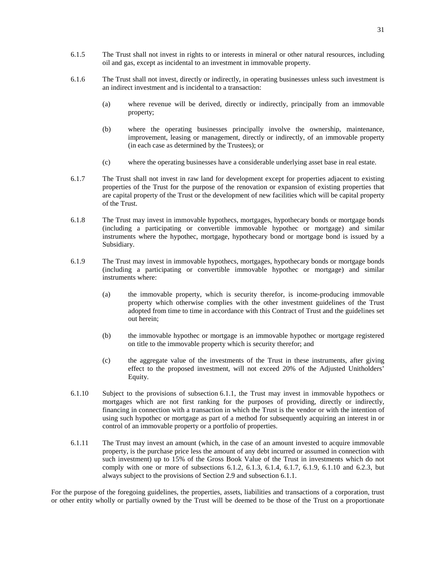- 6.1.5 The Trust shall not invest in rights to or interests in mineral or other natural resources, including oil and gas, except as incidental to an investment in immovable property.
- 6.1.6 The Trust shall not invest, directly or indirectly, in operating businesses unless such investment is an indirect investment and is incidental to a transaction:
	- (a) where revenue will be derived, directly or indirectly, principally from an immovable property;
	- (b) where the operating businesses principally involve the ownership, maintenance, improvement, leasing or management, directly or indirectly, of an immovable property (in each case as determined by the Trustees); or
	- (c) where the operating businesses have a considerable underlying asset base in real estate.
- <span id="page-35-0"></span>6.1.7 The Trust shall not invest in raw land for development except for properties adjacent to existing properties of the Trust for the purpose of the renovation or expansion of existing properties that are capital property of the Trust or the development of new facilities which will be capital property of the Trust.
- 6.1.8 The Trust may invest in immovable hypothecs, mortgages, hypothecary bonds or mortgage bonds (including a participating or convertible immovable hypothec or mortgage) and similar instruments where the hypothec, mortgage, hypothecary bond or mortgage bond is issued by a Subsidiary.
- <span id="page-35-1"></span>6.1.9 The Trust may invest in immovable hypothecs, mortgages, hypothecary bonds or mortgage bonds (including a participating or convertible immovable hypothec or mortgage) and similar instruments where:
	- (a) the immovable property, which is security therefor, is income-producing immovable property which otherwise complies with the other investment guidelines of the Trust adopted from time to time in accordance with this Contract of Trust and the guidelines set out herein;
	- (b) the immovable hypothec or mortgage is an immovable hypothec or mortgage registered on title to the immovable property which is security therefor; and
	- (c) the aggregate value of the investments of the Trust in these instruments, after giving effect to the proposed investment, will not exceed 20% of the Adjusted Unitholders' Equity.
- <span id="page-35-2"></span>6.1.10 Subject to the provisions of subsection [6.1.1](#page-34-2), the Trust may invest in immovable hypothecs or mortgages which are not first ranking for the purposes of providing, directly or indirectly, financing in connection with a transaction in which the Trust is the vendor or with the intention of using such hypothec or mortgage as part of a method for subsequently acquiring an interest in or control of an immovable property or a portfolio of properties.
- 6.1.11 The Trust may invest an amount (which, in the case of an amount invested to acquire immovable property, is the purchase price less the amount of any debt incurred or assumed in connection with such investment) up to 15% of the Gross Book Value of the Trust in investments which do not comply with one or more of subsections [6.1.2](#page-34-3), [6.1.3,](#page-34-4) [6.1.4](#page-34-5), [6.1.7](#page-35-0), [6.1.9,](#page-35-1) [6.1.10](#page-35-2)and [6.2.3](#page-36-1), but always subject to the provisions of Section [2.9](#page-16-0) and subsection [6.1.1](#page-34-2).

For the purpose of the foregoing guidelines, the properties, assets, liabilities and transactions of a corporation, trust or other entity wholly or partially owned by the Trust will be deemed to be those of the Trust on a proportionate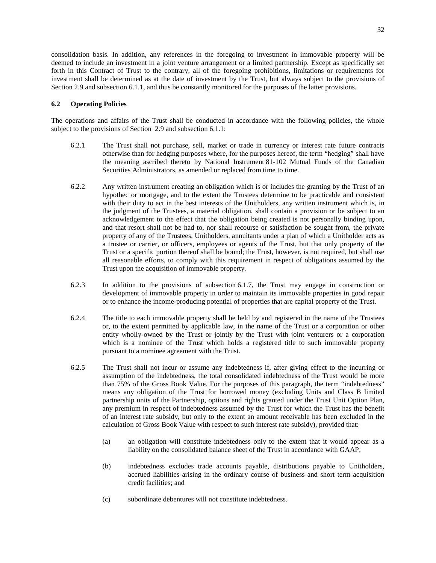consolidation basis. In addition, any references in the foregoing to investment in immovable property will be deemed to include an investment in a joint venture arrangement or a limited partnership. Except as specifically set forth in this Contract of Trust to the contrary, all of the foregoing prohibitions, limitations or requirements for investment shall be determined as at the date of investment by the Trust, but always subject to the provisions of Section [2.9](#page-16-0) and subsection [6.1.1](#page-34-0), and thus be constantly monitored for the purposes of the latter provisions.

# <span id="page-36-2"></span>**6.2 Operating Policies**

The operations and affairs of the Trust shall be conducted in accordance with the following policies, the whole subject to the provisions of Section [2.9](#page-16-0) and subsection [6.1.1](#page-34-0):

- <span id="page-36-0"></span>6.2.1 The Trust shall not purchase, sell, market or trade in currency or interest rate future contracts otherwise than for hedging purposes where, for the purposes hereof, the term "hedging" shall have the meaning ascribed thereto by National Instrument 81-102 Mutual Funds of the Canadian Securities Administrators, as amended or replaced from time to time.
- 6.2.2 Any written instrument creating an obligation which is or includes the granting by the Trust of an hypothec or mortgage, and to the extent the Trustees determine to be practicable and consistent with their duty to act in the best interests of the Unitholders, any written instrument which is, in the judgment of the Trustees, a material obligation, shall contain a provision or be subject to an acknowledgement to the effect that the obligation being created is not personally binding upon, and that resort shall not be had to, nor shall recourse or satisfaction be sought from, the private property of any of the Trustees, Unitholders, annuitants under a plan of which a Unitholder acts as a trustee or carrier, or officers, employees or agents of the Trust, but that only property of the Trust or a specific portion thereof shall be bound; the Trust, however, is not required, but shall use all reasonable efforts, to comply with this requirement in respect of obligations assumed by the Trust upon the acquisition of immovable property.
- 6.2.3 In addition to the provisions of subsection [6.1.7,](#page-35-0) the Trust may engage in construction or development of immovable property in order to maintain its immovable properties in good repair or to enhance the income-producing potential of properties that are capital property of the Trust.
- 6.2.4 The title to each immovable property shall be held by and registered in the name of the Trustees or, to the extent permitted by applicable law, in the name of the Trust or a corporation or other entity wholly-owned by the Trust or jointly by the Trust with joint venturers or a corporation which is a nominee of the Trust which holds a registered title to such immovable property pursuant to a nominee agreement with the Trust.
- <span id="page-36-1"></span>6.2.5 The Trust shall not incur or assume any indebtedness if, after giving effect to the incurring or assumption of the indebtedness, the total consolidated indebtedness of the Trust would be more than 75% of the Gross Book Value. For the purposes of this paragraph, the term "indebtedness" means any obligation of the Trust for borrowed money (excluding Units and Class B limited partnership units of the Partnership, options and rights granted under the Trust Unit Option Plan, any premium in respect of indebtedness assumed by the Trust for which the Trust has the benefit of an interest rate subsidy, but only to the extent an amount receivable has been excluded in the calculation of Gross Book Value with respect to such interest rate subsidy), provided that:
	- (a) an obligation will constitute indebtedness only to the extent that it would appear as a liability on the consolidated balance sheet of the Trust in accordance with GAAP;
	- (b) indebtedness excludes trade accounts payable, distributions payable to Unitholders, accrued liabilities arising in the ordinary course of business and short term acquisition credit facilities; and
	- (c) subordinate debentures will not constitute indebtedness.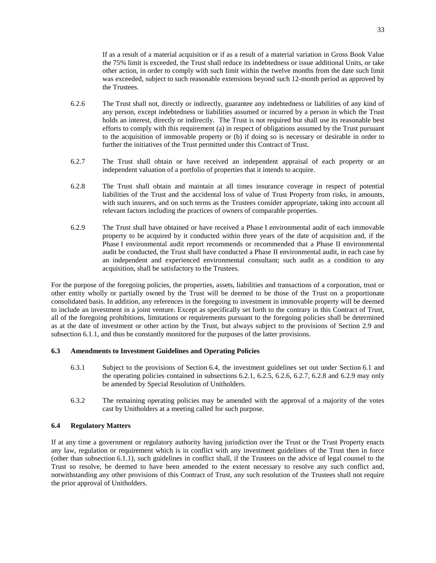If as a result of a material acquisition or if as a result of a material variation in Gross Book Value the 75% limit is exceeded, the Trust shall reduce its indebtedness or issue additional Units, or take other action, in order to comply with such limit within the twelve months from the date such limit was exceeded, subject to such reasonable extensions beyond such 12-month period as approved by the Trustees.

- <span id="page-37-1"></span>6.2.6 The Trust shall not, directly or indirectly, guarantee any indebtedness or liabilities of any kind of any person, except indebtedness or liabilities assumed or incurred by a person in which the Trust holds an interest, directly or indirectly. The Trust is not required but shall use its reasonable best efforts to comply with this requirement (a) in respect of obligations assumed by the Trust pursuant to the acquisition of immovable property or (b) if doing so is necessary or desirable in order to further the initiatives of the Trust permitted under this Contract of Trust.
- <span id="page-37-2"></span>6.2.7 The Trust shall obtain or have received an independent appraisal of each property or an independent valuation of a portfolio of properties that it intends to acquire.
- <span id="page-37-3"></span>6.2.8 The Trust shall obtain and maintain at all times insurance coverage in respect of potential liabilities of the Trust and the accidental loss of value of Trust Property from risks, in amounts, with such insurers, and on such terms as the Trustees consider appropriate, taking into account all relevant factors including the practices of owners of comparable properties.
- <span id="page-37-4"></span>6.2.9 The Trust shall have obtained or have received a Phase I environmental audit of each immovable property to be acquired by it conducted within three years of the date of acquisition and, if the Phase I environmental audit report recommends or recommended that a Phase II environmental audit be conducted, the Trust shall have conducted a Phase II environmental audit, in each case by an independent and experienced environmental consultant; such audit as a condition to any acquisition, shall be satisfactory to the Trustees.

For the purpose of the foregoing policies, the properties, assets, liabilities and transactions of a corporation, trust or other entity wholly or partially owned by the Trust will be deemed to be those of the Trust on a proportionate consolidated basis. In addition, any references in the foregoing to investment in immovable property will be deemed to include an investment in a joint venture. Except as specifically set forth to the contrary in this Contract of Trust, all of the foregoing prohibitions, limitations or requirements pursuant to the foregoing policies shall be determined as at the date of investment or other action by the Trust, but always subject to the provisions of Section [2.9](#page-16-0) and subsection [6.1.1,](#page-34-0) and thus be constantly monitored for the purposes of the latter provisions.

# <span id="page-37-5"></span>**6.3 Amendments to Investment Guidelines and Operating Policies**

- 6.3.1 Subject to the provisions of Section [6.4](#page-37-0), the investment guidelines set out under Section [6.1](#page-34-1) and the operating policies contained in subsections [6.2.1,](#page-36-0) [6.2.5](#page-36-1), [6.2.6,](#page-37-1) [6.2.7,](#page-37-2) [6.2.8](#page-37-3)and [6.2.9](#page-37-4) may only be amended by Special Resolution of Unitholders.
- <span id="page-37-0"></span>6.3.2 The remaining operating policies may be amended with the approval of a majority of the votes cast by Unitholders at a meeting called for such purpose.

# **6.4 Regulatory Matters**

If at any time a government or regulatory authority having jurisdiction over the Trust or the Trust Property enacts any law, regulation or requirement which is in conflict with any investment guidelines of the Trust then in force (other than subsection 6.1.1), such guidelines in conflict shall, if the Trustees on the advice of legal counsel to the Trust so resolve, be deemed to have been amended to the extent necessary to resolve any such conflict and, notwithstanding any other provisions of this Contract of Trust, any such resolution of the Trustees shall not require the prior approval of Unitholders.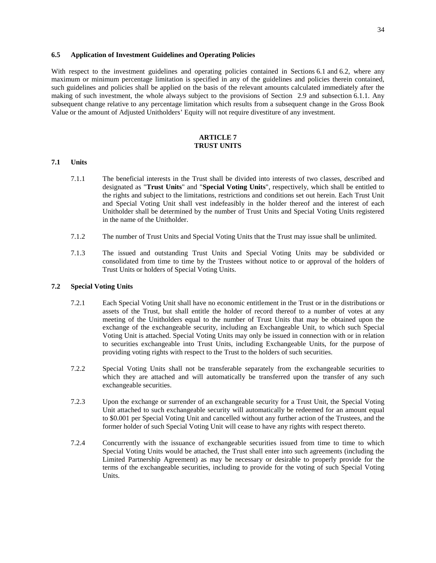#### **6.5 Application of Investment Guidelines and Operating Policies**

With respect to the investment guidelines and operating policies contained in Sections [6.1](#page-34-1)and [6.2](#page-36-2), where any maximum or minimum percentage limitation is specified in any of the guidelines and policies therein contained, such guidelines and policies shall be applied on the basis of the relevant amounts calculated immediately after the making of such investment, the whole always subject to the provisions of Section [2.9](#page-16-0) and subsection [6.1.1.](#page-34-0) Any subsequent change relative to any percentage limitation which results from a subsequent change in the Gross Book Value or the amount of Adjusted Unitholders' Equity will not require divestiture of any investment.

# <span id="page-38-0"></span>**ARTICLE 7 TRUST UNITS**

#### **7.1 Units**

- 7.1.1 The beneficial interests in the Trust shall be divided into interests of two classes, described and designated as "**Trust Units**" and "**Special Voting Units**", respectively, which shall be entitled to the rights and subject to the limitations, restrictions and conditions set out herein. Each Trust Unit and Special Voting Unit shall vest indefeasibly in the holder thereof and the interest of each Unitholder shall be determined by the number of Trust Units and Special Voting Units registered in the name of the Unitholder.
- 7.1.2 The number of Trust Units and Special Voting Units that the Trust may issue shall be unlimited.
- 7.1.3 The issued and outstanding Trust Units and Special Voting Units may be subdivided or consolidated from time to time by the Trustees without notice to or approval of the holders of Trust Units or holders of Special Voting Units.

#### **7.2 Special Voting Units**

- 7.2.1 Each Special Voting Unit shall have no economic entitlement in the Trust or in the distributions or assets of the Trust, but shall entitle the holder of record thereof to a number of votes at any meeting of the Unitholders equal to the number of Trust Units that may be obtained upon the exchange of the exchangeable security, including an Exchangeable Unit, to which such Special Voting Unit is attached. Special Voting Units may only be issued in connection with or in relation to securities exchangeable into Trust Units, including Exchangeable Units, for the purpose of providing voting rights with respect to the Trust to the holders of such securities.
- 7.2.2 Special Voting Units shall not be transferable separately from the exchangeable securities to which they are attached and will automatically be transferred upon the transfer of any such exchangeable securities.
- 7.2.3 Upon the exchange or surrender of an exchangeable security for a Trust Unit, the Special Voting Unit attached to such exchangeable security will automatically be redeemed for an amount equal to \$0.001 per Special Voting Unit and cancelled without any further action of the Trustees, and the former holder of such Special Voting Unit will cease to have any rights with respect thereto.
- 7.2.4 Concurrently with the issuance of exchangeable securities issued from time to time to which Special Voting Units would be attached, the Trust shall enter into such agreements (including the Limited Partnership Agreement) as may be necessary or desirable to properly provide for the terms of the exchangeable securities, including to provide for the voting of such Special Voting Units.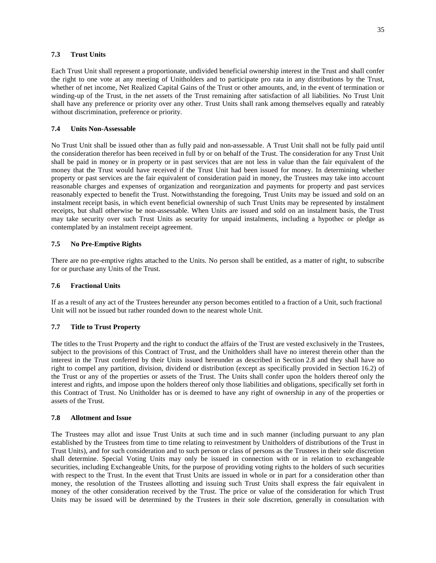### **7.3 Trust Units**

Each Trust Unit shall represent a proportionate, undivided beneficial ownership interest in the Trust and shall confer the right to one vote at any meeting of Unitholders and to participate pro rata in any distributions by the Trust, whether of net income, Net Realized Capital Gains of the Trust or other amounts, and, in the event of termination or winding-up of the Trust, in the net assets of the Trust remaining after satisfaction of all liabilities. No Trust Unit shall have any preference or priority over any other. Trust Units shall rank among themselves equally and rateably without discrimination, preference or priority.

### **7.4 Units Non-Assessable**

No Trust Unit shall be issued other than as fully paid and non-assessable. A Trust Unit shall not be fully paid until the consideration therefor has been received in full by or on behalf of the Trust. The consideration for any Trust Unit shall be paid in money or in property or in past services that are not less in value than the fair equivalent of the money that the Trust would have received if the Trust Unit had been issued for money. In determining whether property or past services are the fair equivalent of consideration paid in money, the Trustees may take into account reasonable charges and expenses of organization and reorganization and payments for property and past services reasonably expected to benefit the Trust. Notwithstanding the foregoing, Trust Units may be issued and sold on an instalment receipt basis, in which event beneficial ownership of such Trust Units may be represented by instalment receipts, but shall otherwise be non-assessable. When Units are issued and sold on an instalment basis, the Trust may take security over such Trust Units as security for unpaid instalments, including a hypothec or pledge as contemplated by an instalment receipt agreement.

# **7.5 No Pre-Emptive Rights**

There are no pre-emptive rights attached to the Units. No person shall be entitled, as a matter of right, to subscribe for or purchase any Units of the Trust.

# **7.6 Fractional Units**

If as a result of any act of the Trustees hereunder any person becomes entitled to a fraction of a Unit, such fractional Unit will not be issued but rather rounded down to the nearest whole Unit.

#### **7.7 Title to Trust Property**

The titles to the Trust Property and the right to conduct the affairs of the Trust are vested exclusively in the Trustees, subject to the provisions of this Contract of Trust, and the Unitholders shall have no interest therein other than the interest in the Trust conferred by their Units issued hereunder as described in Section [2.8](#page-15-0) and they shall have no right to compel any partition, division, dividend or distribution (except as specifically provided in Section [16.2](#page-69-0)) of the Trust or any of the properties or assets of the Trust. The Units shall confer upon the holders thereof only the interest and rights, and impose upon the holders thereof only those liabilities and obligations, specifically set forth in this Contract of Trust. No Unitholder has or is deemed to have any right of ownership in any of the properties or assets of the Trust.

#### **7.8 Allotment and Issue**

The Trustees may allot and issue Trust Units at such time and in such manner (including pursuant to any plan established by the Trustees from time to time relating to reinvestment by Unitholders of distributions of the Trust in Trust Units), and for such consideration and to such person or class of persons as the Trustees in their sole discretion shall determine. Special Voting Units may only be issued in connection with or in relation to exchangeable securities, including Exchangeable Units, for the purpose of providing voting rights to the holders of such securities with respect to the Trust. In the event that Trust Units are issued in whole or in part for a consideration other than money, the resolution of the Trustees allotting and issuing such Trust Units shall express the fair equivalent in money of the other consideration received by the Trust. The price or value of the consideration for which Trust Units may be issued will be determined by the Trustees in their sole discretion, generally in consultation with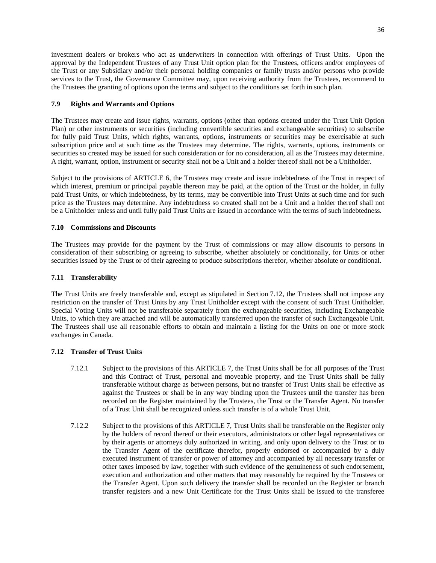investment dealers or brokers who act as underwriters in connection with offerings of Trust Units. Upon the approval by the Independent Trustees of any Trust Unit option plan for the Trustees, officers and/or employees of the Trust or any Subsidiary and/or their personal holding companies or family trusts and/or persons who provide services to the Trust, the Governance Committee may, upon receiving authority from the Trustees, recommend to the Trustees the granting of options upon the terms and subject to the conditions set forth in such plan.

# **7.9 Rights and Warrants and Options**

The Trustees may create and issue rights, warrants, options (other than options created under the Trust Unit Option Plan) or other instruments or securities (including convertible securities and exchangeable securities) to subscribe for fully paid Trust Units, which rights, warrants, options, instruments or securities may be exercisable at such subscription price and at such time as the Trustees may determine. The rights, warrants, options, instruments or securities so created may be issued for such consideration or for no consideration, all as the Trustees may determine. A right, warrant, option, instrument or security shall not be a Unit and a holder thereof shall not be a Unitholder.

Subject to the provisionsof [ARTICLE 6,](#page-34-2) the Trustees may create and issue indebtedness of the Trust in respect of which interest, premium or principal payable thereon may be paid, at the option of the Trust or the holder, in fully paid Trust Units, or which indebtedness, by its terms, may be convertible into Trust Units at such time and for such price as the Trustees may determine. Any indebtedness so created shall not be a Unit and a holder thereof shall not be a Unitholder unless and until fully paid Trust Units are issued in accordance with the terms of such indebtedness.

# **7.10 Commissions and Discounts**

The Trustees may provide for the payment by the Trust of commissions or may allow discounts to persons in consideration of their subscribing or agreeing to subscribe, whether absolutely or conditionally, for Units or other securities issued by the Trust or of their agreeing to produce subscriptions therefor, whether absolute or conditional.

# **7.11 Transferability**

The Trust Units are freely transferable and, except as stipulated in Section [7.12,](#page-40-0) the Trustees shall not impose any restriction on the transfer of Trust Units by any Trust Unitholder except with the consent of such Trust Unitholder. Special Voting Units will not be transferable separately from the exchangeable securities, including Exchangeable Units, to which they are attached and will be automatically transferred upon the transfer of such Exchangeable Unit. The Trustees shall use all reasonable efforts to obtain and maintain a listing for the Units on one or more stock exchanges in Canada.

# <span id="page-40-0"></span>**7.12 Transfer of Trust Units**

- 7.12.1 Subject to the provisions ofthis [ARTICLE 7,](#page-38-0) the Trust Units shall be for all purposes of the Trust and this Contract of Trust, personal and moveable property, and the Trust Units shall be fully transferable without charge as between persons, but no transfer of Trust Units shall be effective as against the Trustees or shall be in any way binding upon the Trustees until the transfer has been recorded on the Register maintained by the Trustees, the Trust or the Transfer Agent. No transfer of a Trust Unit shall be recognized unless such transfer is of a whole Trust Unit.
- 7.12.2 Subject to the provisions ofthis [ARTICLE 7](#page-38-0), Trust Units shall be transferable on the Register only by the holders of record thereof or their executors, administrators or other legal representatives or by their agents or attorneys duly authorized in writing, and only upon delivery to the Trust or to the Transfer Agent of the certificate therefor, properly endorsed or accompanied by a duly executed instrument of transfer or power of attorney and accompanied by all necessary transfer or other taxes imposed by law, together with such evidence of the genuineness of such endorsement, execution and authorization and other matters that may reasonably be required by the Trustees or the Transfer Agent. Upon such delivery the transfer shall be recorded on the Register or branch transfer registers and a new Unit Certificate for the Trust Units shall be issued to the transferee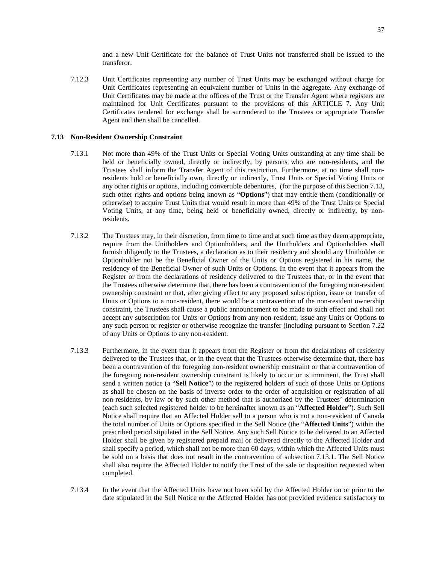and a new Unit Certificate for the balance of Trust Units not transferred shall be issued to the transferor.

7.12.3 Unit Certificates representing any number of Trust Units may be exchanged without charge for Unit Certificates representing an equivalent number of Units in the aggregate. Any exchange of Unit Certificates may be made at the offices of the Trust or the Transfer Agent where registers are maintained for Unit Certificates pursuant to the provisions ofthis [ARTICLE 7](#page-38-0). Any Unit Certificates tendered for exchange shall be surrendered to the Trustees or appropriate Transfer Agent and then shall be cancelled.

# <span id="page-41-0"></span>**7.13 Non-Resident Ownership Constraint**

- <span id="page-41-1"></span>7.13.1 Not more than 49% of the Trust Units or Special Voting Units outstanding at any time shall be held or beneficially owned, directly or indirectly, by persons who are non-residents, and the Trustees shall inform the Transfer Agent of this restriction. Furthermore, at no time shall nonresidents hold or beneficially own, directly or indirectly, Trust Units or Special Voting Units or any other rights or options, including convertible debentures, (for the purpose of this Section [7.13](#page-41-0), such other rights and options being known as "**Options**") that may entitle them (conditionally or otherwise) to acquire Trust Units that would result in more than 49% of the Trust Units or Special Voting Units, at any time, being held or beneficially owned, directly or indirectly, by nonresidents.
- 7.13.2 The Trustees may, in their discretion, from time to time and at such time as they deem appropriate, require from the Unitholders and Optionholders, and the Unitholders and Optionholders shall furnish diligently to the Trustees, a declaration as to their residency and should any Unitholder or Optionholder not be the Beneficial Owner of the Units or Options registered in his name, the residency of the Beneficial Owner of such Units or Options. In the event that it appears from the Register or from the declarations of residency delivered to the Trustees that, or in the event that the Trustees otherwise determine that, there has been a contravention of the foregoing non-resident ownership constraint or that, after giving effect to any proposed subscription, issue or transfer of Units or Options to a non-resident, there would be a contravention of the non-resident ownership constraint, the Trustees shall cause a public announcement to be made to such effect and shall not accept any subscription for Units or Options from any non-resident, issue any Units or Options to any such person or register or otherwise recognize the transfer (including pursuant to Section [7.22](#page-49-0) of any Units or Options to any non-resident.
- 7.13.3 Furthermore, in the event that it appears from the Register or from the declarations of residency delivered to the Trustees that, or in the event that the Trustees otherwise determine that, there has been a contravention of the foregoing non-resident ownership constraint or that a contravention of the foregoing non-resident ownership constraint is likely to occur or is imminent, the Trust shall send a written notice (a "**Sell Notice**") to the registered holders of such of those Units or Options as shall be chosen on the basis of inverse order to the order of acquisition or registration of all non-residents, by law or by such other method that is authorized by the Trustees' determination (each such selected registered holder to be hereinafter known as an "**Affected Holder**"). Such Sell Notice shall require that an Affected Holder sell to a person who is not a non-resident of Canada the total number of Units or Options specified in the Sell Notice (the "**Affected Units**") within the prescribed period stipulated in the Sell Notice. Any such Sell Notice to be delivered to an Affected Holder shall be given by registered prepaid mail or delivered directly to the Affected Holder and shall specify a period, which shall not be more than 60 days, within which the Affected Units must be sold on a basis that does not result in the contravention of subsection [7.13.1.](#page-41-1) The Sell Notice shall also require the Affected Holder to notify the Trust of the sale or disposition requested when completed.
- 7.13.4 In the event that the Affected Units have not been sold by the Affected Holder on or prior to the date stipulated in the Sell Notice or the Affected Holder has not provided evidence satisfactory to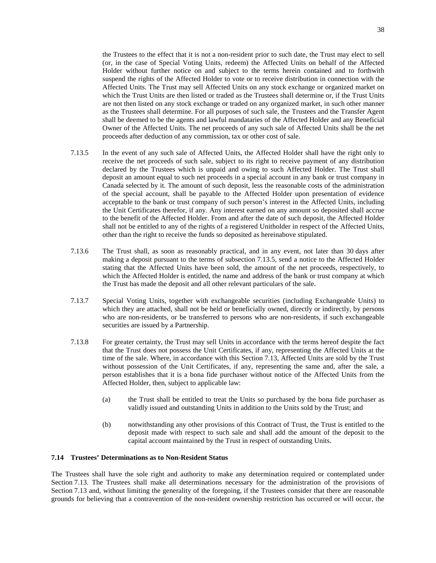the Trustees to the effect that it is not a non-resident prior to such date, the Trust may elect to sell (or, in the case of Special Voting Units, redeem) the Affected Units on behalf of the Affected Holder without further notice on and subject to the terms herein contained and to forthwith suspend the rights of the Affected Holder to vote or to receive distribution in connection with the Affected Units. The Trust may sell Affected Units on any stock exchange or organized market on which the Trust Units are then listed or traded as the Trustees shall determine or, if the Trust Units are not then listed on any stock exchange or traded on any organized market, in such other manner as the Trustees shall determine. For all purposes of such sale, the Trustees and the Transfer Agent shall be deemed to be the agents and lawful mandataries of the Affected Holder and any Beneficial Owner of the Affected Units. The net proceeds of any such sale of Affected Units shall be the net proceeds after deduction of any commission, tax or other cost of sale.

- <span id="page-42-0"></span>7.13.5 In the event of any such sale of Affected Units, the Affected Holder shall have the right only to receive the net proceeds of such sale, subject to its right to receive payment of any distribution declared by the Trustees which is unpaid and owing to such Affected Holder. The Trust shall deposit an amount equal to such net proceeds in a special account in any bank or trust company in Canada selected by it. The amount of such deposit, less the reasonable costs of the administration of the special account, shall be payable to the Affected Holder upon presentation of evidence acceptable to the bank or trust company of such person's interest in the Affected Units, including the Unit Certificates therefor, if any. Any interest earned on any amount so deposited shall accrue to the benefit of the Affected Holder. From and after the date of such deposit, the Affected Holder shall not be entitled to any of the rights of a registered Unitholder in respect of the Affected Units, other than the right to receive the funds so deposited as hereinabove stipulated.
- 7.13.6 The Trust shall, as soon as reasonably practical, and in any event, not later than 30 days after making a deposit pursuant to the terms of subsection [7.13.5](#page-42-0), send a notice to the Affected Holder stating that the Affected Units have been sold, the amount of the net proceeds, respectively, to which the Affected Holder is entitled, the name and address of the bank or trust company at which the Trust has made the deposit and all other relevant particulars of the sale.
- 7.13.7 Special Voting Units, together with exchangeable securities (including Exchangeable Units) to which they are attached, shall not be held or beneficially owned, directly or indirectly, by persons who are non-residents, or be transferred to persons who are non-residents, if such exchangeable securities are issued by a Partnership.
- 7.13.8 For greater certainty, the Trust may sell Units in accordance with the terms hereof despite the fact that the Trust does not possess the Unit Certificates, if any, representing the Affected Units at the time of the sale. Where, in accordance with this Section [7.13](#page-41-0), Affected Units are sold by the Trust without possession of the Unit Certificates, if any, representing the same and, after the sale, a person establishes that it is a bona fide purchaser without notice of the Affected Units from the Affected Holder, then, subject to applicable law:
	- (a) the Trust shall be entitled to treat the Units so purchased by the bona fide purchaser as validly issued and outstanding Units in addition to the Units sold by the Trust; and
	- (b) notwithstanding any other provisions of this Contract of Trust, the Trust is entitled to the deposit made with respect to such sale and shall add the amount of the deposit to the capital account maintained by the Trust in respect of outstanding Units.

# **7.14 Trustees' Determinations as to Non-Resident Status**

The Trustees shall have the sole right and authority to make any determination required or contemplated under Section [7.13](#page-41-0). The Trustees shall make all determinations necessary for the administration of the provisions of Section [7.13](#page-41-0) and, without limiting the generality of the foregoing, if the Trustees consider that there are reasonable grounds for believing that a contravention of the non-resident ownership restriction has occurred or will occur, the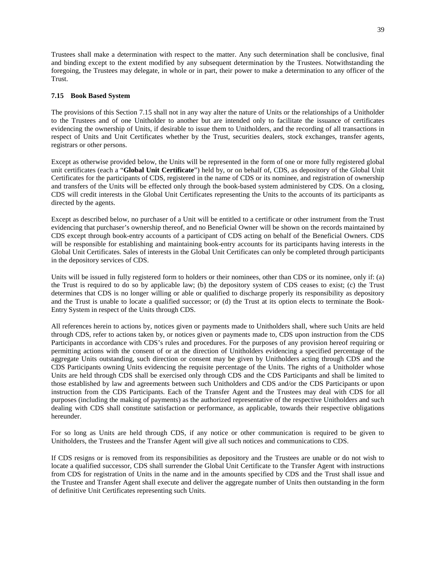Trustees shall make a determination with respect to the matter. Any such determination shall be conclusive, final and binding except to the extent modified by any subsequent determination by the Trustees. Notwithstanding the foregoing, the Trustees may delegate, in whole or in part, their power to make a determination to any officer of the Trust.

# <span id="page-43-0"></span>**7.15 Book Based System**

The provisions of this Section [7.15](#page-43-0) shall not in any way alter the nature of Units or the relationships of a Unitholder to the Trustees and of one Unitholder to another but are intended only to facilitate the issuance of certificates evidencing the ownership of Units, if desirable to issue them to Unitholders, and the recording of all transactions in respect of Units and Unit Certificates whether by the Trust, securities dealers, stock exchanges, transfer agents, registrars or other persons.

Except as otherwise provided below, the Units will be represented in the form of one or more fully registered global unit certificates (each a "**Global Unit Certificate**") held by, or on behalf of, CDS, as depository of the Global Unit Certificates for the participants of CDS, registered in the name of CDS or its nominee, and registration of ownership and transfers of the Units will be effected only through the book-based system administered by CDS. On a closing, CDS will credit interests in the Global Unit Certificates representing the Units to the accounts of its participants as directed by the agents.

Except as described below, no purchaser of a Unit will be entitled to a certificate or other instrument from the Trust evidencing that purchaser's ownership thereof, and no Beneficial Owner will be shown on the records maintained by CDS except through book-entry accounts of a participant of CDS acting on behalf of the Beneficial Owners. CDS will be responsible for establishing and maintaining book-entry accounts for its participants having interests in the Global Unit Certificates. Sales of interests in the Global Unit Certificates can only be completed through participants in the depository services of CDS.

Units will be issued in fully registered form to holders or their nominees, other than CDS or its nominee, only if: (a) the Trust is required to do so by applicable law; (b) the depository system of CDS ceases to exist; (c) the Trust determines that CDS is no longer willing or able or qualified to discharge properly its responsibility as depository and the Trust is unable to locate a qualified successor; or (d) the Trust at its option elects to terminate the Book-Entry System in respect of the Units through CDS.

All references herein to actions by, notices given or payments made to Unitholders shall, where such Units are held through CDS, refer to actions taken by, or notices given or payments made to, CDS upon instruction from the CDS Participants in accordance with CDS's rules and procedures. For the purposes of any provision hereof requiring or permitting actions with the consent of or at the direction of Unitholders evidencing a specified percentage of the aggregate Units outstanding, such direction or consent may be given by Unitholders acting through CDS and the CDS Participants owning Units evidencing the requisite percentage of the Units. The rights of a Unitholder whose Units are held through CDS shall be exercised only through CDS and the CDS Participants and shall be limited to those established by law and agreements between such Unitholders and CDS and/or the CDS Participants or upon instruction from the CDS Participants. Each of the Transfer Agent and the Trustees may deal with CDS for all purposes (including the making of payments) as the authorized representative of the respective Unitholders and such dealing with CDS shall constitute satisfaction or performance, as applicable, towards their respective obligations hereunder.

For so long as Units are held through CDS, if any notice or other communication is required to be given to Unitholders, the Trustees and the Transfer Agent will give all such notices and communications to CDS.

If CDS resigns or is removed from its responsibilities as depository and the Trustees are unable or do not wish to locate a qualified successor, CDS shall surrender the Global Unit Certificate to the Transfer Agent with instructions from CDS for registration of Units in the name and in the amounts specified by CDS and the Trust shall issue and the Trustee and Transfer Agent shall execute and deliver the aggregate number of Units then outstanding in the form of definitive Unit Certificates representing such Units.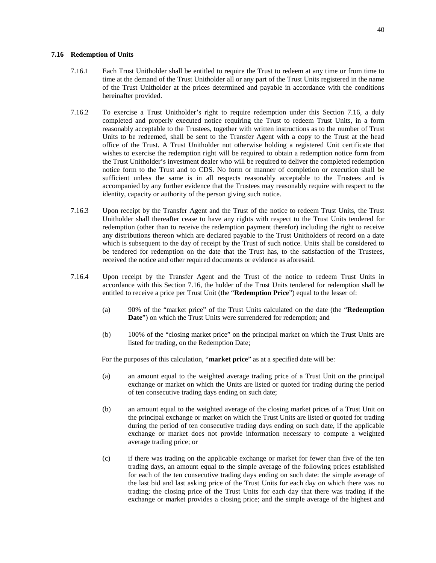#### <span id="page-44-0"></span>**7.16 Redemption of Units**

- 7.16.1 Each Trust Unitholder shall be entitled to require the Trust to redeem at any time or from time to time at the demand of the Trust Unitholder all or any part of the Trust Units registered in the name of the Trust Unitholder at the prices determined and payable in accordance with the conditions hereinafter provided.
- 7.16.2 To exercise a Trust Unitholder's right to require redemption under this Section [7.16,](#page-44-0) a duly completed and properly executed notice requiring the Trust to redeem Trust Units, in a form reasonably acceptable to the Trustees, together with written instructions as to the number of Trust Units to be redeemed, shall be sent to the Transfer Agent with a copy to the Trust at the head office of the Trust. A Trust Unitholder not otherwise holding a registered Unit certificate that wishes to exercise the redemption right will be required to obtain a redemption notice form from the Trust Unitholder's investment dealer who will be required to deliver the completed redemption notice form to the Trust and to CDS. No form or manner of completion or execution shall be sufficient unless the same is in all respects reasonably acceptable to the Trustees and is accompanied by any further evidence that the Trustees may reasonably require with respect to the identity, capacity or authority of the person giving such notice.
- 7.16.3 Upon receipt by the Transfer Agent and the Trust of the notice to redeem Trust Units, the Trust Unitholder shall thereafter cease to have any rights with respect to the Trust Units tendered for redemption (other than to receive the redemption payment therefor) including the right to receive any distributions thereon which are declared payable to the Trust Unitholders of record on a date which is subsequent to the day of receipt by the Trust of such notice. Units shall be considered to be tendered for redemption on the date that the Trust has, to the satisfaction of the Trustees, received the notice and other required documents or evidence as aforesaid.
- <span id="page-44-1"></span>7.16.4 Upon receipt by the Transfer Agent and the Trust of the notice to redeem Trust Units in accordance with this Section [7.16](#page-44-0), the holder of the Trust Units tendered for redemption shall be entitled to receive a price per Trust Unit (the "**Redemption Price**") equal to the lesser of:
	- (a) 90% of the "market price" of the Trust Units calculated on the date (the "**Redemption Date**") on which the Trust Units were surrendered for redemption; and
	- (b) 100% of the "closing market price" on the principal market on which the Trust Units are listed for trading, on the Redemption Date;

For the purposes of this calculation, "**market price**" as at a specified date will be:

- (a) an amount equal to the weighted average trading price of a Trust Unit on the principal exchange or market on which the Units are listed or quoted for trading during the period of ten consecutive trading days ending on such date;
- (b) an amount equal to the weighted average of the closing market prices of a Trust Unit on the principal exchange or market on which the Trust Units are listed or quoted for trading during the period of ten consecutive trading days ending on such date, if the applicable exchange or market does not provide information necessary to compute a weighted average trading price; or
- (c) if there was trading on the applicable exchange or market for fewer than five of the ten trading days, an amount equal to the simple average of the following prices established for each of the ten consecutive trading days ending on such date: the simple average of the last bid and last asking price of the Trust Units for each day on which there was no trading; the closing price of the Trust Units for each day that there was trading if the exchange or market provides a closing price; and the simple average of the highest and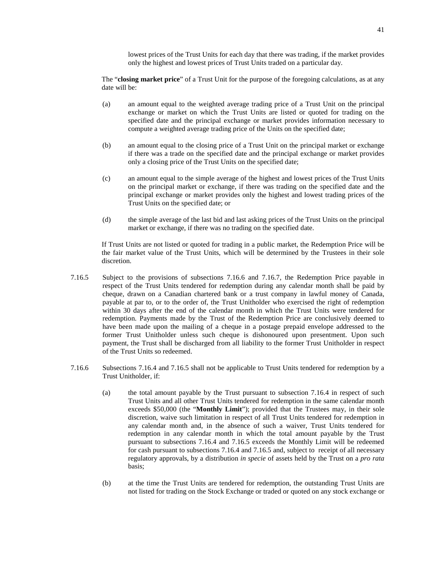lowest prices of the Trust Units for each day that there was trading, if the market provides only the highest and lowest prices of Trust Units traded on a particular day.

The "**closing market price**" of a Trust Unit for the purpose of the foregoing calculations, as at any date will be:

- (a) an amount equal to the weighted average trading price of a Trust Unit on the principal exchange or market on which the Trust Units are listed or quoted for trading on the specified date and the principal exchange or market provides information necessary to compute a weighted average trading price of the Units on the specified date;
- (b) an amount equal to the closing price of a Trust Unit on the principal market or exchange if there was a trade on the specified date and the principal exchange or market provides only a closing price of the Trust Units on the specified date;
- (c) an amount equal to the simple average of the highest and lowest prices of the Trust Units on the principal market or exchange, if there was trading on the specified date and the principal exchange or market provides only the highest and lowest trading prices of the Trust Units on the specified date; or
- (d) the simple average of the last bid and last asking prices of the Trust Units on the principal market or exchange, if there was no trading on the specified date.

<span id="page-45-1"></span>If Trust Units are not listed or quoted for trading in a public market, the Redemption Price will be the fair market value of the Trust Units, which will be determined by the Trustees in their sole discretion.

- 7.16.5 Subject to the provisions of subsections [7.16.6](#page-45-0)and [7.16.7,](#page-46-0) the Redemption Price payable in respect of the Trust Units tendered for redemption during any calendar month shall be paid by cheque, drawn on a Canadian chartered bank or a trust company in lawful money of Canada, payable at par to, or to the order of, the Trust Unitholder who exercised the right of redemption within 30 days after the end of the calendar month in which the Trust Units were tendered for redemption. Payments made by the Trust of the Redemption Price are conclusively deemed to have been made upon the mailing of a cheque in a postage prepaid envelope addressed to the former Trust Unitholder unless such cheque is dishonoured upon presentment. Upon such payment, the Trust shall be discharged from all liability to the former Trust Unitholder in respect of the Trust Units so redeemed.
- <span id="page-45-3"></span><span id="page-45-2"></span><span id="page-45-0"></span>7.16.6 Subsections [7.16.4](#page-44-1)and [7.16.5](#page-45-1) shall not be applicable to Trust Units tendered for redemption by a Trust Unitholder, if:
	- (a) the total amount payable by the Trust pursuant to subsection [7.16.4](#page-44-1) in respect of such Trust Units and all other Trust Units tendered for redemption in the same calendar month exceeds \$50,000 (the "**Monthly Limit**"); provided that the Trustees may, in their sole discretion, waive such limitation in respect of all Trust Units tendered for redemption in any calendar month and, in the absence of such a waiver, Trust Units tendered for redemption in any calendar month in which the total amount payable by the Trust pursuant to subsections [7.16.4](#page-44-1)and [7.16.5](#page-45-1) exceeds the Monthly Limit will be redeemed for cash pursuant to subsections [7.16.4](#page-44-1)and [7.16.5](#page-45-1) and, subject to receipt of all necessary regulatory approvals, by a distribution *in specie* of assets held by the Trust on a *pro rata* basis;
	- (b) at the time the Trust Units are tendered for redemption, the outstanding Trust Units are not listed for trading on the Stock Exchange or traded or quoted on any stock exchange or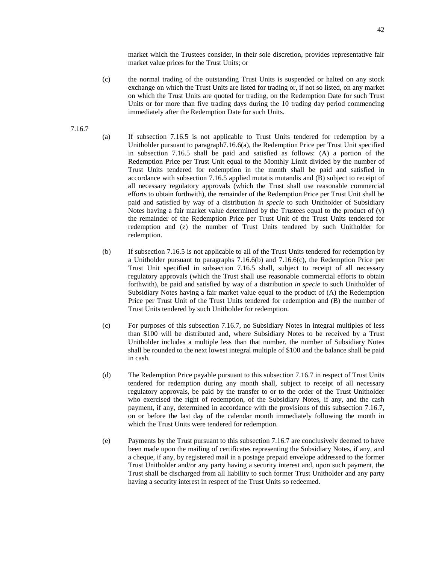<span id="page-46-1"></span>market which the Trustees consider, in their sole discretion, provides representative fair market value prices for the Trust Units; or

- (c) the normal trading of the outstanding Trust Units is suspended or halted on any stock exchange on which the Trust Units are listed for trading or, if not so listed, on any market on which the Trust Units are quoted for trading, on the Redemption Date for such Trust Units or for more than five trading days during the 10 trading day period commencing immediately after the Redemption Date for such Units.
- 7.16.7
- <span id="page-46-0"></span>(a) If subsection [7.16.5](#page-45-1) is not applicable to Trust Units tendered for redemption by a Unitholder pursuant to paragrap[h7.16.6\(a\),](#page-45-2) the Redemption Price per Trust Unit specified in subsection [7.16.5](#page-45-1) shall be paid and satisfied as follows: (A) a portion of the Redemption Price per Trust Unit equal to the Monthly Limit divided by the number of Trust Units tendered for redemption in the month shall be paid and satisfied in accordance with subsection [7.16.5](#page-45-1) applied mutatis mutandis and (B) subject to receipt of all necessary regulatory approvals (which the Trust shall use reasonable commercial efforts to obtain forthwith), the remainder of the Redemption Price per Trust Unit shall be paid and satisfied by way of a distribution *in specie* to such Unitholder of Subsidiary Notes having a fair market value determined by the Trustees equal to the product of (y) the remainder of the Redemption Price per Trust Unit of the Trust Units tendered for redemption and (z) the number of Trust Units tendered by such Unitholder for redemption.
- (b) If subsection [7.16.5](#page-45-1) is not applicable to all of the Trust Units tendered for redemption by aUnitholder pursuant to paragraphs  $7.16.6(b)$  and  $7.16.6(c)$ , the Redemption Price per Trust Unit specified in subsection [7.16.5](#page-45-1) shall, subject to receipt of all necessary regulatory approvals (which the Trust shall use reasonable commercial efforts to obtain forthwith), be paid and satisfied by way of a distribution *in specie* to such Unitholder of Subsidiary Notes having a fair market value equal to the product of (A) the Redemption Price per Trust Unit of the Trust Units tendered for redemption and (B) the number of Trust Units tendered by such Unitholder for redemption.
- (c) For purposes of this subsection [7.16.7](#page-46-0), no Subsidiary Notes in integral multiples of less than \$100 will be distributed and, where Subsidiary Notes to be received by a Trust Unitholder includes a multiple less than that number, the number of Subsidiary Notes shall be rounded to the next lowest integral multiple of \$100 and the balance shall be paid in cash.
- (d) The Redemption Price payable pursuant to this subsection [7.16.7](#page-46-0) in respect of Trust Units tendered for redemption during any month shall, subject to receipt of all necessary regulatory approvals, be paid by the transfer to or to the order of the Trust Unitholder who exercised the right of redemption, of the Subsidiary Notes, if any, and the cash payment, if any, determined in accordance with the provisions of this subsection [7.16.7](#page-46-0), on or before the last day of the calendar month immediately following the month in which the Trust Units were tendered for redemption.
- (e) Payments by the Trust pursuant to this subsection [7.16.7](#page-46-0) are conclusively deemed to have been made upon the mailing of certificates representing the Subsidiary Notes, if any, and a cheque, if any, by registered mail in a postage prepaid envelope addressed to the former Trust Unitholder and/or any party having a security interest and, upon such payment, the Trust shall be discharged from all liability to such former Trust Unitholder and any party having a security interest in respect of the Trust Units so redeemed.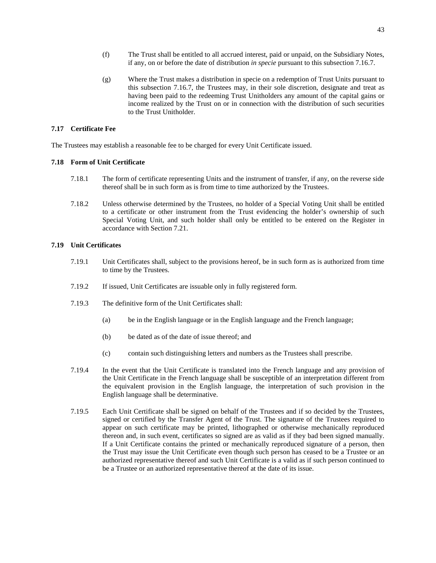- (f) The Trust shall be entitled to all accrued interest, paid or unpaid, on the Subsidiary Notes, if any, on or before the date of distribution *in specie* pursuant to this subsection [7.16.7.](#page-46-0)
- <span id="page-47-0"></span>(g) Where the Trust makes a distribution in specie on a redemption of Trust Units pursuant to this subsection [7.16.7](#page-46-0), the Trustees may, in their sole discretion, designate and treat as having been paid to the redeeming Trust Unitholders any amount of the capital gains or income realized by the Trust on or in connection with the distribution of such securities to the Trust Unitholder.

# **7.17 Certificate Fee**

The Trustees may establish a reasonable fee to be charged for every Unit Certificate issued.

# **7.18 Form of Unit Certificate**

- 7.18.1 The form of certificate representing Units and the instrument of transfer, if any, on the reverse side thereof shall be in such form as is from time to time authorized by the Trustees.
- 7.18.2 Unless otherwise determined by the Trustees, no holder of a Special Voting Unit shall be entitled to a certificate or other instrument from the Trust evidencing the holder's ownership of such Special Voting Unit, and such holder shall only be entitled to be entered on the Register in accordance with Section [7.21.](#page-48-0)

# **7.19 Unit Certificates**

- 7.19.1 Unit Certificates shall, subject to the provisions hereof, be in such form as is authorized from time to time by the Trustees.
- 7.19.2 If issued, Unit Certificates are issuable only in fully registered form.
- 7.19.3 The definitive form of the Unit Certificates shall:
	- (a) be in the English language or in the English language and the French language;
	- (b) be dated as of the date of issue thereof; and
	- (c) contain such distinguishing letters and numbers as the Trustees shall prescribe.
- 7.19.4 In the event that the Unit Certificate is translated into the French language and any provision of the Unit Certificate in the French language shall be susceptible of an interpretation different from the equivalent provision in the English language, the interpretation of such provision in the English language shall be determinative.
- 7.19.5 Each Unit Certificate shall be signed on behalf of the Trustees and if so decided by the Trustees, signed or certified by the Transfer Agent of the Trust. The signature of the Trustees required to appear on such certificate may be printed, lithographed or otherwise mechanically reproduced thereon and, in such event, certificates so signed are as valid as if they bad been signed manually. If a Unit Certificate contains the printed or mechanically reproduced signature of a person, then the Trust may issue the Unit Certificate even though such person has ceased to be a Trustee or an authorized representative thereof and such Unit Certificate is a valid as if such person continued to be a Trustee or an authorized representative thereof at the date of its issue.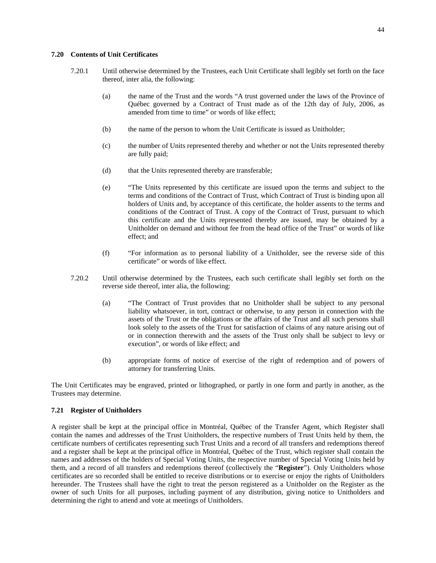### **7.20 Contents of Unit Certificates**

- 7.20.1 Until otherwise determined by the Trustees, each Unit Certificate shall legibly set forth on the face thereof, inter alia, the following:
	- (a) the name of the Trust and the words "A trust governed under the laws of the Province of Québec governed by a Contract of Trust made as of the 12th day of July, 2006, as amended from time to time" or words of like effect;
	- (b) the name of the person to whom the Unit Certificate is issued as Unitholder;
	- (c) the number of Units represented thereby and whether or not the Units represented thereby are fully paid;
	- (d) that the Units represented thereby are transferable;
	- (e) "The Units represented by this certificate are issued upon the terms and subject to the terms and conditions of the Contract of Trust, which Contract of Trust is binding upon all holders of Units and, by acceptance of this certificate, the holder assents to the terms and conditions of the Contract of Trust. A copy of the Contract of Trust, pursuant to which this certificate and the Units represented thereby are issued, may be obtained by a Unitholder on demand and without fee from the head office of the Trust" or words of like effect; and
	- (f) "For information as to personal liability of a Unitholder, see the reverse side of this certificate" or words of like effect.
- 7.20.2 Until otherwise determined by the Trustees, each such certificate shall legibly set forth on the reverse side thereof, inter alia, the following:
	- (a) "The Contract of Trust provides that no Unitholder shall be subject to any personal liability whatsoever, in tort, contract or otherwise, to any person in connection with the assets of the Trust or the obligations or the affairs of the Trust and all such persons shall look solely to the assets of the Trust for satisfaction of claims of any nature arising out of or in connection therewith and the assets of the Trust only shall be subject to levy or execution", or words of like effect; and
	- (b) appropriate forms of notice of exercise of the right of redemption and of powers of attorney for transferring Units.

The Unit Certificates may be engraved, printed or lithographed, or partly in one form and partly in another, as the Trustees may determine.

# <span id="page-48-0"></span>**7.21 Register of Unitholders**

A register shall be kept at the principal office in Montréal, Québec of the Transfer Agent, which Register shall contain the names and addresses of the Trust Unitholders, the respective numbers of Trust Units held by them, the certificate numbers of certificates representing such Trust Units and a record of all transfers and redemptions thereof and a register shall be kept at the principal office in Montréal, Québec of the Trust, which register shall contain the names and addresses of the holders of Special Voting Units, the respective number of Special Voting Units held by them, and a record of all transfers and redemptions thereof (collectively the "**Register**"). Only Unitholders whose certificates are so recorded shall be entitled to receive distributions or to exercise or enjoy the rights of Unitholders hereunder. The Trustees shall have the right to treat the person registered as a Unitholder on the Register as the owner of such Units for all purposes, including payment of any distribution, giving notice to Unitholders and determining the right to attend and vote at meetings of Unitholders.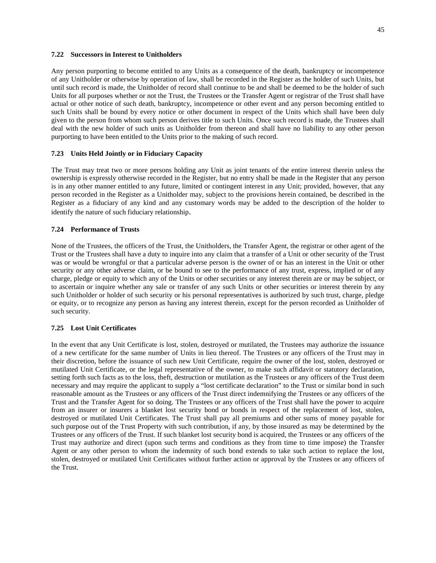# <span id="page-49-0"></span>**7.22 Successors in Interest to Unitholders**

Any person purporting to become entitled to any Units as a consequence of the death, bankruptcy or incompetence of any Unitholder or otherwise by operation of law, shall be recorded in the Register as the holder of such Units, but until such record is made, the Unitholder of record shall continue to be and shall be deemed to be the holder of such Units for all purposes whether or not the Trust, the Trustees or the Transfer Agent or registrar of the Trust shall have actual or other notice of such death, bankruptcy, incompetence or other event and any person becoming entitled to such Units shall be bound by every notice or other document in respect of the Units which shall have been duly given to the person from whom such person derives title to such Units. Once such record is made, the Trustees shall deal with the new holder of such units as Unitholder from thereon and shall have no liability to any other person purporting to have been entitled to the Units prior to the making of such record.

### <span id="page-49-1"></span>**7.23 Units Held Jointly or in Fiduciary Capacity**

The Trust may treat two or more persons holding any Unit as joint tenants of the entire interest therein unless the ownership is expressly otherwise recorded in the Register, but no entry shall be made in the Register that any person is in any other manner entitled to any future, limited or contingent interest in any Unit; provided, however, that any person recorded in the Register as a Unitholder may, subject to the provisions herein contained, be described in the Register as a fiduciary of any kind and any customary words may be added to the description of the holder to identify the nature of such fiduciary relationship.

#### **7.24 Performance of Trusts**

None of the Trustees, the officers of the Trust, the Unitholders, the Transfer Agent, the registrar or other agent of the Trust or the Trustees shall have a duty to inquire into any claim that a transfer of a Unit or other security of the Trust was or would be wrongful or that a particular adverse person is the owner of or has an interest in the Unit or other security or any other adverse claim, or be bound to see to the performance of any trust, express, implied or of any charge, pledge or equity to which any of the Units or other securities or any interest therein are or may be subject, or to ascertain or inquire whether any sale or transfer of any such Units or other securities or interest therein by any such Unitholder or holder of such security or his personal representatives is authorized by such trust, charge, pledge or equity, or to recognize any person as having any interest therein, except for the person recorded as Unitholder of such security.

# **7.25 Lost Unit Certificates**

In the event that any Unit Certificate is lost, stolen, destroyed or mutilated, the Trustees may authorize the issuance of a new certificate for the same number of Units in lieu thereof. The Trustees or any officers of the Trust may in their discretion, before the issuance of such new Unit Certificate, require the owner of the lost, stolen, destroyed or mutilated Unit Certificate, or the legal representative of the owner, to make such affidavit or statutory declaration, setting forth such facts as to the loss, theft, destruction or mutilation as the Trustees or any officers of the Trust deem necessary and may require the applicant to supply a "lost certificate declaration" to the Trust or similar bond in such reasonable amount as the Trustees or any officers of the Trust direct indemnifying the Trustees or any officers of the Trust and the Transfer Agent for so doing. The Trustees or any officers of the Trust shall have the power to acquire from an insurer or insurers a blanket lost security bond or bonds in respect of the replacement of lost, stolen, destroyed or mutilated Unit Certificates. The Trust shall pay all premiums and other sums of money payable for such purpose out of the Trust Property with such contribution, if any, by those insured as may be determined by the Trustees or any officers of the Trust. If such blanket lost security bond is acquired, the Trustees or any officers of the Trust may authorize and direct (upon such terms and conditions as they from time to time impose) the Transfer Agent or any other person to whom the indemnity of such bond extends to take such action to replace the lost, stolen, destroyed or mutilated Unit Certificates without further action or approval by the Trustees or any officers of the Trust.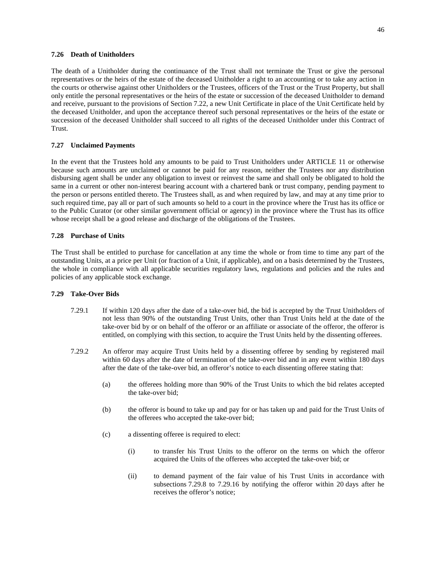# **7.26 Death of Unitholders**

The death of a Unitholder during the continuance of the Trust shall not terminate the Trust or give the personal representatives or the heirs of the estate of the deceased Unitholder a right to an accounting or to take any action in the courts or otherwise against other Unitholders or the Trustees, officers of the Trust or the Trust Property, but shall only entitle the personal representatives or the heirs of the estate or succession of the deceased Unitholder to demand and receive, pursuant to the provisions of Section [7.22,](#page-49-0) a new Unit Certificate in place of the Unit Certificate held by the deceased Unitholder, and upon the acceptance thereof such personal representatives or the heirs of the estate or succession of the deceased Unitholder shall succeed to all rights of the deceased Unitholder under this Contract of Trust.

# **7.27 Unclaimed Payments**

In the event that the Trustees hold any amounts to be paid to Trust Unitholders under [ARTICLE 11](#page-63-0) or otherwise because such amounts are unclaimed or cannot be paid for any reason, neither the Trustees nor any distribution disbursing agent shall be under any obligation to invest or reinvest the same and shall only be obligated to hold the same in a current or other non-interest bearing account with a chartered bank or trust company, pending payment to the person or persons entitled thereto. The Trustees shall, as and when required by law, and may at any time prior to such required time, pay all or part of such amounts so held to a court in the province where the Trust has its office or to the Public Curator (or other similar government official or agency) in the province where the Trust has its office whose receipt shall be a good release and discharge of the obligations of the Trustees.

# **7.28 Purchase of Units**

The Trust shall be entitled to purchase for cancellation at any time the whole or from time to time any part of the outstanding Units, at a price per Unit (or fraction of a Unit, if applicable), and on a basis determined by the Trustees, the whole in compliance with all applicable securities regulatory laws, regulations and policies and the rules and policies of any applicable stock exchange.

# <span id="page-50-3"></span>**7.29 Take-Over Bids**

- 7.29.1 If within 120 days after the date of a take-over bid, the bid is accepted by the Trust Unitholders of not less than 90% of the outstanding Trust Units, other than Trust Units held at the date of the take-over bid by or on behalf of the offeror or an affiliate or associate of the offeror, the offeror is entitled, on complying with this section, to acquire the Trust Units held by the dissenting offerees.
- <span id="page-50-2"></span><span id="page-50-1"></span><span id="page-50-0"></span>7.29.2 An offeror may acquire Trust Units held by a dissenting offeree by sending by registered mail within 60 days after the date of termination of the take-over bid and in any event within 180 days after the date of the take-over bid, an offeror's notice to each dissenting offeree stating that:
	- (a) the offerees holding more than 90% of the Trust Units to which the bid relates accepted the take-over bid;
	- (b) the offeror is bound to take up and pay for or has taken up and paid for the Trust Units of the offerees who accepted the take-over bid;
	- (c) a dissenting offeree is required to elect:
		- (i) to transfer his Trust Units to the offeror on the terms on which the offeror acquired the Units of the offerees who accepted the take-over bid; or
		- (ii) to demand payment of the fair value of his Trust Units in accordance with subsections [7.29.8](#page-51-0)to [7.29.16](#page-52-0) by notifying the offeror within 20 days after he receives the offeror's notice;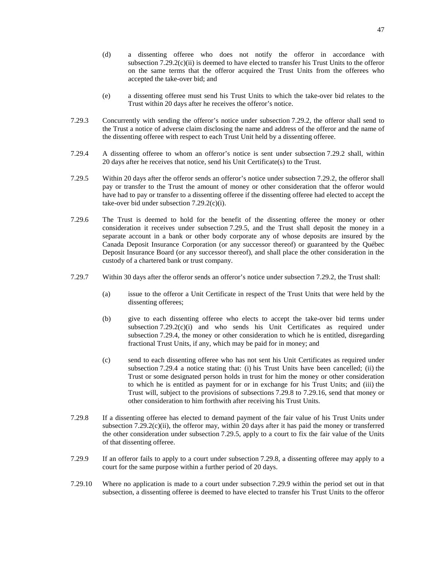- (d) a dissenting offeree who does not notify the offeror in accordance with subsection  $7.29.2(c)$ (ii) is deemed to have elected to transfer his Trust Units to the offeror on the same terms that the offeror acquired the Trust Units from the offerees who accepted the take-over bid; and
- (e) a dissenting offeree must send his Trust Units to which the take-over bid relates to the Trust within 20 days after he receives the offeror's notice.
- 7.29.3 Concurrently with sending the offeror's notice under subsection [7.29.2,](#page-50-0) the offeror shall send to the Trust a notice of adverse claim disclosing the name and address of the offeror and the name of the dissenting offeree with respect to each Trust Unit held by a dissenting offeree.
- <span id="page-51-2"></span>7.29.4 A dissenting offeree to whom an offeror's notice is sent under subsection [7.29.2](#page-50-0) shall, within 20 days after he receives that notice, send his Unit Certificate(s) to the Trust.
- <span id="page-51-1"></span>7.29.5 Within 20 days after the offeror sends an offeror's notice under subsection [7.29.2,](#page-50-0) the offeror shall pay or transfer to the Trust the amount of money or other consideration that the offeror would have had to pay or transfer to a dissenting offeree if the dissenting offeree had elected to accept the take-over bid under subsection [7.29.2\(c\)\(i\)](#page-50-2).
- <span id="page-51-4"></span>7.29.6 The Trust is deemed to hold for the benefit of the dissenting offeree the money or other consideration it receives under subsection [7.29.5,](#page-51-1) and the Trust shall deposit the money in a separate account in a bank or other body corporate any of whose deposits are insured by the Canada Deposit Insurance Corporation (or any successor thereof) or guaranteed by the Québec Deposit Insurance Board (or any successor thereof), and shall place the other consideration in the custody of a chartered bank or trust company.
- 7.29.7 Within 30 days after the offeror sends an offeror's notice under subsection [7.29.2](#page-50-0), the Trust shall:
	- (a) issue to the offeror a Unit Certificate in respect of the Trust Units that were held by the dissenting offerees;
	- (b) give to each dissenting offeree who elects to accept the take-over bid terms under subsection [7.29.2\(c\)\(i\)](#page-50-2) and who sends his Unit Certificates as required under subsection [7.29.4,](#page-51-2) the money or other consideration to which he is entitled, disregarding fractional Trust Units, if any, which may be paid for in money; and
	- (c) send to each dissenting offeree who has not sent his Unit Certificates as required under subsection [7.29.4](#page-51-2) a notice stating that: (i) his Trust Units have been cancelled; (ii) the Trust or some designated person holds in trust for him the money or other consideration to which he is entitled as payment for or in exchange for his Trust Units; and (iii) the Trust will, subject to the provisions of subsections [7.29.8](#page-51-0)to [7.29.16](#page-52-0), send that money or other consideration to him forthwith after receiving his Trust Units.
- <span id="page-51-0"></span>7.29.8 If a dissenting offeree has elected to demand payment of the fair value of his Trust Units under subsection [7.29.2\(c\)\(ii\)](#page-50-1), the offeror may, within 20 days after it has paid the money or transferred the other consideration under subsection [7.29.5,](#page-51-1) apply to a court to fix the fair value of the Units of that dissenting offeree.
- <span id="page-51-3"></span>7.29.9 If an offeror fails to apply to a court under subsection [7.29.8](#page-51-0), a dissenting offeree may apply to a court for the same purpose within a further period of 20 days.
- 7.29.10 Where no application is made to a court under subsection [7.29.9](#page-51-3) within the period set out in that subsection, a dissenting offeree is deemed to have elected to transfer his Trust Units to the offeror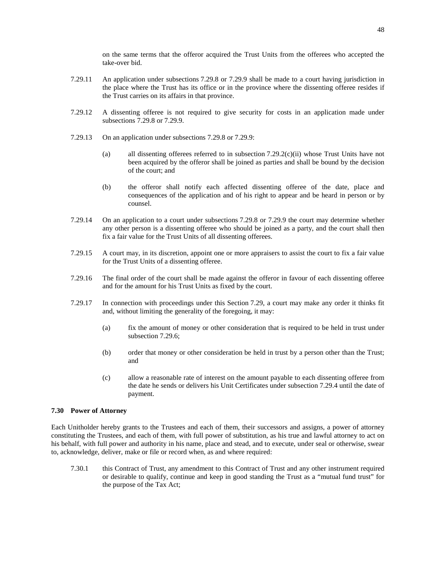on the same terms that the offeror acquired the Trust Units from the offerees who accepted the take-over bid.

- 7.29.11 An application under subsections [7.29.8](#page-51-0)or [7.29.9](#page-51-3) shall be made to a court having jurisdiction in the place where the Trust has its office or in the province where the dissenting offeree resides if the Trust carries on its affairs in that province.
- 7.29.12 A dissenting offeree is not required to give security for costs in an application made under subsections [7.29.8](#page-51-0)or [7.29.9](#page-51-3).
- 7.29.13 On an application under subsections [7.29.8](#page-51-0)or [7.29.9:](#page-51-3)
	- (a) all dissenting offerees referred to in subsection  $7.29.2(c)$ (ii) whose Trust Units have not been acquired by the offeror shall be joined as parties and shall be bound by the decision of the court; and
	- (b) the offeror shall notify each affected dissenting offeree of the date, place and consequences of the application and of his right to appear and be heard in person or by counsel.
- 7.29.14 On an application to a court under subsections [7.29.8](#page-51-0)or [7.29.9](#page-51-3) the court may determine whether any other person is a dissenting offeree who should be joined as a party, and the court shall then fix a fair value for the Trust Units of all dissenting offerees.
- 7.29.15 A court may, in its discretion, appoint one or more appraisers to assist the court to fix a fair value for the Trust Units of a dissenting offeree.
- <span id="page-52-0"></span>7.29.16 The final order of the court shall be made against the offeror in favour of each dissenting offeree and for the amount for his Trust Units as fixed by the court.
- 7.29.17 In connection with proceedings under this Section [7.29](#page-50-3), a court may make any order it thinks fit and, without limiting the generality of the foregoing, it may:
	- (a) fix the amount of money or other consideration that is required to be held in trust under subsection [7.29.6;](#page-51-4)
	- (b) order that money or other consideration be held in trust by a person other than the Trust; and
	- (c) allow a reasonable rate of interest on the amount payable to each dissenting offeree from the date he sends or delivers his Unit Certificates under subsection [7.29.4](#page-51-2) until the date of payment.

# **7.30 Power of Attorney**

Each Unitholder hereby grants to the Trustees and each of them, their successors and assigns, a power of attorney constituting the Trustees, and each of them, with full power of substitution, as his true and lawful attorney to act on his behalf, with full power and authority in his name, place and stead, and to execute, under seal or otherwise, swear to, acknowledge, deliver, make or file or record when, as and where required:

7.30.1 this Contract of Trust, any amendment to this Contract of Trust and any other instrument required or desirable to qualify, continue and keep in good standing the Trust as a "mutual fund trust" for the purpose of the Tax Act;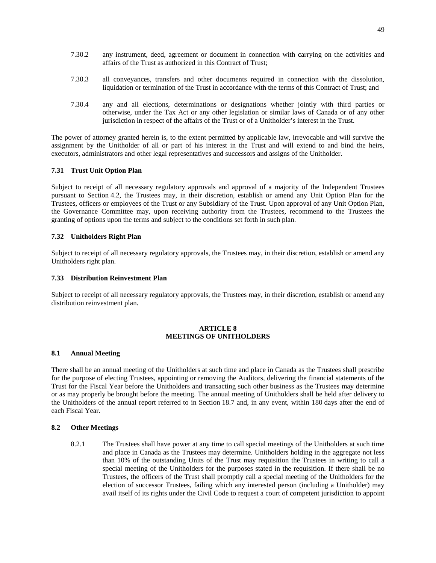- 7.30.2 any instrument, deed, agreement or document in connection with carrying on the activities and affairs of the Trust as authorized in this Contract of Trust;
- 7.30.3 all conveyances, transfers and other documents required in connection with the dissolution, liquidation or termination of the Trust in accordance with the terms of this Contract of Trust; and
- 7.30.4 any and all elections, determinations or designations whether jointly with third parties or otherwise, under the Tax Act or any other legislation or similar laws of Canada or of any other jurisdiction in respect of the affairs of the Trust or of a Unitholder's interest in the Trust.

The power of attorney granted herein is, to the extent permitted by applicable law, irrevocable and will survive the assignment by the Unitholder of all or part of his interest in the Trust and will extend to and bind the heirs, executors, administrators and other legal representatives and successors and assigns of the Unitholder.

# **7.31 Trust Unit Option Plan**

Subject to receipt of all necessary regulatory approvals and approval of a majority of the Independent Trustees pursuant to Section [4.2,](#page-23-0) the Trustees may, in their discretion, establish or amend any Unit Option Plan for the Trustees, officers or employees of the Trust or any Subsidiary of the Trust. Upon approval of any Unit Option Plan, the Governance Committee may, upon receiving authority from the Trustees, recommend to the Trustees the granting of options upon the terms and subject to the conditions set forth in such plan.

# **7.32 Unitholders Right Plan**

Subject to receipt of all necessary regulatory approvals, the Trustees may, in their discretion, establish or amend any Unitholders right plan.

# **7.33 Distribution Reinvestment Plan**

Subject to receipt of all necessary regulatory approvals, the Trustees may, in their discretion, establish or amend any distribution reinvestment plan.

# <span id="page-53-1"></span>**ARTICLE 8 MEETINGS OF UNITHOLDERS**

# **8.1 Annual Meeting**

There shall be an annual meeting of the Unitholders at such time and place in Canada as the Trustees shall prescribe for the purpose of electing Trustees, appointing or removing the Auditors, delivering the financial statements of the Trust for the Fiscal Year before the Unitholders and transacting such other business as the Trustees may determine or as may properly be brought before the meeting. The annual meeting of Unitholders shall be held after delivery to the Unitholders of the annual report referred to in Section [18.7](#page-73-0) and, in any event, within 180 days after the end of each Fiscal Year.

# <span id="page-53-0"></span>**8.2 Other Meetings**

8.2.1 The Trustees shall have power at any time to call special meetings of the Unitholders at such time and place in Canada as the Trustees may determine. Unitholders holding in the aggregate not less than 10% of the outstanding Units of the Trust may requisition the Trustees in writing to call a special meeting of the Unitholders for the purposes stated in the requisition. If there shall be no Trustees, the officers of the Trust shall promptly call a special meeting of the Unitholders for the election of successor Trustees, failing which any interested person (including a Unitholder) may avail itself of its rights under the Civil Code to request a court of competent jurisdiction to appoint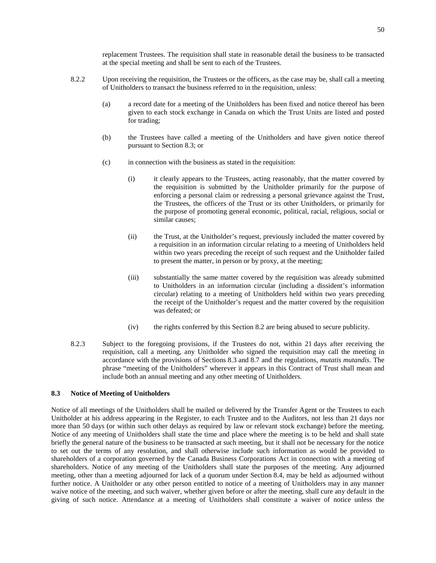replacement Trustees. The requisition shall state in reasonable detail the business to be transacted at the special meeting and shall be sent to each of the Trustees.

- 8.2.2 Upon receiving the requisition, the Trustees or the officers, as the case may be, shall call a meeting of Unitholders to transact the business referred to in the requisition, unless:
	- (a) a record date for a meeting of the Unitholders has been fixed and notice thereof has been given to each stock exchange in Canada on which the Trust Units are listed and posted for trading;
	- (b) the Trustees have called a meeting of the Unitholders and have given notice thereof pursuant to Section [8.3](#page-54-0); or
	- (c) in connection with the business as stated in the requisition:
		- (i) it clearly appears to the Trustees, acting reasonably, that the matter covered by the requisition is submitted by the Unitholder primarily for the purpose of enforcing a personal claim or redressing a personal grievance against the Trust, the Trustees, the officers of the Trust or its other Unitholders, or primarily for the purpose of promoting general economic, political, racial, religious, social or similar causes;
		- (ii) the Trust, at the Unitholder's request, previously included the matter covered by a requisition in an information circular relating to a meeting of Unitholders held within two years preceding the receipt of such request and the Unitholder failed to present the matter, in person or by proxy, at the meeting;
		- (iii) substantially the same matter covered by the requisition was already submitted to Unitholders in an information circular (including a dissident's information circular) relating to a meeting of Unitholders held within two years preceding the receipt of the Unitholder's request and the matter covered by the requisition was defeated; or
		- (iv) the rights conferred by this Section [8.2](#page-53-0) are being abused to secure publicity.
- 8.2.3 Subject to the foregoing provisions, if the Trustees do not, within 21 days after receiving the requisition, call a meeting, any Unitholder who signed the requisition may call the meeting in accordance with the provisions of Sections [8.3](#page-54-0)and [8.7](#page-56-0) and the regulations, *mutatis mutandis*. The phrase "meeting of the Unitholders" wherever it appears in this Contract of Trust shall mean and include both an annual meeting and any other meeting of Unitholders.

# <span id="page-54-0"></span>**8.3 Notice of Meeting of Unitholders**

Notice of all meetings of the Unitholders shall be mailed or delivered by the Transfer Agent or the Trustees to each Unitholder at his address appearing in the Register, to each Trustee and to the Auditors, not less than 21 days nor more than 50 days (or within such other delays as required by law or relevant stock exchange) before the meeting. Notice of any meeting of Unitholders shall state the time and place where the meeting is to be held and shall state briefly the general nature of the business to be transacted at such meeting, but it shall not be necessary for the notice to set out the terms of any resolution, and shall otherwise include such information as would be provided to shareholders of a corporation governed by the Canada Business Corporations Act in connection with a meeting of shareholders. Notice of any meeting of the Unitholders shall state the purposes of the meeting. Any adjourned meeting, other than a meeting adjourned for lack of a quorum under Section [8.4,](#page-55-0) may be held as adjourned without further notice. A Unitholder or any other person entitled to notice of a meeting of Unitholders may in any manner waive notice of the meeting, and such waiver, whether given before or after the meeting, shall cure any default in the giving of such notice. Attendance at a meeting of Unitholders shall constitute a waiver of notice unless the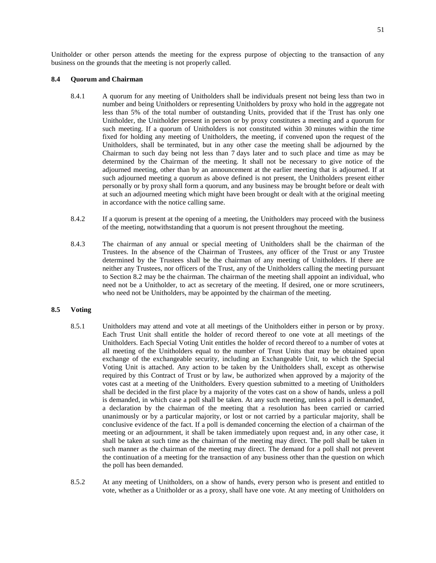Unitholder or other person attends the meeting for the express purpose of objecting to the transaction of any business on the grounds that the meeting is not properly called.

# <span id="page-55-0"></span>**8.4 Quorum and Chairman**

- 8.4.1 A quorum for any meeting of Unitholders shall be individuals present not being less than two in number and being Unitholders or representing Unitholders by proxy who hold in the aggregate not less than 5% of the total number of outstanding Units, provided that if the Trust has only one Unitholder, the Unitholder present in person or by proxy constitutes a meeting and a quorum for such meeting. If a quorum of Unitholders is not constituted within 30 minutes within the time fixed for holding any meeting of Unitholders, the meeting, if convened upon the request of the Unitholders, shall be terminated, but in any other case the meeting shall be adjourned by the Chairman to such day being not less than 7 days later and to such place and time as may be determined by the Chairman of the meeting. It shall not be necessary to give notice of the adjourned meeting, other than by an announcement at the earlier meeting that is adjourned. If at such adjourned meeting a quorum as above defined is not present, the Unitholders present either personally or by proxy shall form a quorum, and any business may be brought before or dealt with at such an adjourned meeting which might have been brought or dealt with at the original meeting in accordance with the notice calling same.
- 8.4.2 If a quorum is present at the opening of a meeting, the Unitholders may proceed with the business of the meeting, notwithstanding that a quorum is not present throughout the meeting.
- 8.4.3 The chairman of any annual or special meeting of Unitholders shall be the chairman of the Trustees. In the absence of the Chairman of Trustees, any officer of the Trust or any Trustee determined by the Trustees shall be the chairman of any meeting of Unitholders. If there are neither any Trustees, nor officers of the Trust, any of the Unitholders calling the meeting pursuant to Section [8.2](#page-53-0) may be the chairman. The chairman of the meeting shall appoint an individual, who need not be a Unitholder, to act as secretary of the meeting. If desired, one or more scrutineers, who need not be Unitholders, may be appointed by the chairman of the meeting.

# **8.5 Voting**

- 8.5.1 Unitholders may attend and vote at all meetings of the Unitholders either in person or by proxy. Each Trust Unit shall entitle the holder of record thereof to one vote at all meetings of the Unitholders. Each Special Voting Unit entitles the holder of record thereof to a number of votes at all meeting of the Unitholders equal to the number of Trust Units that may be obtained upon exchange of the exchangeable security, including an Exchangeable Unit, to which the Special Voting Unit is attached. Any action to be taken by the Unitholders shall, except as otherwise required by this Contract of Trust or by law, be authorized when approved by a majority of the votes cast at a meeting of the Unitholders. Every question submitted to a meeting of Unitholders shall be decided in the first place by a majority of the votes cast on a show of hands, unless a poll is demanded, in which case a poll shall be taken. At any such meeting, unless a poll is demanded, a declaration by the chairman of the meeting that a resolution has been carried or carried unanimously or by a particular majority, or lost or not carried by a particular majority, shall be conclusive evidence of the fact. If a poll is demanded concerning the election of a chairman of the meeting or an adjournment, it shall be taken immediately upon request and, in any other case, it shall be taken at such time as the chairman of the meeting may direct. The poll shall be taken in such manner as the chairman of the meeting may direct. The demand for a poll shall not prevent the continuation of a meeting for the transaction of any business other than the question on which the poll has been demanded.
- 8.5.2 At any meeting of Unitholders, on a show of hands, every person who is present and entitled to vote, whether as a Unitholder or as a proxy, shall have one vote. At any meeting of Unitholders on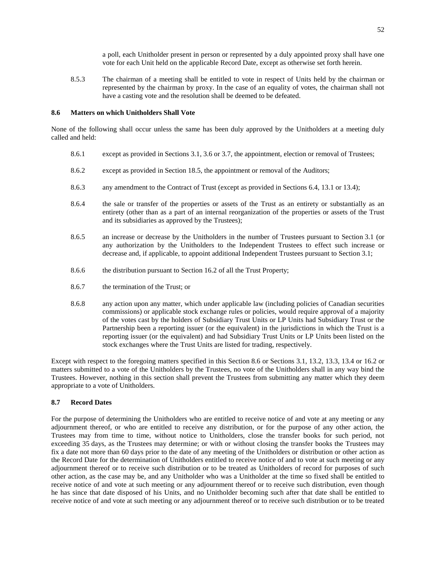a poll, each Unitholder present in person or represented by a duly appointed proxy shall have one vote for each Unit held on the applicable Record Date, except as otherwise set forth herein.

8.5.3 The chairman of a meeting shall be entitled to vote in respect of Units held by the chairman or represented by the chairman by proxy. In the case of an equality of votes, the chairman shall not have a casting vote and the resolution shall be deemed to be defeated.

# <span id="page-56-1"></span>**8.6 Matters on which Unitholders Shall Vote**

None of the following shall occur unless the same has been duly approved by the Unitholders at a meeting duly called and held:

- 8.6.1 except as provided in Sections [3.1,](#page-18-0) [3.6](#page-21-0)or [3.7](#page-21-1), the appointment, election or removal of Trustees;
- 8.6.2 except as provided in Section [18.5,](#page-73-1) the appointment or removal of the Auditors;
- 8.6.3 any amendment to the Contract of Trust (except as provided in Sections [6.4](#page-37-0), [13.1](#page-66-0)or [13.4\)](#page-68-0);
- 8.6.4 the sale or transfer of the properties or assets of the Trust as an entirety or substantially as an entirety (other than as a part of an internal reorganization of the properties or assets of the Trust and its subsidiaries as approved by the Trustees);
- 8.6.5 an increase or decrease by the Unitholders in the number of Trustees pursuant to Section [3.1](#page-18-0) (or any authorization by the Unitholders to the Independent Trustees to effect such increase or decrease and, if applicable, to appoint additional Independent Trustees pursuant to Section [3.1;](#page-18-0)
- <span id="page-56-2"></span>8.6.6 the distribution pursuant to Section [16.2](#page-69-0) of all the Trust Property;
- 8.6.7 the termination of the Trust; or
- 8.6.8 any action upon any matter, which under applicable law (including policies of Canadian securities commissions) or applicable stock exchange rules or policies, would require approval of a majority of the votes cast by the holders of Subsidiary Trust Units or LP Units had Subsidiary Trust or the Partnership been a reporting issuer (or the equivalent) in the jurisdictions in which the Trust is a reporting issuer (or the equivalent) and had Subsidiary Trust Units or LP Units been listed on the stock exchanges where the Trust Units are listed for trading, respectively.

Except with respect to the foregoing matters specified in this Section [8.6](#page-56-1) or Sections [3.1,](#page-18-0) [13.2,](#page-67-0) [13.3,](#page-67-1) [13.4](#page-68-0)or [16.2](#page-69-0) or matters submitted to a vote of the Unitholders by the Trustees, no vote of the Unitholders shall in any way bind the Trustees. However, nothing in this section shall prevent the Trustees from submitting any matter which they deem appropriate to a vote of Unitholders.

# <span id="page-56-0"></span>**8.7 Record Dates**

For the purpose of determining the Unitholders who are entitled to receive notice of and vote at any meeting or any adjournment thereof, or who are entitled to receive any distribution, or for the purpose of any other action, the Trustees may from time to time, without notice to Unitholders, close the transfer books for such period, not exceeding 35 days, as the Trustees may determine; or with or without closing the transfer books the Trustees may fix a date not more than 60 days prior to the date of any meeting of the Unitholders or distribution or other action as the Record Date for the determination of Unitholders entitled to receive notice of and to vote at such meeting or any adjournment thereof or to receive such distribution or to be treated as Unitholders of record for purposes of such other action, as the case may be, and any Unitholder who was a Unitholder at the time so fixed shall be entitled to receive notice of and vote at such meeting or any adjournment thereof or to receive such distribution, even though he has since that date disposed of his Units, and no Unitholder becoming such after that date shall be entitled to receive notice of and vote at such meeting or any adjournment thereof or to receive such distribution or to be treated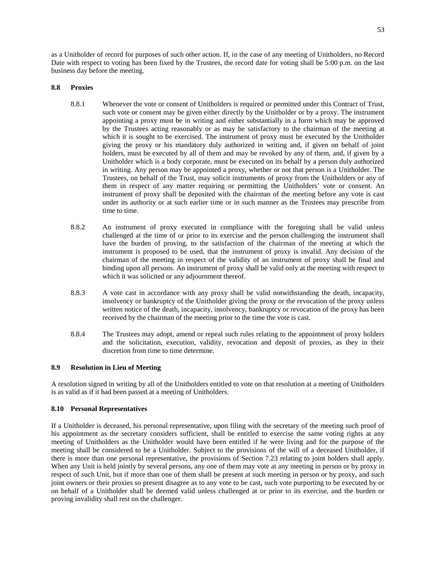as a Unitholder of record for purposes of such other action. If, in the case of any meeting of Unitholders, no Record Date with respect to voting has been fixed by the Trustees, the record date for voting shall be 5:00 p.m. on the last business day before the meeting.

# **8.8 Proxies**

- 8.8.1 Whenever the vote or consent of Unitholders is required or permitted under this Contract of Trust, such vote or consent may be given either directly by the Unitholder or by a proxy. The instrument appointing a proxy must be in writing and either substantially in a form which may be approved by the Trustees acting reasonably or as may be satisfactory to the chairman of the meeting at which it is sought to be exercised. The instrument of proxy must be executed by the Unitholder giving the proxy or his mandatory duly authorized in writing and, if given on behalf of joint holders, must be executed by all of them and may be revoked by any of them, and, if given by a Unitholder which is a body corporate, must be executed on its behalf by a person duly authorized in writing. Any person may be appointed a proxy, whether or not that person is a Unitholder. The Trustees, on behalf of the Trust, may solicit instruments of proxy from the Unitholders or any of them in respect of any matter requiring or permitting the Unitholders' vote or consent. An instrument of proxy shall be deposited with the chairman of the meeting before any vote is cast under its authority or at such earlier time or in such manner as the Trustees may prescribe from time to time.
- 8.8.2 An instrument of proxy executed in compliance with the foregoing shall be valid unless challenged at the time of or prior to its exercise and the person challenging the instrument shall have the burden of proving, to the satisfaction of the chairman of the meeting at which the instrument is proposed to be used, that the instrument of proxy is invalid. Any decision of the chairman of the meeting in respect of the validity of an instrument of proxy shall be final and binding upon all persons. An instrument of proxy shall be valid only at the meeting with respect to which it was solicited or any adjournment thereof.
- 8.8.3 A vote cast in accordance with any proxy shall be valid notwithstanding the death, incapacity, insolvency or bankruptcy of the Unitholder giving the proxy or the revocation of the proxy unless written notice of the death, incapacity, insolvency, bankruptcy or revocation of the proxy has been received by the chairman of the meeting prior to the time the vote is cast.
- 8.8.4 The Trustees may adopt, amend or repeal such rules relating to the appointment of proxy holders and the solicitation, execution, validity, revocation and deposit of proxies, as they in their discretion from time to time determine.

# **8.9 Resolution in Lieu of Meeting**

A resolution signed in writing by all of the Unitholders entitled to vote on that resolution at a meeting of Unitholders is as valid as if it had been passed at a meeting of Unitholders.

# **8.10 Personal Representatives**

If a Unitholder is deceased, his personal representative, upon filing with the secretary of the meeting such proof of his appointment as the secretary considers sufficient, shall be entitled to exercise the same voting rights at any meeting of Unitholders as the Unitholder would have been entitled if he were living and for the purpose of the meeting shall be considered to be a Unitholder. Subject to the provisions of the will of a deceased Unitholder, if there is more than one personal representative, the provisions of Section [7.23](#page-49-1) relating to joint holders shall apply. When any Unit is held jointly by several persons, any one of them may vote at any meeting in person or by proxy in respect of such Unit, but if more than one of them shall be present at such meeting in person or by proxy, and such joint owners or their proxies so present disagree as to any vote to be cast, such vote purporting to be executed by or on behalf of a Unitholder shall be deemed valid unless challenged at or prior to its exercise, and the burden or proving invalidity shall rest on the challenger.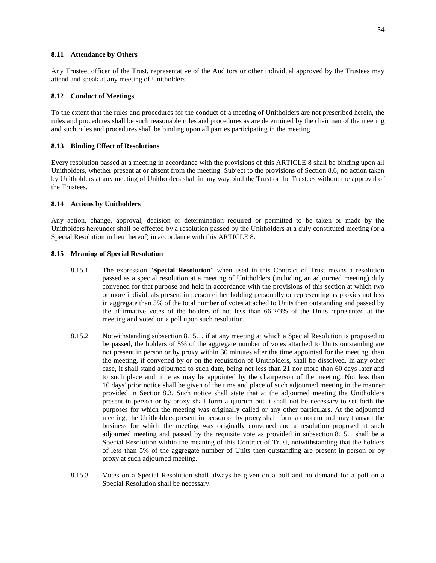#### **8.11 Attendance by Others**

Any Trustee, officer of the Trust, representative of the Auditors or other individual approved by the Trustees may attend and speak at any meeting of Unitholders.

### **8.12 Conduct of Meetings**

To the extent that the rules and procedures for the conduct of a meeting of Unitholders are not prescribed herein, the rules and procedures shall be such reasonable rules and procedures as are determined by the chairman of the meeting and such rules and procedures shall be binding upon all parties participating in the meeting.

#### **8.13 Binding Effect of Resolutions**

Every resolution passed at a meeting in accordance with the provisions ofthis [ARTICLE 8](#page-53-1) shall be binding upon all Unitholders, whether present at or absent from the meeting. Subject to the provisions of Section [8.6](#page-56-1), no action taken by Unitholders at any meeting of Unitholders shall in any way bind the Trust or the Trustees without the approval of the Trustees.

#### **8.14 Actions by Unitholders**

Any action, change, approval, decision or determination required or permitted to be taken or made by the Unitholders hereunder shall be effected by a resolution passed by the Unitholders at a duly constituted meeting (or a Special Resolution in lieu thereof) in accordance withthis [ARTICLE 8](#page-53-1).

# **8.15 Meaning of Special Resolution**

- <span id="page-58-0"></span>8.15.1 The expression "**Special Resolution**" when used in this Contract of Trust means a resolution passed as a special resolution at a meeting of Unitholders (including an adjourned meeting) duly convened for that purpose and held in accordance with the provisions of this section at which two or more individuals present in person either holding personally or representing as proxies not less in aggregate than 5% of the total number of votes attached to Units then outstanding and passed by the affirmative votes of the holders of not less than 66 2/3% of the Units represented at the meeting and voted on a poll upon such resolution.
- 8.15.2 Notwithstanding subsection [8.15.1](#page-58-0), if at any meeting at which a Special Resolution is proposed to be passed, the holders of 5% of the aggregate number of votes attached to Units outstanding are not present in person or by proxy within 30 minutes after the time appointed for the meeting, then the meeting, if convened by or on the requisition of Unitholders, shall be dissolved. In any other case, it shall stand adjourned to such date, being not less than 21 nor more than 60 days later and to such place and time as may be appointed by the chairperson of the meeting. Not less than 10 days' prior notice shall be given of the time and place of such adjourned meeting in the manner provided in Section [8.3](#page-54-0). Such notice shall state that at the adjourned meeting the Unitholders present in person or by proxy shall form a quorum but it shall not be necessary to set forth the purposes for which the meeting was originally called or any other particulars. At the adjourned meeting, the Unitholders present in person or by proxy shall form a quorum and may transact the business for which the meeting was originally convened and a resolution proposed at such adjourned meeting and passed by the requisite vote as provided in subsection [8.15.1](#page-58-0) shall be a Special Resolution within the meaning of this Contract of Trust, notwithstanding that the holders of less than 5% of the aggregate number of Units then outstanding are present in person or by proxy at such adjourned meeting.
- 8.15.3 Votes on a Special Resolution shall always be given on a poll and no demand for a poll on a Special Resolution shall be necessary.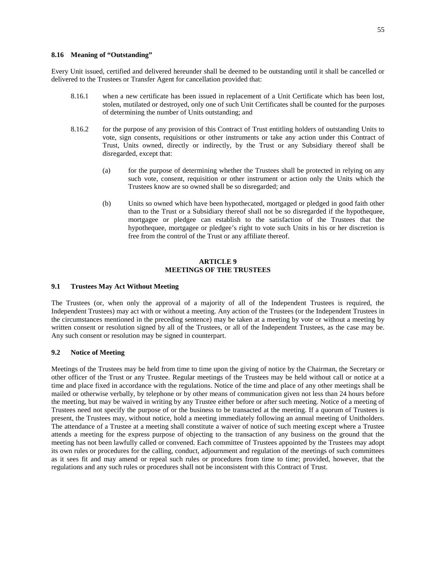# **8.16 Meaning of "Outstanding"**

Every Unit issued, certified and delivered hereunder shall be deemed to be outstanding until it shall be cancelled or delivered to the Trustees or Transfer Agent for cancellation provided that:

- 8.16.1 when a new certificate has been issued in replacement of a Unit Certificate which has been lost, stolen, mutilated or destroyed, only one of such Unit Certificates shall be counted for the purposes of determining the number of Units outstanding; and
- 8.16.2 for the purpose of any provision of this Contract of Trust entitling holders of outstanding Units to vote, sign consents, requisitions or other instruments or take any action under this Contract of Trust, Units owned, directly or indirectly, by the Trust or any Subsidiary thereof shall be disregarded, except that:
	- (a) for the purpose of determining whether the Trustees shall be protected in relying on any such vote, consent, requisition or other instrument or action only the Units which the Trustees know are so owned shall be so disregarded; and
	- (b) Units so owned which have been hypothecated, mortgaged or pledged in good faith other than to the Trust or a Subsidiary thereof shall not be so disregarded if the hypothequee, mortgagee or pledgee can establish to the satisfaction of the Trustees that the hypothequee, mortgagee or pledgee's right to vote such Units in his or her discretion is free from the control of the Trust or any affiliate thereof.

# **ARTICLE 9 MEETINGS OF THE TRUSTEES**

# **9.1 Trustees May Act Without Meeting**

The Trustees (or, when only the approval of a majority of all of the Independent Trustees is required, the Independent Trustees) may act with or without a meeting. Any action of the Trustees (or the Independent Trustees in the circumstances mentioned in the preceding sentence) may be taken at a meeting by vote or without a meeting by written consent or resolution signed by all of the Trustees, or all of the Independent Trustees, as the case may be. Any such consent or resolution may be signed in counterpart.

#### **9.2 Notice of Meeting**

Meetings of the Trustees may be held from time to time upon the giving of notice by the Chairman, the Secretary or other officer of the Trust or any Trustee. Regular meetings of the Trustees may be held without call or notice at a time and place fixed in accordance with the regulations. Notice of the time and place of any other meetings shall be mailed or otherwise verbally, by telephone or by other means of communication given not less than 24 hours before the meeting, but may be waived in writing by any Trustee either before or after such meeting. Notice of a meeting of Trustees need not specify the purpose of or the business to be transacted at the meeting. If a quorum of Trustees is present, the Trustees may, without notice, hold a meeting immediately following an annual meeting of Unitholders. The attendance of a Trustee at a meeting shall constitute a waiver of notice of such meeting except where a Trustee attends a meeting for the express purpose of objecting to the transaction of any business on the ground that the meeting has not been lawfully called or convened. Each committee of Trustees appointed by the Trustees may adopt its own rules or procedures for the calling, conduct, adjournment and regulation of the meetings of such committees as it sees fit and may amend or repeal such rules or procedures from time to time; provided, however, that the regulations and any such rules or procedures shall not be inconsistent with this Contract of Trust.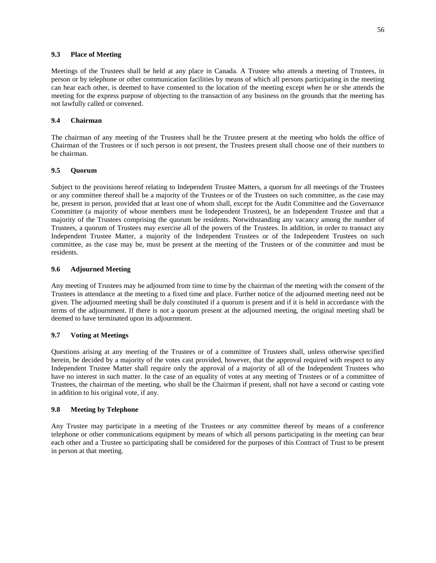#### **9.3 Place of Meeting**

Meetings of the Trustees shall be held at any place in Canada. A Trustee who attends a meeting of Trustees, in person or by telephone or other communication facilities by means of which all persons participating in the meeting can hear each other, is deemed to have consented to the location of the meeting except when he or she attends the meeting for the express purpose of objecting to the transaction of any business on the grounds that the meeting has not lawfully called or convened.

# **9.4 Chairman**

The chairman of any meeting of the Trustees shall be the Trustee present at the meeting who holds the office of Chairman of the Trustees or if such person is not present, the Trustees present shall choose one of their numbers to be chairman.

# **9.5 Quorum**

Subject to the provisions hereof relating to Independent Trustee Matters, a quorum for all meetings of the Trustees or any committee thereof shall be a majority of the Trustees or of the Trustees on such committee, as the case may be, present in person, provided that at least one of whom shall, except for the Audit Committee and the Governance Committee (a majority of whose members must be Independent Trustees), be an Independent Trustee and that a majority of the Trustees comprising the quorum be residents. Notwithstanding any vacancy among the number of Trustees, a quorum of Trustees may exercise all of the powers of the Trustees. In addition, in order to transact any Independent Trustee Matter, a majority of the Independent Trustees or of the Independent Trustees on such committee, as the case may be, must be present at the meeting of the Trustees or of the committee and must be residents.

# **9.6 Adjourned Meeting**

Any meeting of Trustees may be adjourned from time to time by the chairman of the meeting with the consent of the Trustees in attendance at the meeting to a fixed time and place. Further notice of the adjourned meeting need not be given. The adjourned meeting shall be duly constituted if a quorum is present and if it is held in accordance with the terms of the adjournment. If there is not a quorum present at the adjourned meeting, the original meeting shall be deemed to have terminated upon its adjournment.

# **9.7 Voting at Meetings**

Questions arising at any meeting of the Trustees or of a committee of Trustees shall, unless otherwise specified herein, be decided by a majority of the votes cast provided, however, that the approval required with respect to any Independent Trustee Matter shall require only the approval of a majority of all of the Independent Trustees who have no interest in such matter. In the case of an equality of votes at any meeting of Trustees or of a committee of Trustees, the chairman of the meeting, who shall be the Chairman if present, shall not have a second or casting vote in addition to his original vote, if any.

# **9.8 Meeting by Telephone**

Any Trustee may participate in a meeting of the Trustees or any committee thereof by means of a conference telephone or other communications equipment by means of which all persons participating in the meeting can hear each other and a Trustee so participating shall be considered for the purposes of this Contract of Trust to be present in person at that meeting.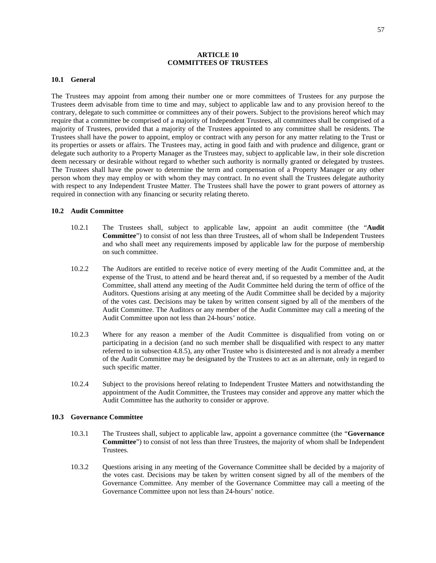# **ARTICLE 10 COMMITTEES OF TRUSTEES**

#### **10.1 General**

The Trustees may appoint from among their number one or more committees of Trustees for any purpose the Trustees deem advisable from time to time and may, subject to applicable law and to any provision hereof to the contrary, delegate to such committee or committees any of their powers. Subject to the provisions hereof which may require that a committee be comprised of a majority of Independent Trustees, all committees shall be comprised of a majority of Trustees, provided that a majority of the Trustees appointed to any committee shall be residents. The Trustees shall have the power to appoint, employ or contract with any person for any matter relating to the Trust or its properties or assets or affairs. The Trustees may, acting in good faith and with prudence and diligence, grant or delegate such authority to a Property Manager as the Trustees may, subject to applicable law, in their sole discretion deem necessary or desirable without regard to whether such authority is normally granted or delegated by trustees. The Trustees shall have the power to determine the term and compensation of a Property Manager or any other person whom they may employ or with whom they may contract. In no event shall the Trustees delegate authority with respect to any Independent Trustee Matter. The Trustees shall have the power to grant powers of attorney as required in connection with any financing or security relating thereto.

# **10.2 Audit Committee**

- 10.2.1 The Trustees shall, subject to applicable law, appoint an audit committee (the "**Audit Committee**") to consist of not less than three Trustees, all of whom shall be Independent Trustees and who shall meet any requirements imposed by applicable law for the purpose of membership on such committee.
- 10.2.2 The Auditors are entitled to receive notice of every meeting of the Audit Committee and, at the expense of the Trust, to attend and be heard thereat and, if so requested by a member of the Audit Committee, shall attend any meeting of the Audit Committee held during the term of office of the Auditors. Questions arising at any meeting of the Audit Committee shall be decided by a majority of the votes cast. Decisions may be taken by written consent signed by all of the members of the Audit Committee. The Auditors or any member of the Audit Committee may call a meeting of the Audit Committee upon not less than 24-hours' notice.
- 10.2.3 Where for any reason a member of the Audit Committee is disqualified from voting on or participating in a decision (and no such member shall be disqualified with respect to any matter referred to in subsection [4.8.5\)](#page-30-0), any other Trustee who is disinterested and is not already a member of the Audit Committee may be designated by the Trustees to act as an alternate, only in regard to such specific matter.
- 10.2.4 Subject to the provisions hereof relating to Independent Trustee Matters and notwithstanding the appointment of the Audit Committee, the Trustees may consider and approve any matter which the Audit Committee has the authority to consider or approve.

#### **10.3 Governance Committee**

- 10.3.1 The Trustees shall, subject to applicable law, appoint a governance committee (the "**Governance Committee**") to consist of not less than three Trustees, the majority of whom shall be Independent Trustees.
- 10.3.2 Questions arising in any meeting of the Governance Committee shall be decided by a majority of the votes cast. Decisions may be taken by written consent signed by all of the members of the Governance Committee. Any member of the Governance Committee may call a meeting of the Governance Committee upon not less than 24-hours' notice.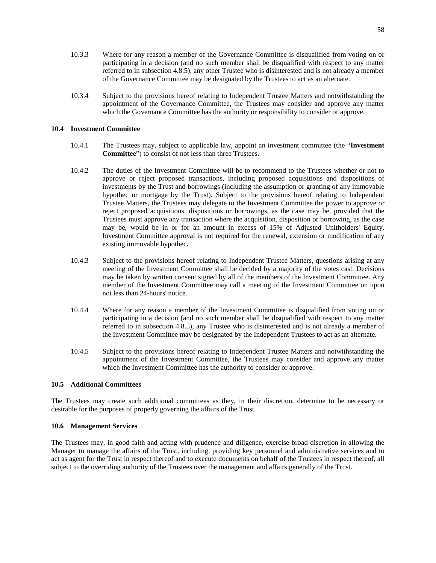- 10.3.3 Where for any reason a member of the Governance Committee is disqualified from voting on or participating in a decision (and no such member shall be disqualified with respect to any matter referred to in subsection [4.8.5\)](#page-30-0), any other Trustee who is disinterested and is not already a member of the Governance Committee may be designated by the Trustees to act as an alternate.
- 10.3.4 Subject to the provisions hereof relating to Independent Trustee Matters and notwithstanding the appointment of the Governance Committee, the Trustees may consider and approve any matter which the Governance Committee has the authority or responsibility to consider or approve.

# **10.4 Investment Committee**

- 10.4.1 The Trustees may, subject to applicable law, appoint an investment committee (the "**Investment Committee**") to consist of not less than three Trustees.
- 10.4.2 The duties of the Investment Committee will be to recommend to the Trustees whether or not to approve or reject proposed transactions, including proposed acquisitions and dispositions of investments by the Trust and borrowings (including the assumption or granting of any immovable hypothec or mortgage by the Trust). Subject to the provisions hereof relating to Independent Trustee Matters, the Trustees may delegate to the Investment Committee the power to approve or reject proposed acquisitions, dispositions or borrowings, as the case may be, provided that the Trustees must approve any transaction where the acquisition, disposition or borrowing, as the case may be, would be in or for an amount in excess of 15% of Adjusted Unitholders' Equity. Investment Committee approval is not required for the renewal, extension or modification of any existing immovable hypothec**.**
- 10.4.3 Subject to the provisions hereof relating to Independent Trustee Matters, questions arising at any meeting of the Investment Committee shall be decided by a majority of the votes cast. Decisions may be taken by written consent signed by all of the members of the Investment Committee. Any member of the Investment Committee may call a meeting of the Investment Committee on upon not less than 24-hours' notice.
- 10.4.4 Where for any reason a member of the Investment Committee is disqualified from voting on or participating in a decision (and no such member shall be disqualified with respect to any matter referred to in subsection [4.8.5\)](#page-30-0), any Trustee who is disinterested and is not already a member of the Investment Committee may be designated by the Independent Trustees to act as an alternate.
- 10.4.5 Subject to the provisions hereof relating to Independent Trustee Matters and notwithstanding the appointment of the Investment Committee, the Trustees may consider and approve any matter which the Investment Committee has the authority to consider or approve.

# **10.5 Additional Committees**

The Trustees may create such additional committees as they, in their discretion, determine to be necessary or desirable for the purposes of properly governing the affairs of the Trust.

# **10.6 Management Services**

The Trustees may, in good faith and acting with prudence and diligence, exercise broad discretion in allowing the Manager to manage the affairs of the Trust, including, providing key personnel and administrative services and to act as agent for the Trust in respect thereof and to execute documents on behalf of the Trustees in respect thereof, all subject to the overriding authority of the Trustees over the management and affairs generally of the Trust.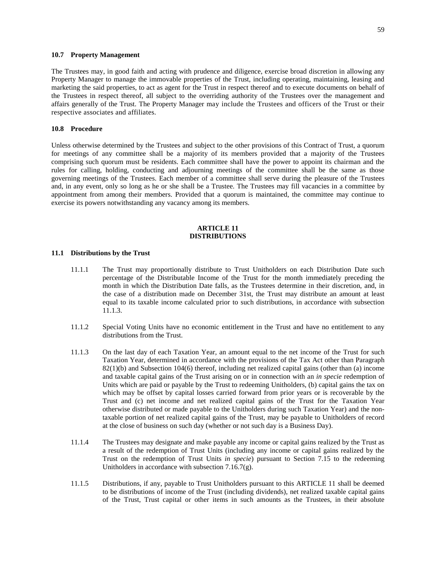#### **10.7 Property Management**

The Trustees may, in good faith and acting with prudence and diligence, exercise broad discretion in allowing any Property Manager to manage the immovable properties of the Trust, including operating, maintaining, leasing and marketing the said properties, to act as agent for the Trust in respect thereof and to execute documents on behalf of the Trustees in respect thereof, all subject to the overriding authority of the Trustees over the management and affairs generally of the Trust. The Property Manager may include the Trustees and officers of the Trust or their respective associates and affiliates.

# **10.8 Procedure**

Unless otherwise determined by the Trustees and subject to the other provisions of this Contract of Trust, a quorum for meetings of any committee shall be a majority of its members provided that a majority of the Trustees comprising such quorum must be residents. Each committee shall have the power to appoint its chairman and the rules for calling, holding, conducting and adjourning meetings of the committee shall be the same as those governing meetings of the Trustees. Each member of a committee shall serve during the pleasure of the Trustees and, in any event, only so long as he or she shall be a Trustee. The Trustees may fill vacancies in a committee by appointment from among their members. Provided that a quorum is maintained, the committee may continue to exercise its powers notwithstanding any vacancy among its members.

# <span id="page-63-0"></span>**ARTICLE 11 DISTRIBUTIONS**

# <span id="page-63-2"></span>**11.1 Distributions by the Trust**

- 11.1.1 The Trust may proportionally distribute to Trust Unitholders on each Distribution Date such percentage of the Distributable Income of the Trust for the month immediately preceding the month in which the Distribution Date falls, as the Trustees determine in their discretion, and, in the case of a distribution made on December 31st, the Trust may distribute an amount at least equal to its taxable income calculated prior to such distributions, in accordance with subsection [11.1.3](#page-63-1).
- 11.1.2 Special Voting Units have no economic entitlement in the Trust and have no entitlement to any distributions from the Trust.
- <span id="page-63-1"></span>11.1.3 On the last day of each Taxation Year, an amount equal to the net income of the Trust for such Taxation Year, determined in accordance with the provisions of the Tax Act other than Paragraph  $82(1)(b)$  and Subsection 104(6) thereof, including net realized capital gains (other than (a) income and taxable capital gains of the Trust arising on or in connection with an *in specie* redemption of Units which are paid or payable by the Trust to redeeming Unitholders, (b) capital gains the tax on which may be offset by capital losses carried forward from prior years or is recoverable by the Trust and (c) net income and net realized capital gains of the Trust for the Taxation Year otherwise distributed or made payable to the Unitholders during such Taxation Year) and the nontaxable portion of net realized capital gains of the Trust, may be payable to Unitholders of record at the close of business on such day (whether or not such day is a Business Day).
- 11.1.4 The Trustees may designate and make payable any income or capital gains realized by the Trust as a result of the redemption of Trust Units (including any income or capital gains realized by the Trust on the redemption of Trust Units *in specie*) pursuant to Section 7.15 to the redeeming Unitholders in accordance with subsection [7.16.7\(g\)](#page-47-0).
- 11.1.5 Distributions, if any, payable to Trust Unitholders pursuant tothis [ARTICLE 11](#page-63-0) shall be deemed to be distributions of income of the Trust (including dividends), net realized taxable capital gains of the Trust, Trust capital or other items in such amounts as the Trustees, in their absolute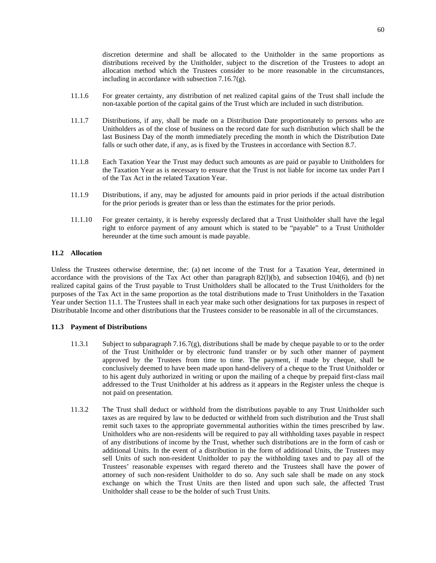discretion determine and shall be allocated to the Unitholder in the same proportions as distributions received by the Unitholder, subject to the discretion of the Trustees to adopt an allocation method which the Trustees consider to be more reasonable in the circumstances, including in accordance with subsection [7.16.7\(g\).](#page-47-0)

- 11.1.6 For greater certainty, any distribution of net realized capital gains of the Trust shall include the non-taxable portion of the capital gains of the Trust which are included in such distribution.
- 11.1.7 Distributions, if any, shall be made on a Distribution Date proportionately to persons who are Unitholders as of the close of business on the record date for such distribution which shall be the last Business Day of the month immediately preceding the month in which the Distribution Date falls or such other date, if any, as is fixed by the Trustees in accordance with Section [8.7.](#page-56-0)
- 11.1.8 Each Taxation Year the Trust may deduct such amounts as are paid or payable to Unitholders for the Taxation Year as is necessary to ensure that the Trust is not liable for income tax under Part I of the Tax Act in the related Taxation Year.
- 11.1.9 Distributions, if any, may be adjusted for amounts paid in prior periods if the actual distribution for the prior periods is greater than or less than the estimates for the prior periods.
- 11.1.10 For greater certainty, it is hereby expressly declared that a Trust Unitholder shall have the legal right to enforce payment of any amount which is stated to be "payable" to a Trust Unitholder hereunder at the time such amount is made payable.

# **11.2 Allocation**

Unless the Trustees otherwise determine, the: (a) net income of the Trust for a Taxation Year, determined in accordance with the provisions of the Tax Act other than paragraph 82(l)(b), and subsection 104(6), and (b) net realized capital gains of the Trust payable to Trust Unitholders shall be allocated to the Trust Unitholders for the purposes of the Tax Act in the same proportion as the total distributions made to Trust Unitholders in the Taxation Year under Section [11.1](#page-63-2). The Trustees shall in each year make such other designations for tax purposes in respect of Distributable Income and other distributions that the Trustees consider to be reasonable in all of the circumstances.

# **11.3 Payment of Distributions**

- 11.3.1 Subject to subparagraph [7.16.7\(g\)](#page-47-0), distributions shall be made by cheque payable to or to the order of the Trust Unitholder or by electronic fund transfer or by such other manner of payment approved by the Trustees from time to time. The payment, if made by cheque, shall be conclusively deemed to have been made upon hand-delivery of a cheque to the Trust Unitholder or to his agent duly authorized in writing or upon the mailing of a cheque by prepaid first-class mail addressed to the Trust Unitholder at his address as it appears in the Register unless the cheque is not paid on presentation.
- 11.3.2 The Trust shall deduct or withhold from the distributions payable to any Trust Unitholder such taxes as are required by law to be deducted or withheld from such distribution and the Trust shall remit such taxes to the appropriate governmental authorities within the times prescribed by law. Unitholders who are non-residents will be required to pay all withholding taxes payable in respect of any distributions of income by the Trust, whether such distributions are in the form of cash or additional Units. In the event of a distribution in the form of additional Units, the Trustees may sell Units of such non-resident Unitholder to pay the withholding taxes and to pay all of the Trustees' reasonable expenses with regard thereto and the Trustees shall have the power of attorney of such non-resident Unitholder to do so. Any such sale shall be made on any stock exchange on which the Trust Units are then listed and upon such sale, the affected Trust Unitholder shall cease to be the holder of such Trust Units.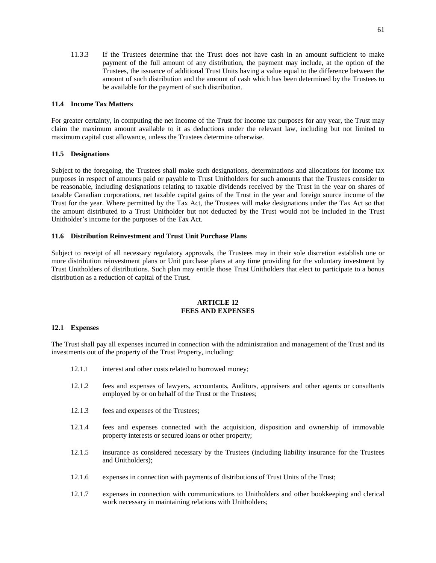11.3.3 If the Trustees determine that the Trust does not have cash in an amount sufficient to make payment of the full amount of any distribution, the payment may include, at the option of the Trustees, the issuance of additional Trust Units having a value equal to the difference between the amount of such distribution and the amount of cash which has been determined by the Trustees to be available for the payment of such distribution.

# **11.4 Income Tax Matters**

For greater certainty, in computing the net income of the Trust for income tax purposes for any year, the Trust may claim the maximum amount available to it as deductions under the relevant law, including but not limited to maximum capital cost allowance, unless the Trustees determine otherwise.

# **11.5 Designations**

Subject to the foregoing, the Trustees shall make such designations, determinations and allocations for income tax purposes in respect of amounts paid or payable to Trust Unitholders for such amounts that the Trustees consider to be reasonable, including designations relating to taxable dividends received by the Trust in the year on shares of taxable Canadian corporations, net taxable capital gains of the Trust in the year and foreign source income of the Trust for the year. Where permitted by the Tax Act, the Trustees will make designations under the Tax Act so that the amount distributed to a Trust Unitholder but not deducted by the Trust would not be included in the Trust Unitholder's income for the purposes of the Tax Act.

# **11.6 Distribution Reinvestment and Trust Unit Purchase Plans**

Subject to receipt of all necessary regulatory approvals, the Trustees may in their sole discretion establish one or more distribution reinvestment plans or Unit purchase plans at any time providing for the voluntary investment by Trust Unitholders of distributions. Such plan may entitle those Trust Unitholders that elect to participate to a bonus distribution as a reduction of capital of the Trust.

# **ARTICLE 12 FEES AND EXPENSES**

# **12.1 Expenses**

The Trust shall pay all expenses incurred in connection with the administration and management of the Trust and its investments out of the property of the Trust Property, including:

- 12.1.1 interest and other costs related to borrowed money;
- 12.1.2 fees and expenses of lawyers, accountants, Auditors, appraisers and other agents or consultants employed by or on behalf of the Trust or the Trustees;
- 12.1.3 fees and expenses of the Trustees;
- 12.1.4 fees and expenses connected with the acquisition, disposition and ownership of immovable property interests or secured loans or other property;
- 12.1.5 insurance as considered necessary by the Trustees (including liability insurance for the Trustees and Unitholders);
- 12.1.6 expenses in connection with payments of distributions of Trust Units of the Trust;
- 12.1.7 expenses in connection with communications to Unitholders and other bookkeeping and clerical work necessary in maintaining relations with Unitholders;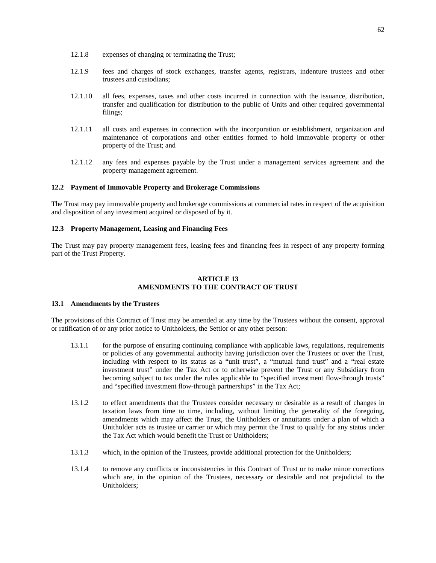- 12.1.8 expenses of changing or terminating the Trust;
- 12.1.9 fees and charges of stock exchanges, transfer agents, registrars, indenture trustees and other trustees and custodians;
- 12.1.10 all fees, expenses, taxes and other costs incurred in connection with the issuance, distribution, transfer and qualification for distribution to the public of Units and other required governmental filings;
- 12.1.11 all costs and expenses in connection with the incorporation or establishment, organization and maintenance of corporations and other entities formed to hold immovable property or other property of the Trust; and
- 12.1.12 any fees and expenses payable by the Trust under a management services agreement and the property management agreement.

#### **12.2 Payment of Immovable Property and Brokerage Commissions**

The Trust may pay immovable property and brokerage commissions at commercial rates in respect of the acquisition and disposition of any investment acquired or disposed of by it.

#### **12.3 Property Management, Leasing and Financing Fees**

The Trust may pay property management fees, leasing fees and financing fees in respect of any property forming part of the Trust Property.

#### <span id="page-66-2"></span>**ARTICLE 13 AMENDMENTS TO THE CONTRACT OF TRUST**

#### <span id="page-66-0"></span>**13.1 Amendments by the Trustees**

The provisions of this Contract of Trust may be amended at any time by the Trustees without the consent, approval or ratification of or any prior notice to Unitholders, the Settlor or any other person:

- <span id="page-66-1"></span>13.1.1 for the purpose of ensuring continuing compliance with applicable laws, regulations, requirements or policies of any governmental authority having jurisdiction over the Trustees or over the Trust, including with respect to its status as a "unit trust", a "mutual fund trust" and a "real estate investment trust" under the Tax Act or to otherwise prevent the Trust or any Subsidiary from becoming subject to tax under the rules applicable to "specified investment flow-through trusts" and "specified investment flow-through partnerships" in the Tax Act;
- 13.1.2 to effect amendments that the Trustees consider necessary or desirable as a result of changes in taxation laws from time to time, including, without limiting the generality of the foregoing, amendments which may affect the Trust, the Unitholders or annuitants under a plan of which a Unitholder acts as trustee or carrier or which may permit the Trust to qualify for any status under the Tax Act which would benefit the Trust or Unitholders;
- 13.1.3 which, in the opinion of the Trustees, provide additional protection for the Unitholders;
- 13.1.4 to remove any conflicts or inconsistencies in this Contract of Trust or to make minor corrections which are, in the opinion of the Trustees, necessary or desirable and not prejudicial to the Unitholders;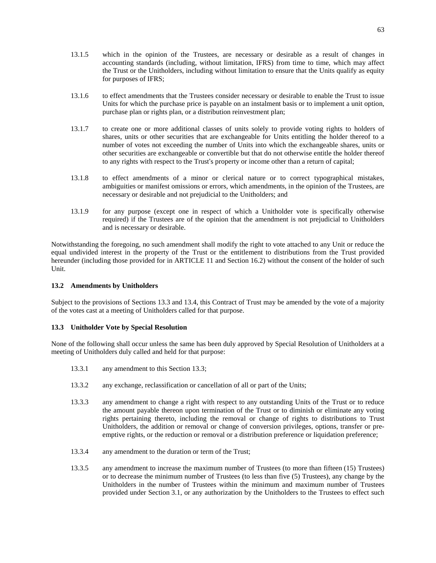- 13.1.5 which in the opinion of the Trustees, are necessary or desirable as a result of changes in accounting standards (including, without limitation, IFRS) from time to time, which may affect the Trust or the Unitholders, including without limitation to ensure that the Units qualify as equity for purposes of IFRS;
- 13.1.6 to effect amendments that the Trustees consider necessary or desirable to enable the Trust to issue Units for which the purchase price is payable on an instalment basis or to implement a unit option, purchase plan or rights plan, or a distribution reinvestment plan;
- 13.1.7 to create one or more additional classes of units solely to provide voting rights to holders of shares, units or other securities that are exchangeable for Units entitling the holder thereof to a number of votes not exceeding the number of Units into which the exchangeable shares, units or other securities are exchangeable or convertible but that do not otherwise entitle the holder thereof to any rights with respect to the Trust's property or income other than a return of capital;
- 13.1.8 to effect amendments of a minor or clerical nature or to correct typographical mistakes, ambiguities or manifest omissions or errors, which amendments, in the opinion of the Trustees, are necessary or desirable and not prejudicial to the Unitholders; and
- <span id="page-67-2"></span>13.1.9 for any purpose (except one in respect of which a Unitholder vote is specifically otherwise required) if the Trustees are of the opinion that the amendment is not prejudicial to Unitholders and is necessary or desirable.

Notwithstanding the foregoing, no such amendment shall modify the right to vote attached to any Unit or reduce the equal undivided interest in the property of the Trust or the entitlement to distributions from the Trust provided hereunder(including those provided for in [ARTICLE 11](#page-63-0) and Section [16.2](#page-69-0)) without the consent of the holder of such Unit.

# <span id="page-67-0"></span>**13.2 Amendments by Unitholders**

Subject to the provisions of Sections [13.3](#page-67-1)and [13.4](#page-68-0), this Contract of Trust may be amended by the vote of a majority of the votes cast at a meeting of Unitholders called for that purpose.

# <span id="page-67-1"></span>**13.3 Unitholder Vote by Special Resolution**

None of the following shall occur unless the same has been duly approved by Special Resolution of Unitholders at a meeting of Unitholders duly called and held for that purpose:

- 13.3.1 any amendment to this Section [13.3](#page-67-1);
- 13.3.2 any exchange, reclassification or cancellation of all or part of the Units;
- 13.3.3 any amendment to change a right with respect to any outstanding Units of the Trust or to reduce the amount payable thereon upon termination of the Trust or to diminish or eliminate any voting rights pertaining thereto, including the removal or change of rights to distributions to Trust Unitholders, the addition or removal or change of conversion privileges, options, transfer or preemptive rights, or the reduction or removal or a distribution preference or liquidation preference;
- 13.3.4 any amendment to the duration or term of the Trust;
- 13.3.5 any amendment to increase the maximum number of Trustees (to more than fifteen (15) Trustees) or to decrease the minimum number of Trustees (to less than five (5) Trustees), any change by the Unitholders in the number of Trustees within the minimum and maximum number of Trustees provided under Section [3.1](#page-18-0), or any authorization by the Unitholders to the Trustees to effect such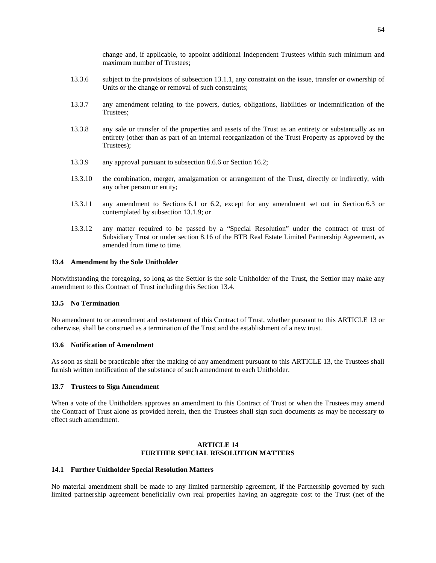change and, if applicable, to appoint additional Independent Trustees within such minimum and maximum number of Trustees;

- 13.3.6 subject to the provisions of subsection [13.1.1,](#page-66-1) any constraint on the issue, transfer or ownership of Units or the change or removal of such constraints;
- 13.3.7 any amendment relating to the powers, duties, obligations, liabilities or indemnification of the Trustees;
- 13.3.8 any sale or transfer of the properties and assets of the Trust as an entirety or substantially as an entirety (other than as part of an internal reorganization of the Trust Property as approved by the Trustees);
- 13.3.9 any approval pursuant to subsection [8.6.6](#page-56-2) or Section [16.2;](#page-69-0)
- 13.3.10 the combination, merger, amalgamation or arrangement of the Trust, directly or indirectly, with any other person or entity;
- 13.3.11 any amendment to Sections [6.1](#page-34-1)or [6.2](#page-36-2), except for any amendment set out in Section [6.3](#page-37-5) or contemplated by subsection [13.1.9;](#page-67-2) or
- 13.3.12 any matter required to be passed by a "Special Resolution" under the contract of trust of Subsidiary Trust or under section 8.16 of the BTB Real Estate Limited Partnership Agreement, as amended from time to time.

# <span id="page-68-0"></span>**13.4 Amendment by the Sole Unitholder**

Notwithstanding the foregoing, so long as the Settlor is the sole Unitholder of the Trust, the Settlor may make any amendment to this Contract of Trust including this Section [13.4](#page-68-0).

#### **13.5 No Termination**

No amendment to or amendment and restatement of this Contract of Trust, whether pursuant tothis [ARTICLE 13](#page-66-2) or otherwise, shall be construed as a termination of the Trust and the establishment of a new trust.

#### **13.6 Notification of Amendment**

As soon as shall be practicable after the making of any amendment pursuant tothis [ARTICLE 13](#page-66-2), the Trustees shall furnish written notification of the substance of such amendment to each Unitholder.

### **13.7 Trustees to Sign Amendment**

When a vote of the Unitholders approves an amendment to this Contract of Trust or when the Trustees may amend the Contract of Trust alone as provided herein, then the Trustees shall sign such documents as may be necessary to effect such amendment.

# **ARTICLE 14 FURTHER SPECIAL RESOLUTION MATTERS**

# **14.1 Further Unitholder Special Resolution Matters**

No material amendment shall be made to any limited partnership agreement, if the Partnership governed by such limited partnership agreement beneficially own real properties having an aggregate cost to the Trust (net of the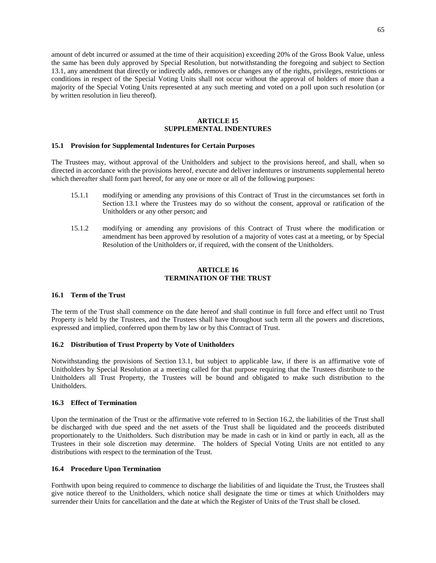amount of debt incurred or assumed at the time of their acquisition) exceeding 20% of the Gross Book Value, unless the same has been duly approved by Special Resolution, but notwithstanding the foregoing and subject to Section [13.1,](#page-66-0) any amendment that directly or indirectly adds, removes or changes any of the rights, privileges, restrictions or conditions in respect of the Special Voting Units shall not occur without the approval of holders of more than a majority of the Special Voting Units represented at any such meeting and voted on a poll upon such resolution (or by written resolution in lieu thereof).

# **ARTICLE 15 SUPPLEMENTAL INDENTURES**

#### **15.1 Provision for Supplemental Indentures for Certain Purposes**

The Trustees may, without approval of the Unitholders and subject to the provisions hereof, and shall, when so directed in accordance with the provisions hereof, execute and deliver indentures or instruments supplemental hereto which thereafter shall form part hereof, for any one or more or all of the following purposes:

- 15.1.1 modifying or amending any provisions of this Contract of Trust in the circumstances set forth in Section [13.1](#page-66-0) where the Trustees may do so without the consent, approval or ratification of the Unitholders or any other person; and
- 15.1.2 modifying or amending any provisions of this Contract of Trust where the modification or amendment has been approved by resolution of a majority of votes cast at a meeting, or by Special Resolution of the Unitholders or, if required, with the consent of the Unitholders.

# **ARTICLE 16 TERMINATION OF THE TRUST**

# **16.1 Term of the Trust**

The term of the Trust shall commence on the date hereof and shall continue in full force and effect until no Trust Property is held by the Trustees, and the Trustees shall have throughout such term all the powers and discretions, expressed and implied, conferred upon them by law or by this Contract of Trust.

# <span id="page-69-0"></span>**16.2 Distribution of Trust Property by Vote of Unitholders**

Notwithstanding the provisions of Section [13.1,](#page-66-0) but subject to applicable law, if there is an affirmative vote of Unitholders by Special Resolution at a meeting called for that purpose requiring that the Trustees distribute to the Unitholders all Trust Property, the Trustees will be bound and obligated to make such distribution to the Unitholders.

# <span id="page-69-2"></span>**16.3 Effect of Termination**

Upon the termination of the Trust or the affirmative vote referred to in Section [16.2,](#page-69-0) the liabilities of the Trust shall be discharged with due speed and the net assets of the Trust shall be liquidated and the proceeds distributed proportionately to the Unitholders. Such distribution may be made in cash or in kind or partly in each, all as the Trustees in their sole discretion may determine. The holders of Special Voting Units are not entitled to any distributions with respect to the termination of the Trust.

# <span id="page-69-1"></span>**16.4 Procedure Upon Termination**

Forthwith upon being required to commence to discharge the liabilities of and liquidate the Trust, the Trustees shall give notice thereof to the Unitholders, which notice shall designate the time or times at which Unitholders may surrender their Units for cancellation and the date at which the Register of Units of the Trust shall be closed.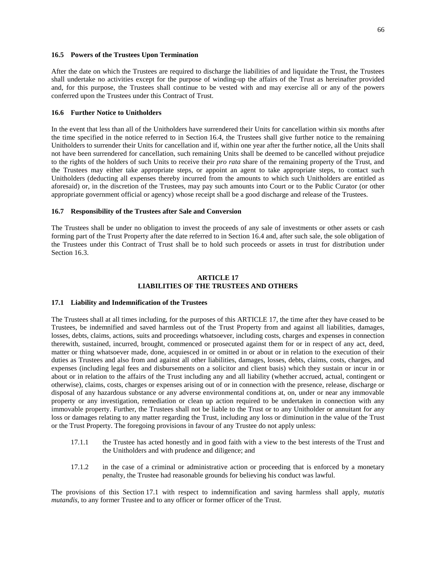# **16.5 Powers of the Trustees Upon Termination**

After the date on which the Trustees are required to discharge the liabilities of and liquidate the Trust, the Trustees shall undertake no activities except for the purpose of winding-up the affairs of the Trust as hereinafter provided and, for this purpose, the Trustees shall continue to be vested with and may exercise all or any of the powers conferred upon the Trustees under this Contract of Trust.

# **16.6 Further Notice to Unitholders**

In the event that less than all of the Unitholders have surrendered their Units for cancellation within six months after the time specified in the notice referred to in Section [16.4,](#page-69-1) the Trustees shall give further notice to the remaining Unitholders to surrender their Units for cancellation and if, within one year after the further notice, all the Units shall not have been surrendered for cancellation, such remaining Units shall be deemed to be cancelled without prejudice to the rights of the holders of such Units to receive their *pro rata* share of the remaining property of the Trust, and the Trustees may either take appropriate steps, or appoint an agent to take appropriate steps, to contact such Unitholders (deducting all expenses thereby incurred from the amounts to which such Unitholders are entitled as aforesaid) or, in the discretion of the Trustees, may pay such amounts into Court or to the Public Curator (or other appropriate government official or agency) whose receipt shall be a good discharge and release of the Trustees.

# **16.7 Responsibility of the Trustees after Sale and Conversion**

The Trustees shall be under no obligation to invest the proceeds of any sale of investments or other assets or cash forming part of the Trust Property after the date referred to in Section [16.4](#page-69-1) and, after such sale, the sole obligation of the Trustees under this Contract of Trust shall be to hold such proceeds or assets in trust for distribution under Section [16.3](#page-69-2).

### <span id="page-70-0"></span>**ARTICLE 17 LIABILITIES OF THE TRUSTEES AND OTHERS**

#### <span id="page-70-1"></span>**17.1 Liability and Indemnification of the Trustees**

The Trustees shall at all times including, for the purposes ofthis [ARTICLE 17](#page-70-0), the time after they have ceased to be Trustees, be indemnified and saved harmless out of the Trust Property from and against all liabilities, damages, losses, debts, claims, actions, suits and proceedings whatsoever, including costs, charges and expenses in connection therewith, sustained, incurred, brought, commenced or prosecuted against them for or in respect of any act, deed, matter or thing whatsoever made, done, acquiesced in or omitted in or about or in relation to the execution of their duties as Trustees and also from and against all other liabilities, damages, losses, debts, claims, costs, charges, and expenses (including legal fees and disbursements on a solicitor and client basis) which they sustain or incur in or about or in relation to the affairs of the Trust including any and all liability (whether accrued, actual, contingent or otherwise), claims, costs, charges or expenses arising out of or in connection with the presence, release, discharge or disposal of any hazardous substance or any adverse environmental conditions at, on, under or near any immovable property or any investigation, remediation or clean up action required to be undertaken in connection with any immovable property. Further, the Trustees shall not be liable to the Trust or to any Unitholder or annuitant for any loss or damages relating to any matter regarding the Trust, including any loss or diminution in the value of the Trust or the Trust Property. The foregoing provisions in favour of any Trustee do not apply unless:

- 17.1.1 the Trustee has acted honestly and in good faith with a view to the best interests of the Trust and the Unitholders and with prudence and diligence; and
- 17.1.2 in the case of a criminal or administrative action or proceeding that is enforced by a monetary penalty, the Trustee had reasonable grounds for believing his conduct was lawful.

The provisions of this Section [17.1](#page-70-1) with respect to indemnification and saving harmless shall apply, *mutatis mutandis*, to any former Trustee and to any officer or former officer of the Trust.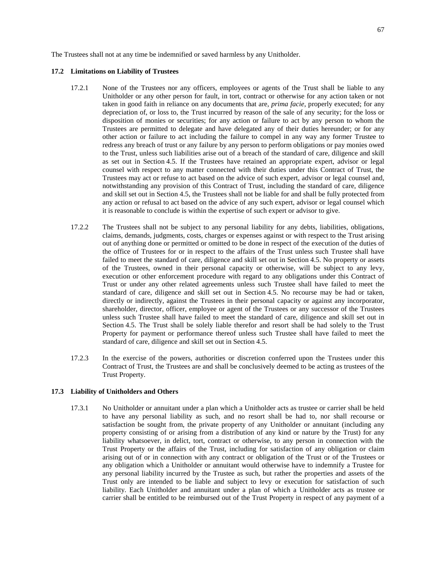The Trustees shall not at any time be indemnified or saved harmless by any Unitholder.

#### **17.2 Limitations on Liability of Trustees**

- 17.2.1 None of the Trustees nor any officers, employees or agents of the Trust shall be liable to any Unitholder or any other person for fault, in tort, contract or otherwise for any action taken or not taken in good faith in reliance on any documents that are, *prima facie*, properly executed; for any depreciation of, or loss to, the Trust incurred by reason of the sale of any security; for the loss or disposition of monies or securities; for any action or failure to act by any person to whom the Trustees are permitted to delegate and have delegated any of their duties hereunder; or for any other action or failure to act including the failure to compel in any way any former Trustee to redress any breach of trust or any failure by any person to perform obligations or pay monies owed to the Trust, unless such liabilities arise out of a breach of the standard of care, diligence and skill as set out in Section [4.5](#page-28-0). If the Trustees have retained an appropriate expert, advisor or legal counsel with respect to any matter connected with their duties under this Contract of Trust, the Trustees may act or refuse to act based on the advice of such expert, advisor or legal counsel and, notwithstanding any provision of this Contract of Trust, including the standard of care, diligence and skill set out in Section [4.5](#page-28-0), the Trustees shall not be liable for and shall be fully protected from any action or refusal to act based on the advice of any such expert, advisor or legal counsel which it is reasonable to conclude is within the expertise of such expert or advisor to give.
- 17.2.2 The Trustees shall not be subject to any personal liability for any debts, liabilities, obligations, claims, demands, judgments, costs, charges or expenses against or with respect to the Trust arising out of anything done or permitted or omitted to be done in respect of the execution of the duties of the office of Trustees for or in respect to the affairs of the Trust unless such Trustee shall have failed to meet the standard of care, diligence and skill set out in Section [4.5.](#page-28-0) No property or assets of the Trustees, owned in their personal capacity or otherwise, will be subject to any levy, execution or other enforcement procedure with regard to any obligations under this Contract of Trust or under any other related agreements unless such Trustee shall have failed to meet the standard of care, diligence and skill set out in Section [4.5](#page-28-0). No recourse may be had or taken, directly or indirectly, against the Trustees in their personal capacity or against any incorporator, shareholder, director, officer, employee or agent of the Trustees or any successor of the Trustees unless such Trustee shall have failed to meet the standard of care, diligence and skill set out in Section [4.5.](#page-28-0) The Trust shall be solely liable therefor and resort shall be had solely to the Trust Property for payment or performance thereof unless such Trustee shall have failed to meet the standard of care, diligence and skill set out in Section [4.5.](#page-28-0)
- 17.2.3 In the exercise of the powers, authorities or discretion conferred upon the Trustees under this Contract of Trust, the Trustees are and shall be conclusively deemed to be acting as trustees of the Trust Property.

#### **17.3 Liability of Unitholders and Others**

17.3.1 No Unitholder or annuitant under a plan which a Unitholder acts as trustee or carrier shall be held to have any personal liability as such, and no resort shall be had to, nor shall recourse or satisfaction be sought from, the private property of any Unitholder or annuitant (including any property consisting of or arising from a distribution of any kind or nature by the Trust) for any liability whatsoever, in delict, tort, contract or otherwise, to any person in connection with the Trust Property or the affairs of the Trust, including for satisfaction of any obligation or claim arising out of or in connection with any contract or obligation of the Trust or of the Trustees or any obligation which a Unitholder or annuitant would otherwise have to indemnify a Trustee for any personal liability incurred by the Trustee as such, but rather the properties and assets of the Trust only are intended to be liable and subject to levy or execution for satisfaction of such liability. Each Unitholder and annuitant under a plan of which a Unitholder acts as trustee or carrier shall be entitled to be reimbursed out of the Trust Property in respect of any payment of a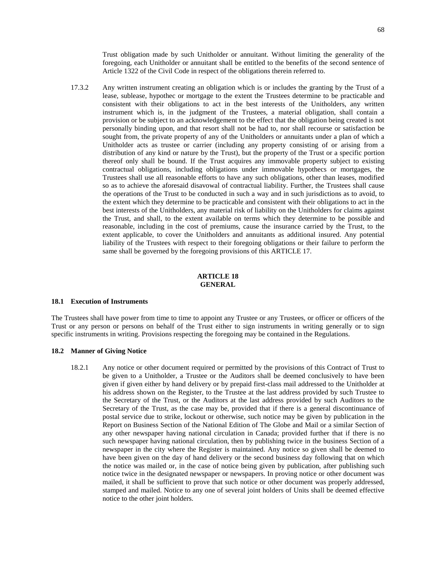Trust obligation made by such Unitholder or annuitant. Without limiting the generality of the foregoing, each Unitholder or annuitant shall be entitled to the benefits of the second sentence of Article 1322 of the Civil Code in respect of the obligations therein referred to.

17.3.2 Any written instrument creating an obligation which is or includes the granting by the Trust of a lease, sublease, hypothec or mortgage to the extent the Trustees determine to be practicable and consistent with their obligations to act in the best interests of the Unitholders, any written instrument which is, in the judgment of the Trustees, a material obligation, shall contain a provision or be subject to an acknowledgement to the effect that the obligation being created is not personally binding upon, and that resort shall not be had to, nor shall recourse or satisfaction be sought from, the private property of any of the Unitholders or annuitants under a plan of which a Unitholder acts as trustee or carrier (including any property consisting of or arising from a distribution of any kind or nature by the Trust), but the property of the Trust or a specific portion thereof only shall be bound. If the Trust acquires any immovable property subject to existing contractual obligations, including obligations under immovable hypothecs or mortgages, the Trustees shall use all reasonable efforts to have any such obligations, other than leases, modified so as to achieve the aforesaid disavowal of contractual liability. Further, the Trustees shall cause the operations of the Trust to be conducted in such a way and in such jurisdictions as to avoid, to the extent which they determine to be practicable and consistent with their obligations to act in the best interests of the Unitholders, any material risk of liability on the Unitholders for claims against the Trust, and shall, to the extent available on terms which they determine to be possible and reasonable, including in the cost of premiums, cause the insurance carried by the Trust, to the extent applicable, to cover the Unitholders and annuitants as additional insured. Any potential liability of the Trustees with respect to their foregoing obligations or their failure to perform the same shall be governed by the foregoing provisions ofthis [ARTICLE 17](#page-70-0).

## **ARTICLE 18 GENERAL**

#### **18.1 Execution of Instruments**

The Trustees shall have power from time to time to appoint any Trustee or any Trustees, or officer or officers of the Trust or any person or persons on behalf of the Trust either to sign instruments in writing generally or to sign specific instruments in writing. Provisions respecting the foregoing may be contained in the Regulations.

# <span id="page-72-0"></span>**18.2 Manner of Giving Notice**

18.2.1 Any notice or other document required or permitted by the provisions of this Contract of Trust to be given to a Unitholder, a Trustee or the Auditors shall be deemed conclusively to have been given if given either by hand delivery or by prepaid first-class mail addressed to the Unitholder at his address shown on the Register, to the Trustee at the last address provided by such Trustee to the Secretary of the Trust, or the Auditors at the last address provided by such Auditors to the Secretary of the Trust, as the case may be, provided that if there is a general discontinuance of postal service due to strike, lockout or otherwise, such notice may be given by publication in the Report on Business Section of the National Edition of The Globe and Mail or a similar Section of any other newspaper having national circulation in Canada; provided further that if there is no such newspaper having national circulation, then by publishing twice in the business Section of a newspaper in the city where the Register is maintained. Any notice so given shall be deemed to have been given on the day of hand delivery or the second business day following that on which the notice was mailed or, in the case of notice being given by publication, after publishing such notice twice in the designated newspaper or newspapers. In proving notice or other document was mailed, it shall be sufficient to prove that such notice or other document was properly addressed, stamped and mailed. Notice to any one of several joint holders of Units shall be deemed effective notice to the other joint holders.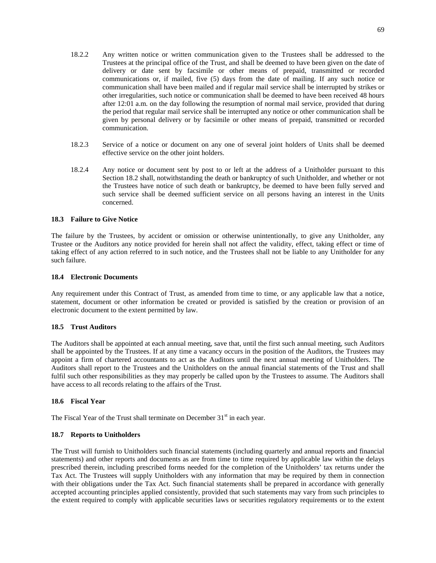- 18.2.2 Any written notice or written communication given to the Trustees shall be addressed to the Trustees at the principal office of the Trust, and shall be deemed to have been given on the date of delivery or date sent by facsimile or other means of prepaid, transmitted or recorded communications or, if mailed, five (5) days from the date of mailing. If any such notice or communication shall have been mailed and if regular mail service shall be interrupted by strikes or other irregularities, such notice or communication shall be deemed to have been received 48 hours after 12:01 a.m. on the day following the resumption of normal mail service, provided that during the period that regular mail service shall be interrupted any notice or other communication shall be given by personal delivery or by facsimile or other means of prepaid, transmitted or recorded communication.
- 18.2.3 Service of a notice or document on any one of several joint holders of Units shall be deemed effective service on the other joint holders.
- 18.2.4 Any notice or document sent by post to or left at the address of a Unitholder pursuant to this Section [18.2](#page-72-0) shall, notwithstanding the death or bankruptcy of such Unitholder, and whether or not the Trustees have notice of such death or bankruptcy, be deemed to have been fully served and such service shall be deemed sufficient service on all persons having an interest in the Units concerned.

# **18.3 Failure to Give Notice**

The failure by the Trustees, by accident or omission or otherwise unintentionally, to give any Unitholder, any Trustee or the Auditors any notice provided for herein shall not affect the validity, effect, taking effect or time of taking effect of any action referred to in such notice, and the Trustees shall not be liable to any Unitholder for any such failure.

# <span id="page-73-0"></span>**18.4 Electronic Documents**

Any requirement under this Contract of Trust, as amended from time to time, or any applicable law that a notice, statement, document or other information be created or provided is satisfied by the creation or provision of an electronic document to the extent permitted by law.

# **18.5 Trust Auditors**

The Auditors shall be appointed at each annual meeting, save that, until the first such annual meeting, such Auditors shall be appointed by the Trustees. If at any time a vacancy occurs in the position of the Auditors, the Trustees may appoint a firm of chartered accountants to act as the Auditors until the next annual meeting of Unitholders. The Auditors shall report to the Trustees and the Unitholders on the annual financial statements of the Trust and shall fulfil such other responsibilities as they may properly be called upon by the Trustees to assume. The Auditors shall have access to all records relating to the affairs of the Trust.

# **18.6 Fiscal Year**

The Fiscal Year of the Trust shall terminate on December  $31<sup>st</sup>$  in each year.

# **18.7 Reports to Unitholders**

The Trust will furnish to Unitholders such financial statements (including quarterly and annual reports and financial statements) and other reports and documents as are from time to time required by applicable law within the delays prescribed therein, including prescribed forms needed for the completion of the Unitholders' tax returns under the Tax Act. The Trustees will supply Unitholders with any information that may be required by them in connection with their obligations under the Tax Act. Such financial statements shall be prepared in accordance with generally accepted accounting principles applied consistently, provided that such statements may vary from such principles to the extent required to comply with applicable securities laws or securities regulatory requirements or to the extent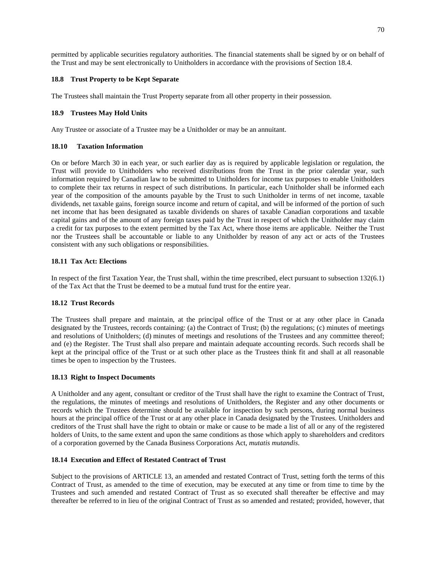permitted by applicable securities regulatory authorities. The financial statements shall be signed by or on behalf of the Trust and may be sent electronically to Unitholders in accordance with the provisions of Section [18.4](#page-73-0).

# **18.8 Trust Property to be Kept Separate**

The Trustees shall maintain the Trust Property separate from all other property in their possession.

# **18.9 Trustees May Hold Units**

Any Trustee or associate of a Trustee may be a Unitholder or may be an annuitant.

# **18.10 Taxation Information**

On or before March 30 in each year, or such earlier day as is required by applicable legislation or regulation, the Trust will provide to Unitholders who received distributions from the Trust in the prior calendar year, such information required by Canadian law to be submitted to Unitholders for income tax purposes to enable Unitholders to complete their tax returns in respect of such distributions. In particular, each Unitholder shall be informed each year of the composition of the amounts payable by the Trust to such Unitholder in terms of net income, taxable dividends, net taxable gains, foreign source income and return of capital, and will be informed of the portion of such net income that has been designated as taxable dividends on shares of taxable Canadian corporations and taxable capital gains and of the amount of any foreign taxes paid by the Trust in respect of which the Unitholder may claim a credit for tax purposes to the extent permitted by the Tax Act, where those items are applicable. Neither the Trust nor the Trustees shall be accountable or liable to any Unitholder by reason of any act or acts of the Trustees consistent with any such obligations or responsibilities.

# **18.11 Tax Act: Elections**

In respect of the first Taxation Year, the Trust shall, within the time prescribed, elect pursuant to subsection 132(6.1) of the Tax Act that the Trust be deemed to be a mutual fund trust for the entire year.

# **18.12 Trust Records**

The Trustees shall prepare and maintain, at the principal office of the Trust or at any other place in Canada designated by the Trustees, records containing: (a) the Contract of Trust; (b) the regulations; (c) minutes of meetings and resolutions of Unitholders; (d) minutes of meetings and resolutions of the Trustees and any committee thereof; and (e) the Register. The Trust shall also prepare and maintain adequate accounting records. Such records shall be kept at the principal office of the Trust or at such other place as the Trustees think fit and shall at all reasonable times be open to inspection by the Trustees.

# **18.13 Right to Inspect Documents**

A Unitholder and any agent, consultant or creditor of the Trust shall have the right to examine the Contract of Trust, the regulations, the minutes of meetings and resolutions of Unitholders, the Register and any other documents or records which the Trustees determine should be available for inspection by such persons, during normal business hours at the principal office of the Trust or at any other place in Canada designated by the Trustees. Unitholders and creditors of the Trust shall have the right to obtain or make or cause to be made a list of all or any of the registered holders of Units, to the same extent and upon the same conditions as those which apply to shareholders and creditors of a corporation governed by the Canada Business Corporations Act, *mutatis mutandis*.

# **18.14 Execution and Effect of Restated Contract of Trust**

Subject to the provisionsof [ARTICLE 13,](#page-66-0) an amended and restated Contract of Trust, setting forth the terms of this Contract of Trust, as amended to the time of execution, may be executed at any time or from time to time by the Trustees and such amended and restated Contract of Trust as so executed shall thereafter be effective and may thereafter be referred to in lieu of the original Contract of Trust as so amended and restated; provided, however, that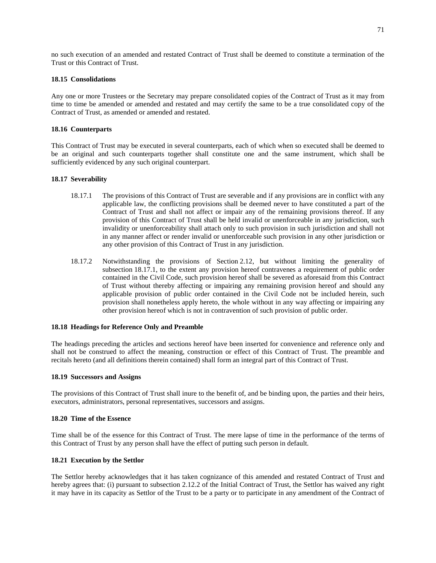no such execution of an amended and restated Contract of Trust shall be deemed to constitute a termination of the Trust or this Contract of Trust.

# **18.15 Consolidations**

Any one or more Trustees or the Secretary may prepare consolidated copies of the Contract of Trust as it may from time to time be amended or amended and restated and may certify the same to be a true consolidated copy of the Contract of Trust, as amended or amended and restated.

## **18.16 Counterparts**

This Contract of Trust may be executed in several counterparts, each of which when so executed shall be deemed to be an original and such counterparts together shall constitute one and the same instrument, which shall be sufficiently evidenced by any such original counterpart.

#### **18.17 Severability**

- <span id="page-75-0"></span>18.17.1 The provisions of this Contract of Trust are severable and if any provisions are in conflict with any applicable law, the conflicting provisions shall be deemed never to have constituted a part of the Contract of Trust and shall not affect or impair any of the remaining provisions thereof. If any provision of this Contract of Trust shall be held invalid or unenforceable in any jurisdiction, such invalidity or unenforceability shall attach only to such provision in such jurisdiction and shall not in any manner affect or render invalid or unenforceable such provision in any other jurisdiction or any other provision of this Contract of Trust in any jurisdiction.
- 18.17.2 Notwithstanding the provisions of Section [2.12,](#page-16-0) but without limiting the generality of subsection [18.17.1,](#page-75-0) to the extent any provision hereof contravenes a requirement of public order contained in the Civil Code, such provision hereof shall be severed as aforesaid from this Contract of Trust without thereby affecting or impairing any remaining provision hereof and should any applicable provision of public order contained in the Civil Code not be included herein, such provision shall nonetheless apply hereto, the whole without in any way affecting or impairing any other provision hereof which is not in contravention of such provision of public order.

#### **18.18 Headings for Reference Only and Preamble**

The headings preceding the articles and sections hereof have been inserted for convenience and reference only and shall not be construed to affect the meaning, construction or effect of this Contract of Trust. The preamble and recitals hereto (and all definitions therein contained) shall form an integral part of this Contract of Trust.

#### **18.19 Successors and Assigns**

The provisions of this Contract of Trust shall inure to the benefit of, and be binding upon, the parties and their heirs, executors, administrators, personal representatives, successors and assigns.

# **18.20 Time of the Essence**

Time shall be of the essence for this Contract of Trust. The mere lapse of time in the performance of the terms of this Contract of Trust by any person shall have the effect of putting such person in default.

# **18.21 Execution by the Settlor**

The Settlor hereby acknowledges that it has taken cognizance of this amended and restated Contract of Trust and hereby agrees that: (i) pursuant to subsection [2.12.2](#page-16-1) of the Initial Contract of Trust, the Settlor has waived any right it may have in its capacity as Settlor of the Trust to be a party or to participate in any amendment of the Contract of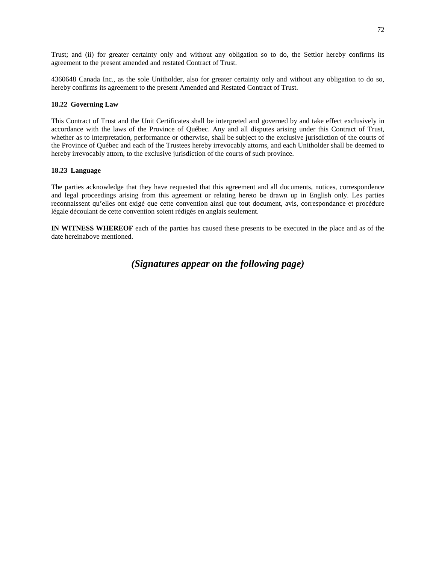Trust; and (ii) for greater certainty only and without any obligation so to do, the Settlor hereby confirms its agreement to the present amended and restated Contract of Trust.

4360648 Canada Inc., as the sole Unitholder, also for greater certainty only and without any obligation to do so, hereby confirms its agreement to the present Amended and Restated Contract of Trust.

# **18.22 Governing Law**

This Contract of Trust and the Unit Certificates shall be interpreted and governed by and take effect exclusively in accordance with the laws of the Province of Québec. Any and all disputes arising under this Contract of Trust, whether as to interpretation, performance or otherwise, shall be subject to the exclusive jurisdiction of the courts of the Province of Québec and each of the Trustees hereby irrevocably attorns, and each Unitholder shall be deemed to hereby irrevocably attorn, to the exclusive jurisdiction of the courts of such province.

# **18.23 Language**

The parties acknowledge that they have requested that this agreement and all documents, notices, correspondence and legal proceedings arising from this agreement or relating hereto be drawn up in English only. Les parties reconnaissent qu'elles ont exigé que cette convention ainsi que tout document, avis, correspondance et procédure légale découlant de cette convention soient rédigés en anglais seulement.

**IN WITNESS WHEREOF** each of the parties has caused these presents to be executed in the place and as of the date hereinabove mentioned.

# *(Signatures appear on the following page)*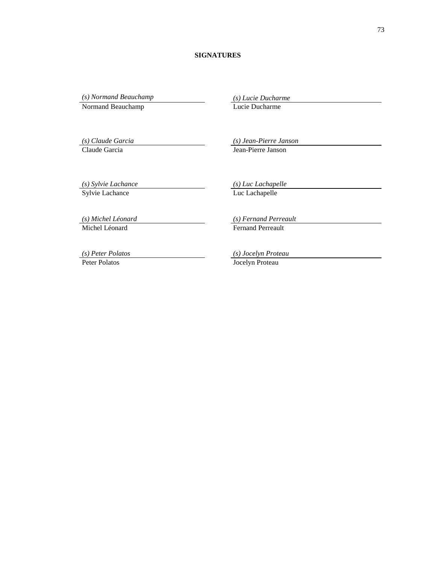# **SIGNATURES**

*(s) Normand Beauchamp (s) Lucie Ducharme*

Normand Beauchamp Lucie Ducharme

*(s) Claude Garcia (s) Jean-Pierre Janson* Claude Garcia Jean-Pierre Janson

*(s) Sylvie Lachance (s) Luc Lachapelle* Sylvie Lachance

*(s) Michel Léonard (s) Fernand Perreault* Michel Léonard Fernand Perreault

*(s) Peter Polatos (s) Jocelyn Proteau*

Peter Polatos **Jocelyn Proteau**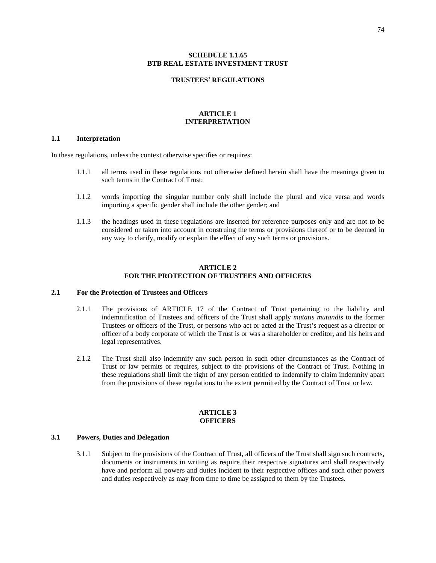# **SCHEDULE [1.1.65](#page-11-0) BTB REAL ESTATE INVESTMENT TRUST**

#### **TRUSTEES' REGULATIONS**

# **ARTICLE 1 INTERPRETATION**

# **1.1 Interpretation**

In these regulations, unless the context otherwise specifies or requires:

- 1.1.1 all terms used in these regulations not otherwise defined herein shall have the meanings given to such terms in the Contract of Trust;
- 1.1.2 words importing the singular number only shall include the plural and vice versa and words importing a specific gender shall include the other gender; and
- 1.1.3 the headings used in these regulations are inserted for reference purposes only and are not to be considered or taken into account in construing the terms or provisions thereof or to be deemed in any way to clarify, modify or explain the effect of any such terms or provisions.

# **ARTICLE 2 FOR THE PROTECTION OF TRUSTEES AND OFFICERS**

# **2.1 For the Protection of Trustees and Officers**

- 2.1.1 The provisionsof [ARTICLE 17](#page-70-0) of the Contract of Trust pertaining to the liability and indemnification of Trustees and officers of the Trust shall apply *mutatis mutandis* to the former Trustees or officers of the Trust, or persons who act or acted at the Trust's request as a director or officer of a body corporate of which the Trust is or was a shareholder or creditor, and his heirs and legal representatives.
- 2.1.2 The Trust shall also indemnify any such person in such other circumstances as the Contract of Trust or law permits or requires, subject to the provisions of the Contract of Trust. Nothing in these regulations shall limit the right of any person entitled to indemnify to claim indemnity apart from the provisions of these regulations to the extent permitted by the Contract of Trust or law.

#### **ARTICLE 3 OFFICERS**

#### **3.1 Powers, Duties and Delegation**

3.1.1 Subject to the provisions of the Contract of Trust, all officers of the Trust shall sign such contracts, documents or instruments in writing as require their respective signatures and shall respectively have and perform all powers and duties incident to their respective offices and such other powers and duties respectively as may from time to time be assigned to them by the Trustees.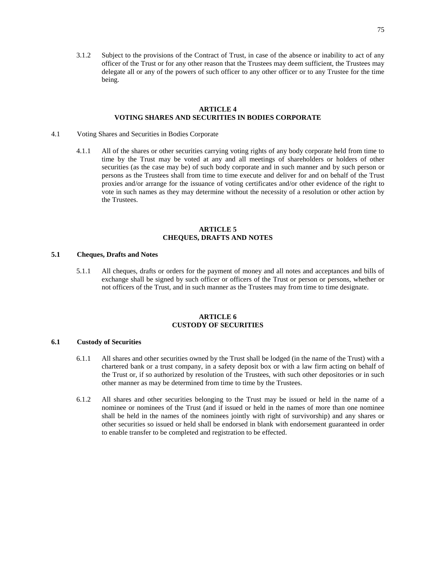3.1.2 Subject to the provisions of the Contract of Trust, in case of the absence or inability to act of any officer of the Trust or for any other reason that the Trustees may deem sufficient, the Trustees may delegate all or any of the powers of such officer to any other officer or to any Trustee for the time being.

# **ARTICLE 4 VOTING SHARES AND SECURITIES IN BODIES CORPORATE**

- 4.1 Voting Shares and Securities in Bodies Corporate
	- 4.1.1 All of the shares or other securities carrying voting rights of any body corporate held from time to time by the Trust may be voted at any and all meetings of shareholders or holders of other securities (as the case may be) of such body corporate and in such manner and by such person or persons as the Trustees shall from time to time execute and deliver for and on behalf of the Trust proxies and/or arrange for the issuance of voting certificates and/or other evidence of the right to vote in such names as they may determine without the necessity of a resolution or other action by the Trustees.

# **ARTICLE 5 CHEQUES, DRAFTS AND NOTES**

# **5.1 Cheques, Drafts and Notes**

5.1.1 All cheques, drafts or orders for the payment of money and all notes and acceptances and bills of exchange shall be signed by such officer or officers of the Trust or person or persons, whether or not officers of the Trust, and in such manner as the Trustees may from time to time designate.

# **ARTICLE 6 CUSTODY OF SECURITIES**

### **6.1 Custody of Securities**

- 6.1.1 All shares and other securities owned by the Trust shall be lodged (in the name of the Trust) with a chartered bank or a trust company, in a safety deposit box or with a law firm acting on behalf of the Trust or, if so authorized by resolution of the Trustees, with such other depositories or in such other manner as may be determined from time to time by the Trustees.
- 6.1.2 All shares and other securities belonging to the Trust may be issued or held in the name of a nominee or nominees of the Trust (and if issued or held in the names of more than one nominee shall be held in the names of the nominees jointly with right of survivorship) and any shares or other securities so issued or held shall be endorsed in blank with endorsement guaranteed in order to enable transfer to be completed and registration to be effected.